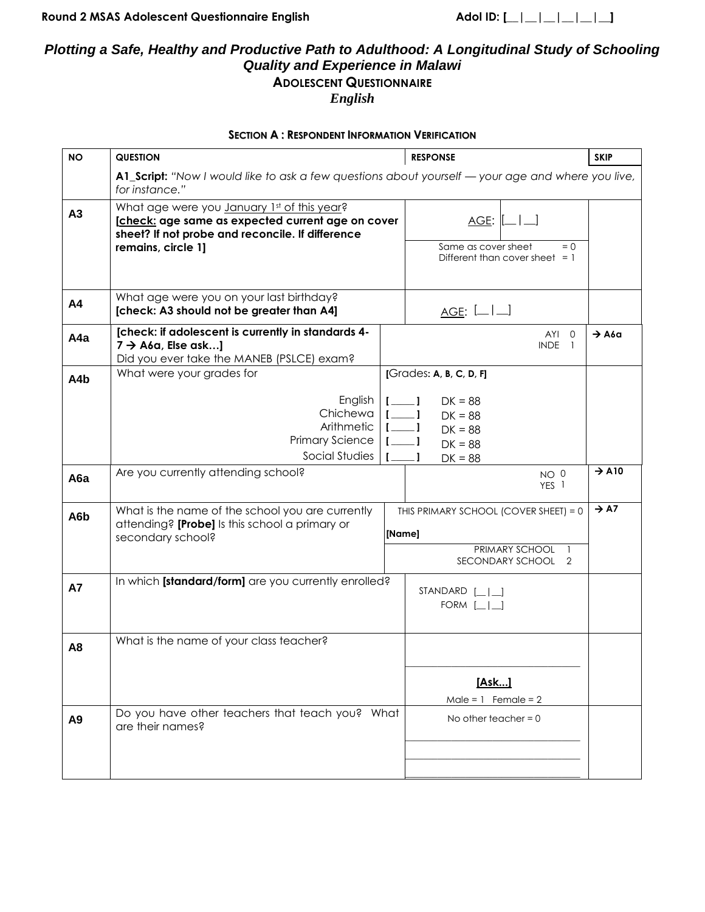# *Plotting a Safe, Healthy and Productive Path to Adulthood: A Longitudinal Study of Schooling Quality and Experience in Malawi* **ADOLESCENT QUESTIONNAIRE**

# *English*

### **SECTION A : RESPONDENT INFORMATION VERIFICATION**

| <b>NO</b>        | <b>QUESTION</b>                                                                                                                                      |                                                                                     | <b>RESPONSE</b>                                                          |  | <b>SKIP</b>       |
|------------------|------------------------------------------------------------------------------------------------------------------------------------------------------|-------------------------------------------------------------------------------------|--------------------------------------------------------------------------|--|-------------------|
|                  | A1_Script: "Now I would like to ask a few questions about yourself — your age and where you live,<br>for instance."                                  |                                                                                     |                                                                          |  |                   |
| A3               | What age were you January 1st of this year?<br>[check: age same as expected current age on cover<br>sheet? If not probe and reconcile. If difference |                                                                                     | <u>AGE</u> : $[$ $ $ $ $ $ $ $ $                                         |  |                   |
|                  | remains, circle 1]                                                                                                                                   |                                                                                     | Same as cover sheet<br>$= 0$<br>Different than cover sheet $= 1$         |  |                   |
| A4               | What age were you on your last birthday?<br>[check: A3 should not be greater than A4]                                                                |                                                                                     | <u>AGE</u> : $[- $                                                       |  |                   |
| A4a              | [check: if adolescent is currently in standards 4-<br>$7 \rightarrow$ A6a, Else ask]<br>Did you ever take the MANEB (PSLCE) exam?                    |                                                                                     | AYI 0<br>INDE <sub>1</sub>                                               |  | $\rightarrow$ A6a |
| A4b              | What were your grades for                                                                                                                            |                                                                                     | [Grades: A, B, C, D, F]                                                  |  |                   |
|                  | English  <br>Chichewa<br>Arithmetic<br>Primary Science<br>Social Studies                                                                             | $1 \quad \boxed{1}$<br>$1$ <sub>---</sub> 1<br>$1$ <sub>---</sub> 1<br>$\mathbf{I}$ | $DK = 88$<br>$1 - 1$<br>$DK = 88$<br>$DK = 88$<br>$DK = 88$<br>$DK = 88$ |  |                   |
| A <sub>6</sub> a | Are you currently attending school?                                                                                                                  |                                                                                     | NO <sub>0</sub><br>YES 1                                                 |  | $\rightarrow$ A10 |
| A6b              | What is the name of the school you are currently<br>attending? [Probe] Is this school a primary or<br>secondary school?                              | [Name]                                                                              | THIS PRIMARY SCHOOL (COVER SHEET) = 0                                    |  | $\rightarrow$ A7  |
|                  |                                                                                                                                                      |                                                                                     | PRIMARY SCHOOL<br>SECONDARY SCHOOL 2                                     |  |                   |
| <b>A7</b>        | In which [standard/form] are you currently enrolled?                                                                                                 |                                                                                     | STANDARD [_ _]<br>FORM $\left[\_\right]$                                 |  |                   |
| A <sub>8</sub>   | What is the name of your class teacher?                                                                                                              |                                                                                     |                                                                          |  |                   |
|                  |                                                                                                                                                      |                                                                                     | [Ask]<br>$Male = 1$ Female = 2                                           |  |                   |
| A <sub>9</sub>   | Do you have other teachers that teach you? What<br>are their names?                                                                                  |                                                                                     | No other teacher $= 0$                                                   |  |                   |
|                  |                                                                                                                                                      |                                                                                     |                                                                          |  |                   |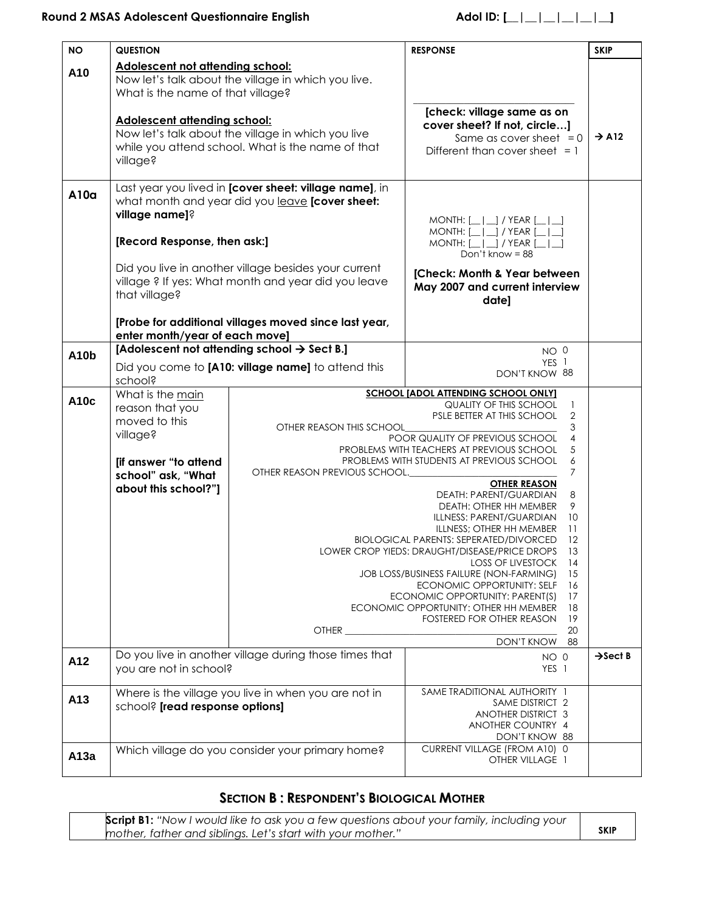| <b>NO</b>   | <b>QUESTION</b><br><b>RESPONSE</b><br><b>SKIP</b> |                                                         |                                                                                                  |                      |  |  |  |
|-------------|---------------------------------------------------|---------------------------------------------------------|--------------------------------------------------------------------------------------------------|----------------------|--|--|--|
| A10         | Adolescent not attending school:                  |                                                         |                                                                                                  |                      |  |  |  |
|             |                                                   | Now let's talk about the village in which you live.     |                                                                                                  |                      |  |  |  |
|             | What is the name of that village?                 |                                                         |                                                                                                  |                      |  |  |  |
|             | <b>Adolescent attending school:</b>               |                                                         | [check: village same as on                                                                       |                      |  |  |  |
|             |                                                   | Now let's talk about the village in which you live      | cover sheet? If not, circle]<br>Same as cover sheet $= 0$                                        | $\rightarrow$ A12    |  |  |  |
|             |                                                   | while you attend school. What is the name of that       | Different than cover sheet $= 1$                                                                 |                      |  |  |  |
|             | village?                                          |                                                         |                                                                                                  |                      |  |  |  |
|             |                                                   | Last year you lived in [cover sheet: village name], in  |                                                                                                  |                      |  |  |  |
| A10a        |                                                   | what month and year did you leave [cover sheet:         |                                                                                                  |                      |  |  |  |
|             | village name]?                                    |                                                         | MONTH: $[\_   \_ ]$ / YEAR $[\_   \_ ]$                                                          |                      |  |  |  |
|             | [Record Response, then ask:]                      |                                                         | $MONTH:$ $\boxed{\phantom{2}}$ / YEAR $\boxed{\phantom{2}}$                                      |                      |  |  |  |
|             |                                                   |                                                         | MONTH: $[\_   \_ ]$ / YEAR [<br>Don't know $= 88$                                                |                      |  |  |  |
|             |                                                   | Did you live in another village besides your current    | [Check: Month & Year between                                                                     |                      |  |  |  |
|             |                                                   | village ? If yes: What month and year did you leave     | May 2007 and current interview                                                                   |                      |  |  |  |
|             | that village?                                     |                                                         | date]                                                                                            |                      |  |  |  |
|             |                                                   | [Probe for additional villages moved since last year,   |                                                                                                  |                      |  |  |  |
|             | enter month/year of each move]                    |                                                         |                                                                                                  |                      |  |  |  |
| <b>A10b</b> |                                                   | [Adolescent not attending school $\rightarrow$ Sect B.] | NO <sub>0</sub>                                                                                  |                      |  |  |  |
|             |                                                   | Did you come to [A10: village name] to attend this      | YES <sub>1</sub><br>DON'T KNOW 88                                                                |                      |  |  |  |
|             | school?<br>What is the main                       |                                                         | <b>SCHOOL [ADOL ATTENDING SCHOOL ONLY]</b>                                                       |                      |  |  |  |
| A10c        | QUALITY OF THIS SCHOOL<br>-1<br>reason that you   |                                                         |                                                                                                  |                      |  |  |  |
|             | moved to this                                     | OTHER REASON THIS SCHOOL                                | PSLE BETTER AT THIS SCHOOL<br>$\overline{2}$<br>3                                                |                      |  |  |  |
|             | village?                                          |                                                         | POOR QUALITY OF PREVIOUS SCHOOL<br>4                                                             |                      |  |  |  |
|             | [if answer "to attend                             |                                                         | PROBLEMS WITH TEACHERS AT PREVIOUS SCHOOL<br>5<br>PROBLEMS WITH STUDENTS AT PREVIOUS SCHOOL<br>6 |                      |  |  |  |
|             | school" ask, "What                                | OTHER REASON PREVIOUS SCHOOL.                           | 7<br><b>OTHER REASON</b>                                                                         |                      |  |  |  |
|             | about this school?"]                              |                                                         |                                                                                                  |                      |  |  |  |
|             |                                                   |                                                         | DEATH: PARENT/GUARDIAN<br>8<br>9<br>DEATH: OTHER HH MEMBER                                       |                      |  |  |  |
|             |                                                   |                                                         | 10<br>ILLNESS: PARENT/GUARDIAN<br>ILLNESS; OTHER HH MEMBER<br>11                                 |                      |  |  |  |
|             |                                                   |                                                         | 12<br><b>BIOLOGICAL PARENTS: SEPERATED/DIVORCED</b>                                              |                      |  |  |  |
|             |                                                   |                                                         | LOWER CROP YIEDS: DRAUGHT/DISEASE/PRICE DROPS<br>13<br><b>LOSS OF LIVESTOCK</b><br>14            |                      |  |  |  |
|             |                                                   |                                                         | JOB LOSS/BUSINESS FAILURE (NON-FARMING)<br>15                                                    |                      |  |  |  |
|             |                                                   |                                                         | ECONOMIC OPPORTUNITY: SELF<br>16<br>ECONOMIC OPPORTUNITY: PARENT(S)                              |                      |  |  |  |
|             |                                                   |                                                         | 17<br>ECONOMIC OPPORTUNITY: OTHER HH MEMBER<br>18                                                |                      |  |  |  |
|             |                                                   |                                                         | FOSTERED FOR OTHER REASON<br>19                                                                  |                      |  |  |  |
|             |                                                   |                                                         | 20<br>DON'T KNOW<br>88                                                                           |                      |  |  |  |
| A12         |                                                   | Do you live in another village during those times that  | NO 0                                                                                             | $\rightarrow$ Sect B |  |  |  |
|             | you are not in school?                            |                                                         | YES <sub>1</sub>                                                                                 |                      |  |  |  |
| A13         |                                                   | Where is the village you live in when you are not in    | SAME TRADITIONAL AUTHORITY 1                                                                     |                      |  |  |  |
|             | school? [read response options]                   |                                                         | SAME DISTRICT 2<br>ANOTHER DISTRICT 3                                                            |                      |  |  |  |
|             |                                                   |                                                         | ANOTHER COUNTRY 4                                                                                |                      |  |  |  |
|             |                                                   |                                                         | DON'T KNOW 88<br>CURRENT VILLAGE (FROM A10) 0                                                    |                      |  |  |  |
| A13a        |                                                   | Which village do you consider your primary home?        | OTHER VILLAGE 1                                                                                  |                      |  |  |  |
|             |                                                   |                                                         |                                                                                                  |                      |  |  |  |

# **SECTION B : RESPONDENT'S BIOLOGICAL MOTHER**

| <b>Script B1:</b> "Now I would like to ask you a few questions about your family, including your |             |
|--------------------------------------------------------------------------------------------------|-------------|
| mother, father and siblings. Let's start with your mother."                                      | <b>SKIP</b> |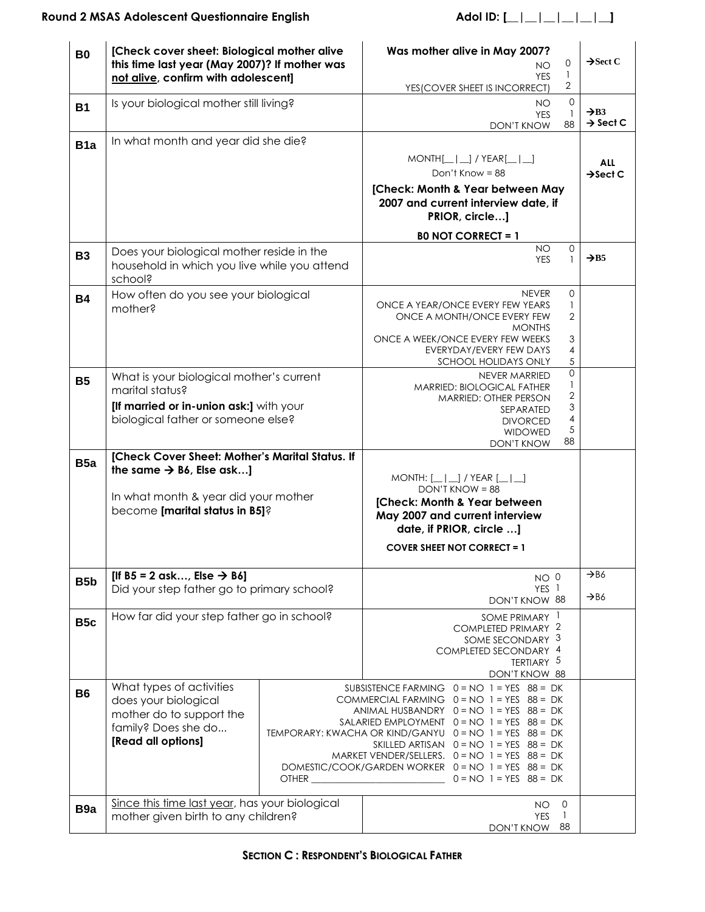# **Round 2 MSAS Adolescent Questionnaire English Adol ID: [\_\_|\_\_|\_\_|\_\_|\_\_|\_\_]**

<span id="page-2-1"></span><span id="page-2-0"></span>

| <b>B0</b>        | [Check cover sheet: Biological mother alive<br>this time last year (May 2007)? If mother was<br>not alive, confirm with adolescent]                               |                                                                                                                                                                                                                                                                                                                                                                                                                                     | Was mother alive in May 2007?<br>0<br>NO<br>$\mathbf{1}$<br><b>YES</b><br>$\sqrt{2}$<br>YES (COVER SHEET IS INCORRECT)                                                                                                                                            | $\rightarrow$ Sect C                     |  |
|------------------|-------------------------------------------------------------------------------------------------------------------------------------------------------------------|-------------------------------------------------------------------------------------------------------------------------------------------------------------------------------------------------------------------------------------------------------------------------------------------------------------------------------------------------------------------------------------------------------------------------------------|-------------------------------------------------------------------------------------------------------------------------------------------------------------------------------------------------------------------------------------------------------------------|------------------------------------------|--|
| <b>B1</b>        | Is your biological mother still living?                                                                                                                           |                                                                                                                                                                                                                                                                                                                                                                                                                                     | $\mathsf{O}\xspace$<br>ΝO<br>$\mathbf{1}$<br><b>YES</b><br>88<br><b>DON'T KNOW</b>                                                                                                                                                                                | $\rightarrow$ B3<br>$\rightarrow$ Sect C |  |
| B <sub>1</sub> a | In what month and year did she die?                                                                                                                               |                                                                                                                                                                                                                                                                                                                                                                                                                                     | $MONTH[\_ \_]\_$ / YEAR $[\_ \_]$<br>Don't Know = $88$<br>[Check: Month & Year between May<br>2007 and current interview date, if                                                                                                                                 | <b>ALL</b><br>$\rightarrow$ Sect C       |  |
|                  |                                                                                                                                                                   |                                                                                                                                                                                                                                                                                                                                                                                                                                     | PRIOR, circle]<br><b>BO NOT CORRECT = 1</b>                                                                                                                                                                                                                       |                                          |  |
| <b>B3</b>        | Does your biological mother reside in the<br>household in which you live while you attend<br>school?                                                              |                                                                                                                                                                                                                                                                                                                                                                                                                                     | ΝO<br>0<br>$\mathbf{1}$<br><b>YES</b>                                                                                                                                                                                                                             | $\rightarrow$ B <sub>5</sub>             |  |
| <b>B4</b>        | How often do you see your biological<br>mother?                                                                                                                   |                                                                                                                                                                                                                                                                                                                                                                                                                                     | $\mathbf{O}$<br><b>NEVER</b><br>$\mathbf{1}$<br>ONCE A YEAR/ONCE EVERY FEW YEARS<br>$\overline{2}$<br>ONCE A MONTH/ONCE EVERY FEW<br><b>MONTHS</b><br>3<br>ONCE A WEEK/ONCE EVERY FEW WEEKS<br>EVERYDAY/EVERY FEW DAYS<br>4<br>$\sqrt{5}$<br>SCHOOL HOLIDAYS ONLY |                                          |  |
| <b>B5</b>        | What is your biological mother's current<br>marital status?<br>[If married or in-union ask:] with your<br>biological father or someone else?                      |                                                                                                                                                                                                                                                                                                                                                                                                                                     | $\mathsf{O}\xspace$<br><b>NEVER MARRIED</b><br>$\mathbf{1}$<br>MARRIED: BIOLOGICAL FATHER<br>$\sqrt{2}$<br><b>MARRIED: OTHER PERSON</b><br>3<br>SEPARATED<br>4<br><b>DIVORCED</b><br>$\sqrt{5}$<br><b>WIDOWED</b><br>88<br>DON'T KNOW                             |                                          |  |
| B <sub>5a</sub>  | [Check Cover Sheet: Mother's Marital Status. If<br>the same $\rightarrow$ B6, Else ask]<br>In what month & year did your mother<br>become [marital status in B5]? |                                                                                                                                                                                                                                                                                                                                                                                                                                     | MONTH: $[\_   \_ ]$ / YEAR $[\_   \_ ]$<br>$DON'T$ KNOW = 88<br>[Check: Month & Year between<br>May 2007 and current interview<br>date, if PRIOR, circle ]<br><b>COVER SHEET NOT CORRECT = 1</b>                                                                  |                                          |  |
| B <sub>5</sub> b | [If B5 = 2 ask, Else $\rightarrow$ B6]<br>Did your step father go to primary school?                                                                              |                                                                                                                                                                                                                                                                                                                                                                                                                                     | NO 0<br>YES 1<br>DON'T KNOW 88                                                                                                                                                                                                                                    | $\rightarrow$ B6<br>$\rightarrow$ B6     |  |
| B <sub>5c</sub>  | How far did your step father go in school?                                                                                                                        |                                                                                                                                                                                                                                                                                                                                                                                                                                     | SOME PRIMARY 1<br>COMPLETED PRIMARY 2<br>SOME SECONDARY 3<br>COMPLETED SECONDARY 4<br>TERTIARY 5<br>DON'T KNOW 88                                                                                                                                                 |                                          |  |
| <b>B6</b>        | What types of activities<br>does your biological<br>mother do to support the<br>family? Does she do<br>[Read all options]                                         | SUBSISTENCE FARMING $0 = NO$ 1 = YES 88 = DK<br>COMMERCIAL FARMING $0 = NO$ 1 = YES 88 = DK<br>ANIMAL HUSBANDRY $0 = NO$ 1 = YES 88 = DK<br>SALARIED EMPLOYMENT $0 = NO$ 1 = YES 88 = DK<br>TEMPORARY: KWACHA OR KIND/GANYU 0 = NO 1 = YES 88 = DK<br>SKILLED ARTISAN $0 = NO$ 1 = YES 88 = DK<br>MARKET VENDER/SELLERS. $0 = NO$ 1 = YES 88 = DK<br>DOMESTIC/COOK/GARDEN WORKER 0 = NO 1 = YES 88 = DK<br>$0 = NO$ 1 = YES 88 = DK |                                                                                                                                                                                                                                                                   |                                          |  |
| B <sub>9a</sub>  | Since this time last year, has your biological<br>mother given birth to any children?                                                                             |                                                                                                                                                                                                                                                                                                                                                                                                                                     | 0<br><b>NO</b><br><b>YES</b><br>-1<br>88<br>DON'T KNOW                                                                                                                                                                                                            |                                          |  |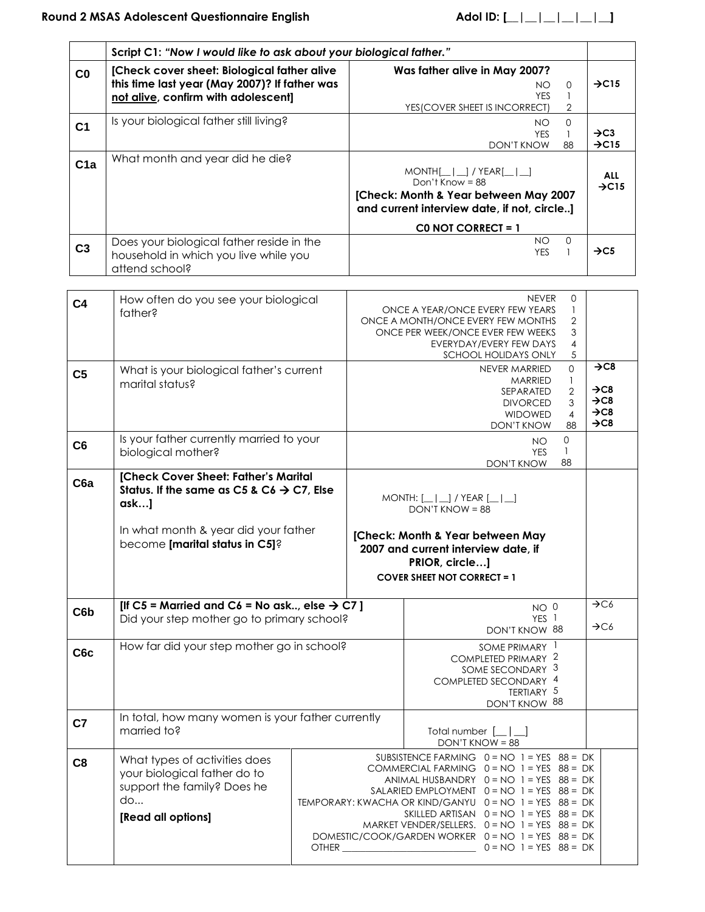|                  | Script C1: "Now I would like to ask about your biological father."                                                                                                              |                                                                                                                 |                                                                                                                                                                                                                                                                                                                                                                                                                              |                                                                                                                                                           |                                                                                                     |                                                                         |                                                                                                  |
|------------------|---------------------------------------------------------------------------------------------------------------------------------------------------------------------------------|-----------------------------------------------------------------------------------------------------------------|------------------------------------------------------------------------------------------------------------------------------------------------------------------------------------------------------------------------------------------------------------------------------------------------------------------------------------------------------------------------------------------------------------------------------|-----------------------------------------------------------------------------------------------------------------------------------------------------------|-----------------------------------------------------------------------------------------------------|-------------------------------------------------------------------------|--------------------------------------------------------------------------------------------------|
| C <sub>0</sub>   | [Check cover sheet: Biological father alive<br>this time last year (May 2007)? If father was<br>not alive, confirm with adolescent]                                             |                                                                                                                 |                                                                                                                                                                                                                                                                                                                                                                                                                              | Was father alive in May 2007?<br>YES (COVER SHEET IS INCORRECT)                                                                                           | <b>NO</b><br><b>YES</b>                                                                             | 0<br>1<br>$\overline{2}$                                                | $\rightarrow$ C15                                                                                |
| C <sub>1</sub>   | Is your biological father still living?                                                                                                                                         |                                                                                                                 |                                                                                                                                                                                                                                                                                                                                                                                                                              |                                                                                                                                                           | NO.<br><b>YES</b><br><b>DON'T KNOW</b>                                                              | $\mathsf O$<br>$\mathbf{1}$<br>88                                       | $\rightarrow$ C <sub>3</sub><br>$\rightarrow$ C15                                                |
| C <sub>1a</sub>  | What month and year did he die?                                                                                                                                                 |                                                                                                                 | $MONTH[\_ \_]\ /$ YEAR $[\_ \_]$<br>Don't Know = $88$<br>[Check: Month & Year between May 2007<br>and current interview date, if not, circle]                                                                                                                                                                                                                                                                                |                                                                                                                                                           |                                                                                                     |                                                                         | <b>ALL</b><br>$\rightarrow$ C15                                                                  |
| C <sub>3</sub>   | Does your biological father reside in the<br>household in which you live while you<br>attend school?                                                                            |                                                                                                                 |                                                                                                                                                                                                                                                                                                                                                                                                                              | CO NOT CORRECT = 1                                                                                                                                        | <b>NO</b><br><b>YES</b>                                                                             | $\mathsf O$<br>1                                                        | $\rightarrow$ C5                                                                                 |
| C <sub>4</sub>   | father?                                                                                                                                                                         | How often do you see your biological<br>ONCE A MONTH/ONCE EVERY FEW MONTHS<br>ONCE PER WEEK/ONCE EVER FEW WEEKS |                                                                                                                                                                                                                                                                                                                                                                                                                              |                                                                                                                                                           | <b>NEVER</b><br>ONCE A YEAR/ONCE EVERY FEW YEARS<br>EVERYDAY/EVERY FEW DAYS<br>SCHOOL HOLIDAYS ONLY | 0<br>$\mathbf{1}$<br>2<br>3<br>$\overline{4}$<br>5                      |                                                                                                  |
| C <sub>5</sub>   | What is your biological father's current<br>marital status?                                                                                                                     |                                                                                                                 |                                                                                                                                                                                                                                                                                                                                                                                                                              |                                                                                                                                                           | NEVER MARRIED<br>MARRIED<br>SEPARATED<br><b>DIVORCED</b><br><b>WIDOWED</b><br><b>DON'T KNOW</b>     | $\mathsf{O}$<br>$\mathbf{1}$<br>$\sqrt{2}$<br>3<br>$\overline{4}$<br>88 | $\rightarrow$ C8<br>$\rightarrow$ C8<br>$\rightarrow$ C8<br>$\rightarrow$ C8<br>$\rightarrow$ C8 |
| C6               | Is your father currently married to your<br>biological mother?                                                                                                                  |                                                                                                                 | $\mathbf{O}$<br>NO.<br>$\mathbf{1}$<br><b>YES</b><br>88<br><b>DON'T KNOW</b>                                                                                                                                                                                                                                                                                                                                                 |                                                                                                                                                           |                                                                                                     |                                                                         |                                                                                                  |
| C <sub>6a</sub>  | [Check Cover Sheet: Father's Marital<br>Status. If the same as C5 & C6 $\rightarrow$ C7, Else<br>ask]<br>In what month & year did your father<br>become [marital status in C5]? |                                                                                                                 |                                                                                                                                                                                                                                                                                                                                                                                                                              | MONTH: $[\_   \_ ]$ / YEAR $[\_   \_ ]$<br>$DOM'T$ KNOW = 88<br>[Check: Month & Year between May<br>2007 and current interview date, if<br>PRIOR, circle] |                                                                                                     |                                                                         |                                                                                                  |
|                  |                                                                                                                                                                                 |                                                                                                                 |                                                                                                                                                                                                                                                                                                                                                                                                                              | <b>COVER SHEET NOT CORRECT = 1</b>                                                                                                                        |                                                                                                     |                                                                         |                                                                                                  |
| C6 <sub>b</sub>  | [If C5 = Married and C6 = No ask, else $\rightarrow$ C7]<br>Did your step mother go to primary school?                                                                          |                                                                                                                 |                                                                                                                                                                                                                                                                                                                                                                                                                              |                                                                                                                                                           | NO <sub>0</sub><br>YES <sub>1</sub><br>DON'T KNOW 88                                                |                                                                         | $\rightarrow$ C6<br>$\rightarrow$ C6                                                             |
| C <sub>6</sub> c | How far did your step mother go in school?<br>SOME PRIMARY 1<br>COMPLETED PRIMARY 2<br>SOME SECONDARY 3<br>COMPLETED SECONDARY 4<br>TERTIARY 5<br>DON'T KNOW 88                 |                                                                                                                 |                                                                                                                                                                                                                                                                                                                                                                                                                              |                                                                                                                                                           |                                                                                                     |                                                                         |                                                                                                  |
| C7               | In total, how many women is your father currently<br>married to?                                                                                                                | Total number [   ]                                                                                              |                                                                                                                                                                                                                                                                                                                                                                                                                              |                                                                                                                                                           |                                                                                                     |                                                                         |                                                                                                  |
| C8               | What types of activities does<br>your biological father do to<br>support the family? Does he<br>do<br>[Read all options]                                                        |                                                                                                                 | DON'T KNOW = 88<br>SUBSISTENCE FARMING $0 = NO$ 1 = YES 88 = DK<br>COMMERCIAL FARMING $0 = NO$ 1 = YES 88 = DK<br>ANIMAL HUSBANDRY $0 = NO$ 1 = YES 88 = DK<br>SALARIED EMPLOYMENT $0 = NO$ 1 = YES 88 = DK<br>TEMPORARY: KWACHA OR KIND/GANYU $0 = NO$ 1 = YES 88 = DK<br>SKILLED ARTISAN $0 = NO$ 1 = YES 88 = DK<br>MARKET VENDER/SELLERS. $0 = NO$ 1 = YES 88 = DK<br>DOMESTIC/COOK/GARDEN WORKER 0 = NO 1 = YES 88 = DK |                                                                                                                                                           |                                                                                                     |                                                                         |                                                                                                  |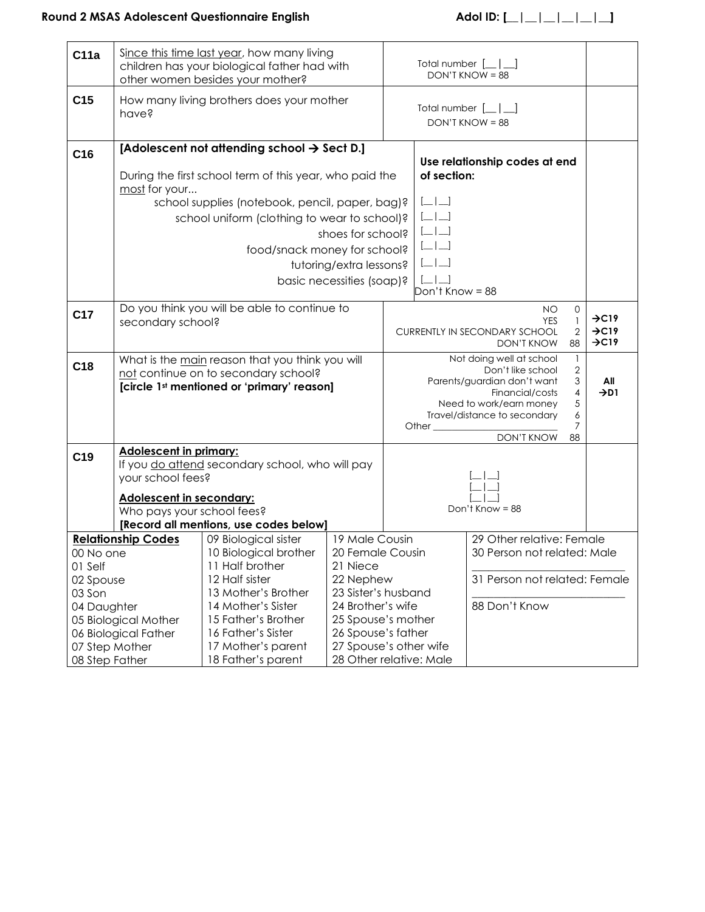# **Round 2 MSAS Adolescent Questionnaire English Adol ID: [\_\_|\_\_|\_\_|\_\_|\_\_|\_\_]**

| C <sub>11a</sub> | Since this time last year, how many living<br>children has your biological father had with<br>other women besides your mother? |                                                                                                                    |                           |                                  |                                                                                                                                                                                                                                                                                                                                                      | Total number $[\_   \_ ]$<br>DON'T KNOW = 88 |                      |                                        |
|------------------|--------------------------------------------------------------------------------------------------------------------------------|--------------------------------------------------------------------------------------------------------------------|---------------------------|----------------------------------|------------------------------------------------------------------------------------------------------------------------------------------------------------------------------------------------------------------------------------------------------------------------------------------------------------------------------------------------------|----------------------------------------------|----------------------|----------------------------------------|
| C <sub>15</sub>  | have?                                                                                                                          | How many living brothers does your mother                                                                          |                           |                                  |                                                                                                                                                                                                                                                                                                                                                      | Total number $[\_   \_ ]$<br>DON'T KNOW = 88 |                      |                                        |
| C <sub>16</sub>  |                                                                                                                                | [Adolescent not attending school $\rightarrow$ Sect D.]<br>During the first school term of this year, who paid the |                           |                                  | of section:                                                                                                                                                                                                                                                                                                                                          | Use relationship codes at end                |                      |                                        |
|                  | most for your                                                                                                                  |                                                                                                                    |                           |                                  |                                                                                                                                                                                                                                                                                                                                                      |                                              |                      |                                        |
|                  |                                                                                                                                | school supplies (notebook, pencil, paper, bag)?                                                                    |                           |                                  | $\left[ \begin{array}{c} \rule{0.2cm}{0.15mm} \rule{0.2cm}{0.15mm} \rule{0.2cm}{0.15mm} \rule{0.2cm}{0.15mm} \rule{0.2cm}{0.15mm} \rule{0.2cm}{0.15mm} \rule{0.2cm}{0.15mm} \rule{0.2cm}{0.15mm} \rule{0.2cm}{0.15mm} \rule{0.2cm}{0.15mm} \rule{0.2cm}{0.15mm} \rule{0.2cm}{0.15mm} \rule{0.2cm}{0.15mm} \rule{0.2cm}{0.15mm} \rule{0.2cm}{0.15mm}$ |                                              |                      |                                        |
|                  |                                                                                                                                | school uniform (clothing to wear to school)?                                                                       |                           |                                  | $\begin{array}{c} \boxed{-1} \end{array}$<br>$\begin{array}{c} \boxed{-1} \end{array}$                                                                                                                                                                                                                                                               |                                              |                      |                                        |
|                  |                                                                                                                                |                                                                                                                    | shoes for school?         |                                  | $\begin{array}{c} \boxed{-} \end{array}$                                                                                                                                                                                                                                                                                                             |                                              |                      |                                        |
|                  |                                                                                                                                | food/snack money for school?                                                                                       |                           |                                  | $\begin{array}{c} \boxed{-1} \end{array}$                                                                                                                                                                                                                                                                                                            |                                              |                      |                                        |
|                  |                                                                                                                                |                                                                                                                    | tutoring/extra lessons?   |                                  | $L_{\perp}$                                                                                                                                                                                                                                                                                                                                          |                                              |                      |                                        |
|                  |                                                                                                                                |                                                                                                                    | basic necessities (soap)? |                                  | Don't Know = 88                                                                                                                                                                                                                                                                                                                                      |                                              |                      |                                        |
|                  |                                                                                                                                | Do you think you will be able to continue to                                                                       |                           |                                  |                                                                                                                                                                                                                                                                                                                                                      | NO.                                          | $\mathbf{O}$         |                                        |
| C <sub>17</sub>  | secondary school?                                                                                                              |                                                                                                                    |                           |                                  |                                                                                                                                                                                                                                                                                                                                                      | <b>YES</b>                                   | $\mathbf{1}$         | $\rightarrow$ C19                      |
|                  |                                                                                                                                |                                                                                                                    |                           |                                  |                                                                                                                                                                                                                                                                                                                                                      | <b>CURRENTLY IN SECONDARY SCHOOL</b>         | $\overline{2}$<br>88 | $\rightarrow$ C19<br>$\rightarrow$ C19 |
|                  | What is the main reason that you think you will                                                                                |                                                                                                                    |                           |                                  |                                                                                                                                                                                                                                                                                                                                                      | DON'T KNOW<br>Not doing well at school       | 1                    |                                        |
| C <sub>18</sub>  |                                                                                                                                | not continue on to secondary school?                                                                               |                           | 2<br>Don't like school           |                                                                                                                                                                                                                                                                                                                                                      |                                              |                      |                                        |
|                  |                                                                                                                                | [circle 1st mentioned or 'primary' reason]                                                                         |                           | Parents/guardian don't want<br>3 |                                                                                                                                                                                                                                                                                                                                                      |                                              | All                  |                                        |
|                  |                                                                                                                                |                                                                                                                    |                           |                                  |                                                                                                                                                                                                                                                                                                                                                      | Financial/costs<br>Need to work/earn money   | $\overline{4}$<br>5  | $\rightarrow$ D1                       |
|                  |                                                                                                                                |                                                                                                                    |                           |                                  |                                                                                                                                                                                                                                                                                                                                                      | Travel/distance to secondary                 | 6                    |                                        |
|                  |                                                                                                                                |                                                                                                                    |                           |                                  |                                                                                                                                                                                                                                                                                                                                                      | DON'T KNOW                                   | 7<br>88              |                                        |
|                  | <b>Adolescent in primary:</b>                                                                                                  |                                                                                                                    |                           |                                  |                                                                                                                                                                                                                                                                                                                                                      |                                              |                      |                                        |
| C <sub>19</sub>  |                                                                                                                                | If you do attend secondary school, who will pay                                                                    |                           |                                  |                                                                                                                                                                                                                                                                                                                                                      |                                              |                      |                                        |
|                  | your school fees?                                                                                                              |                                                                                                                    |                           |                                  |                                                                                                                                                                                                                                                                                                                                                      |                                              |                      |                                        |
|                  | <b>Adolescent in secondary:</b>                                                                                                |                                                                                                                    |                           |                                  |                                                                                                                                                                                                                                                                                                                                                      |                                              |                      |                                        |
|                  | Who pays your school fees?                                                                                                     |                                                                                                                    |                           |                                  |                                                                                                                                                                                                                                                                                                                                                      | Don't Know = 88                              |                      |                                        |
|                  |                                                                                                                                | [Record all mentions, use codes below]                                                                             |                           |                                  |                                                                                                                                                                                                                                                                                                                                                      |                                              |                      |                                        |
|                  | <b>Relationship Codes</b>                                                                                                      | 09 Biological sister                                                                                               | 19 Male Cousin            |                                  |                                                                                                                                                                                                                                                                                                                                                      | 29 Other relative: Female                    |                      |                                        |
| 00 No one        |                                                                                                                                | 10 Biological brother                                                                                              | 20 Female Cousin          |                                  |                                                                                                                                                                                                                                                                                                                                                      | 30 Person not related: Male                  |                      |                                        |
| 02 Spouse        | 11 Half brother<br>21 Niece<br>01 Self<br>12 Half sister                                                                       |                                                                                                                    | 22 Nephew                 |                                  |                                                                                                                                                                                                                                                                                                                                                      | 31 Person not related: Female                |                      |                                        |
| 03 Son           |                                                                                                                                | 13 Mother's Brother                                                                                                | 23 Sister's husband       |                                  |                                                                                                                                                                                                                                                                                                                                                      |                                              |                      |                                        |
| 04 Daughter      |                                                                                                                                | 14 Mother's Sister                                                                                                 | 24 Brother's wife         |                                  |                                                                                                                                                                                                                                                                                                                                                      | 88 Don't Know                                |                      |                                        |
|                  | 05 Biological Mother                                                                                                           | 15 Father's Brother                                                                                                | 25 Spouse's mother        |                                  |                                                                                                                                                                                                                                                                                                                                                      |                                              |                      |                                        |
|                  | 06 Biological Father                                                                                                           | 16 Father's Sister                                                                                                 | 26 Spouse's father        |                                  |                                                                                                                                                                                                                                                                                                                                                      |                                              |                      |                                        |
| 07 Step Mother   |                                                                                                                                | 17 Mother's parent                                                                                                 | 27 Spouse's other wife    |                                  |                                                                                                                                                                                                                                                                                                                                                      |                                              |                      |                                        |
|                  |                                                                                                                                | 28 Other relative: Male<br>08 Step Father<br>18 Father's parent                                                    |                           |                                  |                                                                                                                                                                                                                                                                                                                                                      |                                              |                      |                                        |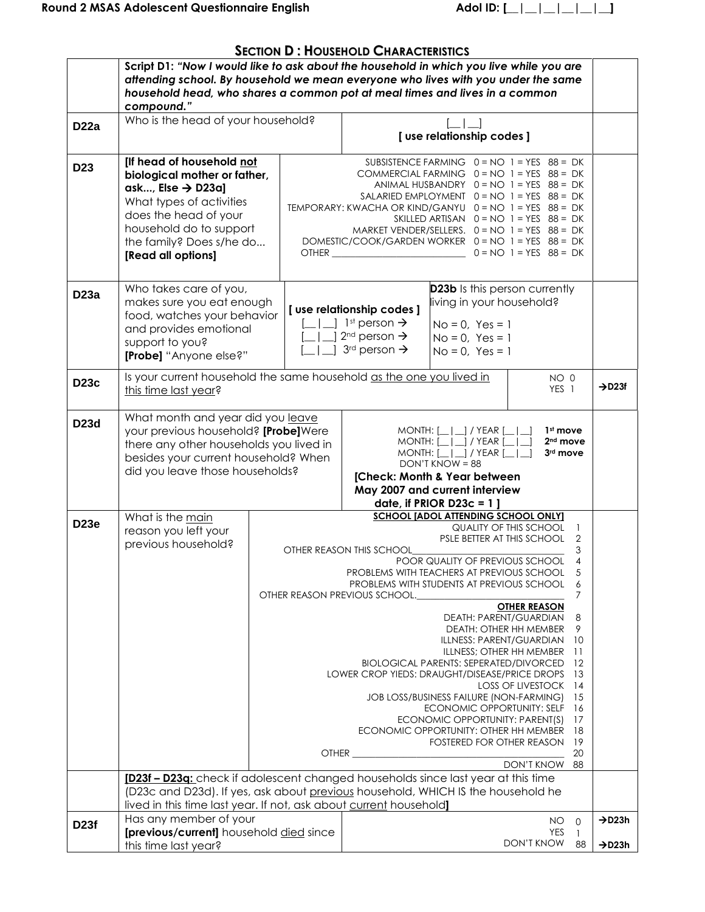| <b>SECTION D: HOUSEHOLD CHARACTERISTICS</b> |  |
|---------------------------------------------|--|
|---------------------------------------------|--|

|                  | Script D1: "Now I would like to ask about the household in which you live while you are<br>attending school. By household we mean everyone who lives with you under the same<br>household head, who shares a common pot at meal times and lives in a common<br>compound." |                                                                                                                                                                                                                                                                                                                                |                                                                                                                                                                                                                                                                                                                                                                                                                                                                                                                                                                                                                                                                                                                                                                                                                                                                                                                                                                                                                     |                                                                                                                                  |                          |                    |                    |
|------------------|---------------------------------------------------------------------------------------------------------------------------------------------------------------------------------------------------------------------------------------------------------------------------|--------------------------------------------------------------------------------------------------------------------------------------------------------------------------------------------------------------------------------------------------------------------------------------------------------------------------------|---------------------------------------------------------------------------------------------------------------------------------------------------------------------------------------------------------------------------------------------------------------------------------------------------------------------------------------------------------------------------------------------------------------------------------------------------------------------------------------------------------------------------------------------------------------------------------------------------------------------------------------------------------------------------------------------------------------------------------------------------------------------------------------------------------------------------------------------------------------------------------------------------------------------------------------------------------------------------------------------------------------------|----------------------------------------------------------------------------------------------------------------------------------|--------------------------|--------------------|--------------------|
| D22a             | Who is the head of your household?                                                                                                                                                                                                                                        |                                                                                                                                                                                                                                                                                                                                |                                                                                                                                                                                                                                                                                                                                                                                                                                                                                                                                                                                                                                                                                                                                                                                                                                                                                                                                                                                                                     | [ use relationship codes ]                                                                                                       |                          |                    |                    |
| D <sub>23</sub>  | [If head of household not<br>biological mother or father,<br>ask, Else $\rightarrow$ D23a]<br>What types of activities<br>does the head of your<br>household do to support<br>the family? Does s/he do<br>[Read all options]                                              |                                                                                                                                                                                                                                                                                                                                | SUBSISTENCE FARMING $0 = NO$ 1 = YES 88 = DK<br>COMMERCIAL FARMING $0 = NO$ 1 = YES 88 = DK<br>ANIMAL HUSBANDRY $0 = NO$ 1 = YES 88 = DK<br>SALARIED EMPLOYMENT $0 = NO$ 1 = YES 88 = DK<br>TEMPORARY: KWACHA OR KIND/GANYU 0 = NO 1 = YES 88 = DK<br>SKILLED ARTISAN $0 = NO$ 1 = YES 88 = DK<br>MARKET VENDER/SELLERS. $0 = NO$ 1 = YES 88 = DK<br>DOMESTIC/COOK/GARDEN WORKER 0 = NO 1 = YES 88 = DK<br>$0 = NO$ 1 = YES 88 = DK                                                                                                                                                                                                                                                                                                                                                                                                                                                                                                                                                                                 |                                                                                                                                  |                          |                    |                    |
| <b>D23a</b>      | Who takes care of you,<br>makes sure you eat enough<br>food, watches your behavior<br>and provides emotional<br>support to you?<br>[Probe] "Anyone else?"                                                                                                                 |                                                                                                                                                                                                                                                                                                                                | [ use relationship codes ]<br>$1st$ person $\rightarrow$<br>$2nd$ person $\rightarrow$<br>$3rd$ person $\rightarrow$                                                                                                                                                                                                                                                                                                                                                                                                                                                                                                                                                                                                                                                                                                                                                                                                                                                                                                | <b>D23b</b> Is this person currently<br>living in your household?<br>$No = 0, Yes = 1$<br>$No = 0, Yes = 1$<br>$No = 0, Yes = 1$ |                          |                    |                    |
| <b>D23c</b>      | Is your current household the same household as the one you lived in<br>this time last year?                                                                                                                                                                              |                                                                                                                                                                                                                                                                                                                                |                                                                                                                                                                                                                                                                                                                                                                                                                                                                                                                                                                                                                                                                                                                                                                                                                                                                                                                                                                                                                     |                                                                                                                                  | NO 0<br>YES <sub>1</sub> |                    | $\rightarrow$ D23f |
| <b>D23d</b>      | What month and year did you leave<br>your previous household? [Probe]Were<br>there any other households you lived in<br>besides your current household? When<br>did you leave those households?                                                                           | 1st move<br>$MONTH:$ $\boxed{\phantom{1}}$ / YEAR $\boxed{\phantom{1}}$<br>$MONTH:$ $\boxed{\phantom{2}}$ / YEAR $\boxed{\phantom{2}}$<br>2 <sup>nd</sup> move<br>$MONTH:$ $\boxed{\phantom{2}}$ / YEAR $\boxed{\phantom{2}}$<br>3rd move<br>DON'T KNOW = 88<br>[Check: Month & Year between<br>May 2007 and current interview |                                                                                                                                                                                                                                                                                                                                                                                                                                                                                                                                                                                                                                                                                                                                                                                                                                                                                                                                                                                                                     |                                                                                                                                  |                          |                    |                    |
| <b>D23e</b>      | What is the main<br>reason you left your<br>previous household?<br><b>[D23f - D23g:</b> check if adolescent changed households since last year at this time                                                                                                               |                                                                                                                                                                                                                                                                                                                                | date, if PRIOR D23 $c = 1$ ]<br><b>SCHOOL [ADOL ATTENDING SCHOOL ONLY]</b><br><b>QUALITY OF THIS SCHOOL</b><br>PSLE BETTER AT THIS SCHOOL<br>2<br>OTHER REASON THIS SCHOOL<br>3<br>POOR QUALITY OF PREVIOUS SCHOOL<br>4<br>PROBLEMS WITH TEACHERS AT PREVIOUS SCHOOL<br>Э<br>PROBLEMS WITH STUDENTS AT PREVIOUS SCHOOL<br>6<br>OTHER REASON PREVIOUS SCHOOL.<br>7<br><b>OTHER REASON</b><br><b>DEATH: PARENT/GUARDIAN</b><br>8<br>9<br>DEATH: OTHER HH MEMBER<br>ILLNESS: PARENT/GUARDIAN<br>10<br>ILLNESS; OTHER HH MEMBER<br>-11<br><b>BIOLOGICAL PARENTS: SEPERATED/DIVORCED</b><br>12<br>13<br>LOWER CROP YIEDS: DRAUGHT/DISEASE/PRICE DROPS<br><b>LOSS OF LIVESTOCK</b><br>14<br>JOB LOSS/BUSINESS FAILURE (NON-FARMING)<br>15<br>ECONOMIC OPPORTUNITY: SELF<br>16<br>ECONOMIC OPPORTUNITY: PARENT(S)<br>17<br>ECONOMIC OPPORTUNITY: OTHER HH MEMBER<br>18<br>FOSTERED FOR OTHER REASON<br>19<br><b>OTHER</b><br>20<br><u> 1980 - Johann Stein, mars an deus Amerikaansk kommunister (</u><br>DON'T KNOW<br>88 |                                                                                                                                  |                          |                    |                    |
| D <sub>23f</sub> | (D23c and D23d). If yes, ask about previous household, WHICH IS the household he<br>lived in this time last year. If not, ask about current household]<br>Has any member of your                                                                                          |                                                                                                                                                                                                                                                                                                                                |                                                                                                                                                                                                                                                                                                                                                                                                                                                                                                                                                                                                                                                                                                                                                                                                                                                                                                                                                                                                                     |                                                                                                                                  | <b>NO</b>                | $\mathbf{0}$       | $\rightarrow$ D23h |
|                  | [previous/current] household died since<br>this time last year?                                                                                                                                                                                                           |                                                                                                                                                                                                                                                                                                                                |                                                                                                                                                                                                                                                                                                                                                                                                                                                                                                                                                                                                                                                                                                                                                                                                                                                                                                                                                                                                                     |                                                                                                                                  | <b>YES</b><br>DON'T KNOW | $\mathbf{1}$<br>88 | $\rightarrow$ D23h |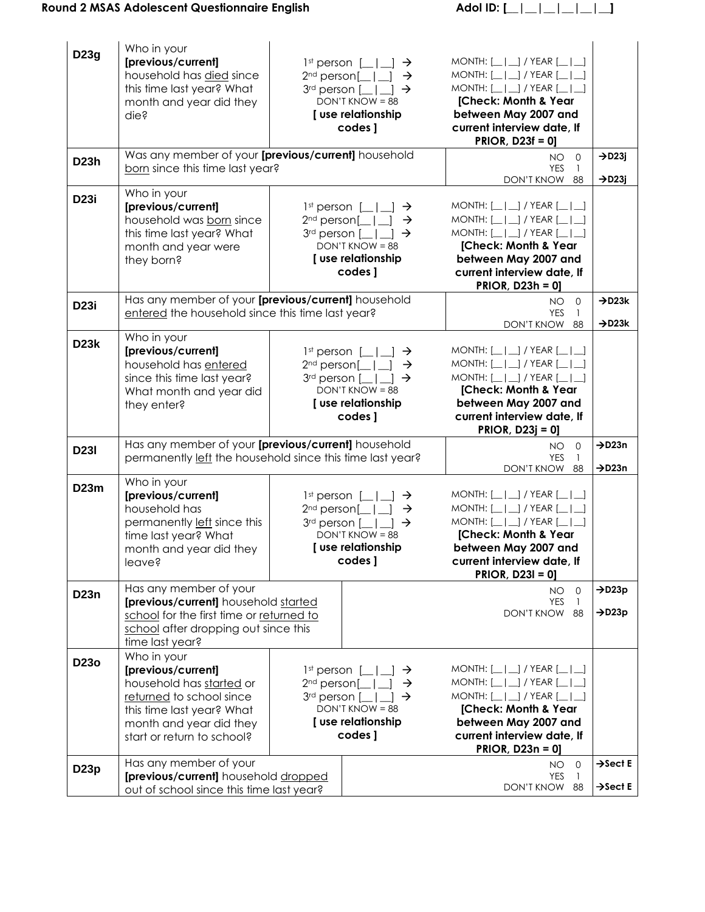| D23g             | Who in your<br>[previous/current]<br>household has died since<br>this time last year? What<br>month and year did they<br>die?                                                   | $1st$ person [<br>$2nd person$  <br>3rd person [                   | $\rightarrow$<br>$\rightarrow$<br>$\rightarrow$<br>DON'T KNOW = 88<br>[ use relationship<br>codes ] | $MONTH: [\underline{\hspace{1cm}}] \underline{\hspace{1cm}}] / YEAR [\underline{\hspace{1cm}}] \underline{\hspace{1cm}}]$<br>$MONTH:$ $\begin{bmatrix} 1 & 1 \end{bmatrix}$ / YEAR $\begin{bmatrix} 1 & 1 \end{bmatrix}$<br>$MONTH:$ $\begin{bmatrix} 1 & 1 \end{bmatrix}$ / YEAR $\begin{bmatrix} 1 & 1 \end{bmatrix}$<br>[Check: Month & Year<br>between May 2007 and<br>current interview date, If<br>$PRIOR, D23f = 0$ |                                              |
|------------------|---------------------------------------------------------------------------------------------------------------------------------------------------------------------------------|--------------------------------------------------------------------|-----------------------------------------------------------------------------------------------------|----------------------------------------------------------------------------------------------------------------------------------------------------------------------------------------------------------------------------------------------------------------------------------------------------------------------------------------------------------------------------------------------------------------------------|----------------------------------------------|
| <b>D23h</b>      | Was any member of your [previous/current] household<br>born since this time last year?                                                                                          |                                                                    |                                                                                                     | <b>NO</b><br>0<br><b>YES</b><br>$\overline{1}$<br>DON'T KNOW 88                                                                                                                                                                                                                                                                                                                                                            | $\rightarrow$ D23j<br>$\rightarrow$ D23j     |
| <b>D23i</b>      | Who in your<br>[previous/current]<br>household was born since<br>this time last year? What<br>month and year were<br>they born?                                                 | $1st$ person  <br>2 <sup>nd</sup> person[<br>$3rd$ person $\lceil$ | $\rightarrow$<br>$\rightarrow$<br>$\rightarrow$<br>DON'T KNOW = 88<br>[ use relationship<br>codes ] | MONTH: $[\_   \_ ]$ / YEAR $[\_   \_ ]$<br>$MONTH:$ $[\_   \_ ]$ / YEAR $[\_   \_ ]$<br>MONTH: $[\_   \_ ]$ / YEAR $[\_   \_ ]$<br>[Check: Month & Year<br>between May 2007 and<br>current interview date, If<br>$PRIOR, D23h = 0$ ]                                                                                                                                                                                       |                                              |
| <b>D23i</b>      | Has any member of your [previous/current] household<br>entered the household since this time last year?                                                                         |                                                                    |                                                                                                     | NO.<br>$\circ$<br><b>YES</b><br>$\overline{1}$<br>DON'T KNOW 88                                                                                                                                                                                                                                                                                                                                                            | $\rightarrow$ D23k<br>$\rightarrow$ D23k     |
| <b>D23k</b>      | Who in your<br>[previous/current]<br>household has entered<br>since this time last year?<br>What month and year did<br>they enter?                                              | $1st$ person [<br>$2nd$ person $\lceil$<br>3rd person [            | →<br>$\rightarrow$<br>$\rightarrow$<br>DON'T KNOW = 88<br>[ use relationship<br>codes ]             | $MONTH:$ $\begin{bmatrix} 1 & 1 \end{bmatrix}$ / YEAR $\begin{bmatrix} 1 & 1 \end{bmatrix}$<br>$MONTH:$ $[\_   \_ ]$ / YEAR $[\_   \_ ]$<br>$MONTH:$ $\begin{bmatrix} 1 & 1 \end{bmatrix}$ / YEAR $\begin{bmatrix} 1 & 1 \end{bmatrix}$<br>[Check: Month & Year<br>between May 2007 and<br>current interview date, If<br>$PRIOR, D23j = 0$                                                                                 |                                              |
| <b>D231</b>      | Has any member of your [previous/current] household<br>permanently left the household since this time last year?                                                                |                                                                    |                                                                                                     | <b>NO</b><br>$\overline{0}$<br><b>YES</b><br>$\overline{1}$<br>DON'T KNOW 88                                                                                                                                                                                                                                                                                                                                               | $\rightarrow$ D23n<br>$\rightarrow$ D23n     |
| <b>D23m</b>      | Who in your<br>[previous/current]<br>household has<br>permanently left since this<br>time last year? What<br>month and year did they<br>leave?                                  | 1st person  <br>2 <sup>nd</sup> person[<br>3rd person [            | $\rightarrow$<br>$\rightarrow$<br>$\rightarrow$<br>DON'T KNOW = 88<br>[ use relationship<br>codes ] | $MONTH:$ $[\_   \_ ]$ / YEAR $[\_   \_ ]$<br>$MONTH:$ $[\_   \_ ]$ / YEAR $[\_   \_ ]$<br>$MONTH: [\underline{\hspace{1cm}}] \underline{\hspace{1cm}}] / YEAR [\underline{\hspace{1cm}}] \underline{\hspace{1cm}}]$<br>[Check: Month & Year<br>between May 2007 and<br>current interview date, If<br>$PRIOR, D23I = 0$ ]                                                                                                   |                                              |
| <b>D23n</b>      | Has any member of your<br>[previous/current] household started<br>school for the first time or returned to<br>school after dropping out since this<br>time last year?           |                                                                    |                                                                                                     | NO.<br>$\overline{O}$<br><b>YES</b><br>$\overline{1}$<br>DON'T KNOW 88                                                                                                                                                                                                                                                                                                                                                     | $\rightarrow$ D23p<br>$\rightarrow$ D23p     |
| <b>D230</b>      | Who in your<br>[previous/current]<br>household has started or<br>returned to school since<br>this time last year? What<br>month and year did they<br>start or return to school? | $1st$ person [<br>$2nd person$ [_]<br>3 <sup>rd</sup> person [     | $\rightarrow$<br>$\rightarrow$<br>$\rightarrow$<br>DON'T KNOW = 88<br>[ use relationship<br>codes ] | $MONTH:$ $[\_   \_ ]$ / YEAR $[\_   \_ ]$<br>$MONTH:$ $[\_   \_ ]$ / YEAR $[\_   \_ ]$<br>MONTH: [_ _] / YEAR [_ _]<br>[Check: Month & Year<br>between May 2007 and<br>current interview date, If<br>$PRIOR, D23n = 0$                                                                                                                                                                                                     |                                              |
| D <sub>23p</sub> | Has any member of your<br>[previous/current] household dropped<br>out of school since this time last year?                                                                      |                                                                    |                                                                                                     | NO.<br>$\overline{0}$<br><b>YES</b><br>$\overline{1}$<br>DON'T KNOW 88                                                                                                                                                                                                                                                                                                                                                     | $\rightarrow$ Sect E<br>$\rightarrow$ Sect E |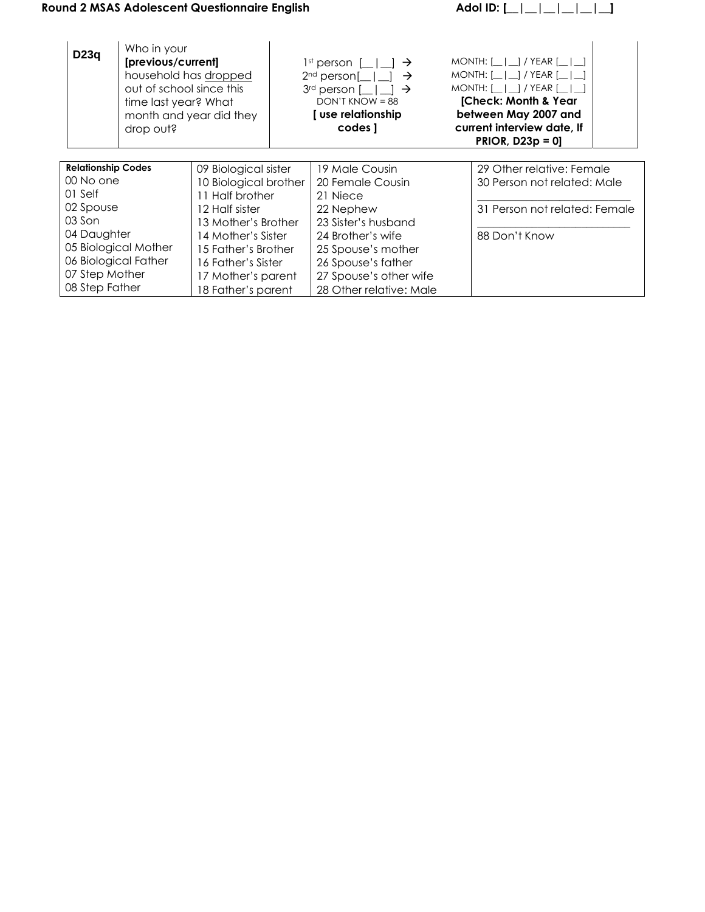| D23q                      | Who in your<br>[previous/current]<br>out of school since this<br>time last year? What<br>drop out? | household has dropped<br>month and year did they | $1st$ person $\lceil \quad \rceil$<br>$\rightarrow$<br>$2nd$ person $\lceil \quad \rceil$<br>$\rightarrow$<br>3rd person [<br>$\rightarrow$<br>$DON'T$ KNOW = 88<br>[ use relationship<br>codes ] | $M$ ONTH: $\begin{bmatrix} 1 \\ 1 \end{bmatrix}$ / YEAR $\begin{bmatrix} 1 \\ 1 \end{bmatrix}$<br>MONTH: [       YEAR [  <br>$MONTH: [\_   \_ ]$ / YEAR $[\_   \_ ]$<br>[Check: Month & Year<br>between May 2007 and<br>current interview date, If<br>$PRIOR, D23p = 0$ |
|---------------------------|----------------------------------------------------------------------------------------------------|--------------------------------------------------|---------------------------------------------------------------------------------------------------------------------------------------------------------------------------------------------------|-------------------------------------------------------------------------------------------------------------------------------------------------------------------------------------------------------------------------------------------------------------------------|
| <b>Relationship Codes</b> |                                                                                                    | 09 Biological sister                             | 19 Male Cousin                                                                                                                                                                                    | 29 Other relative: Female                                                                                                                                                                                                                                               |
| 00 No one                 |                                                                                                    | 10 Biological brother                            | 20 Female Cousin                                                                                                                                                                                  | 30 Person not related: Male                                                                                                                                                                                                                                             |
| 01 Self                   |                                                                                                    | 1 Half brother                                   | 21 Niece                                                                                                                                                                                          |                                                                                                                                                                                                                                                                         |
| 02 Spouse                 |                                                                                                    | 12 Half sister                                   | 22 Nephew                                                                                                                                                                                         | 31 Person not related: Female                                                                                                                                                                                                                                           |
| 03 Son                    |                                                                                                    | 13 Mother's Brother                              | 23 Sister's husband                                                                                                                                                                               |                                                                                                                                                                                                                                                                         |
| 04 Daughter               |                                                                                                    | I 4 Mother's Sister                              | 24 Brother's wife                                                                                                                                                                                 | 88 Don't Know                                                                                                                                                                                                                                                           |
| 05 Biological Mother      |                                                                                                    | 15 Father's Brother                              | 25 Spouse's mother                                                                                                                                                                                |                                                                                                                                                                                                                                                                         |
| 06 Biological Father      |                                                                                                    | 16 Father's Sister                               | 26 Spouse's father                                                                                                                                                                                |                                                                                                                                                                                                                                                                         |
| 07 Step Mother            |                                                                                                    | 17 Mother's parent                               | 27 Spouse's other wife                                                                                                                                                                            |                                                                                                                                                                                                                                                                         |
| 08 Step Father            |                                                                                                    | 18 Father's parent                               | 28 Other relative: Male                                                                                                                                                                           |                                                                                                                                                                                                                                                                         |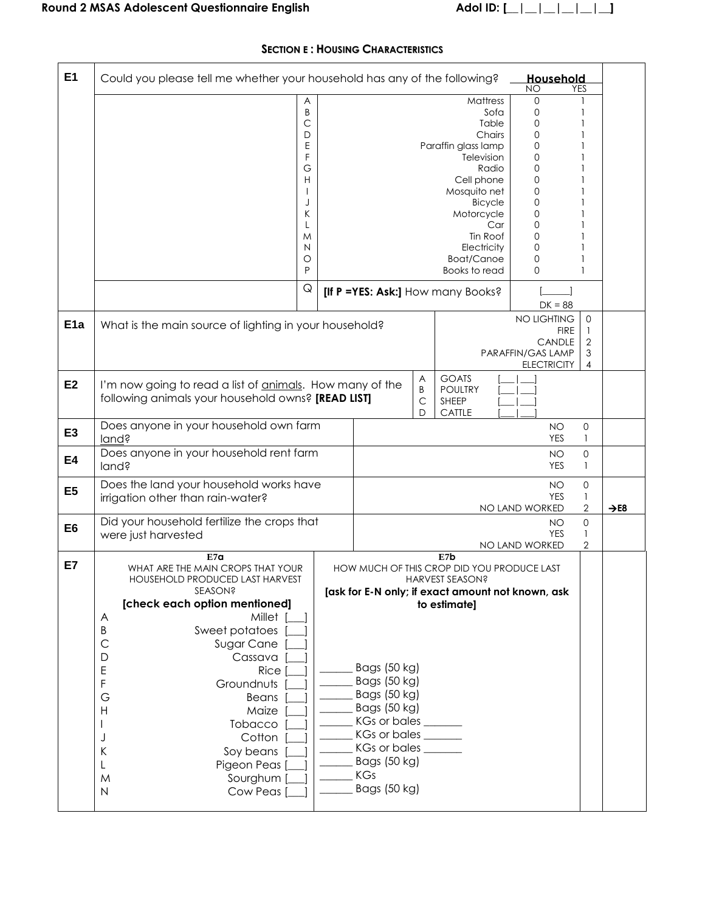# **SECTION E : HOUSING CHARACTERISTICS**

<span id="page-8-0"></span>

| E1              | Could you please tell me whether your household has any of the following?                                                                                                                                                                                                                       |                                                                                                                                                                                  |                             |                                                                                                                                                                                                           | Household<br>NO                                                                        | <b>YES</b>                                       |                  |
|-----------------|-------------------------------------------------------------------------------------------------------------------------------------------------------------------------------------------------------------------------------------------------------------------------------------------------|----------------------------------------------------------------------------------------------------------------------------------------------------------------------------------|-----------------------------|-----------------------------------------------------------------------------------------------------------------------------------------------------------------------------------------------------------|----------------------------------------------------------------------------------------|--------------------------------------------------|------------------|
|                 | A<br>Β<br>С<br>D<br>E<br>F<br>G<br>Н<br>J<br>Κ<br>L<br>M<br>N<br>$\circ$<br>P                                                                                                                                                                                                                   |                                                                                                                                                                                  |                             | Mattress<br>Sofa<br>Table<br>Chairs<br>Paraffin glass lamp<br>Television<br>Radio<br>Cell phone<br>Mosquito net<br>Bicycle<br>Motorcycle<br>Car<br>Tin Roof<br>Electricity<br>Boat/Canoe<br>Books to read | $\Omega$<br>0<br>0<br>0<br>0<br>0<br>0<br>0<br>0<br>0<br>0<br>0<br>0<br>0<br>0<br>0    | $\mathbf{1}$                                     |                  |
|                 | Q                                                                                                                                                                                                                                                                                               |                                                                                                                                                                                  |                             | [If P = YES: Ask:] How many Books?                                                                                                                                                                        | $DK = 88$                                                                              |                                                  |                  |
| E <sub>1a</sub> | What is the main source of lighting in your household?                                                                                                                                                                                                                                          |                                                                                                                                                                                  |                             |                                                                                                                                                                                                           | NO LIGHTING<br><b>FIRE</b><br><b>CANDLE</b><br>PARAFFIN/GAS LAMP<br><b>ELECTRICITY</b> | 0<br>-1<br>$\overline{2}$<br>3<br>$\overline{4}$ |                  |
| E <sub>2</sub>  | I'm now going to read a list of <b>animals</b> . How many of the<br>following animals your household owns? [READ LIST]                                                                                                                                                                          |                                                                                                                                                                                  | A<br>Β<br>$\mathsf{C}$<br>D | <b>GOATS</b><br><b>POULTRY</b><br>SHEEP<br>CATTLE                                                                                                                                                         |                                                                                        |                                                  |                  |
| E <sub>3</sub>  | Does anyone in your household own farm<br>land?                                                                                                                                                                                                                                                 |                                                                                                                                                                                  |                             |                                                                                                                                                                                                           | <b>NO</b><br><b>YES</b>                                                                | 0<br>1                                           |                  |
| E4              | Does anyone in your household rent farm<br>land?                                                                                                                                                                                                                                                |                                                                                                                                                                                  |                             |                                                                                                                                                                                                           | <b>NO</b><br><b>YES</b>                                                                | 0<br>$\mathbf{1}$                                |                  |
| E <sub>5</sub>  | Does the land your household works have<br>irrigation other than rain-water?                                                                                                                                                                                                                    |                                                                                                                                                                                  |                             |                                                                                                                                                                                                           | NO<br><b>YES</b><br>NO LAND WORKED                                                     | 0<br>$\mathbf{1}$<br>2                           | $\rightarrow$ E8 |
| E <sub>6</sub>  | Did your household fertilize the crops that<br>were just harvested                                                                                                                                                                                                                              |                                                                                                                                                                                  |                             |                                                                                                                                                                                                           | <b>NO</b><br><b>YES</b><br>NO LAND WORKED                                              | 0<br>$\mathbf{1}$<br>2                           |                  |
| E7              | E7a<br>WHAT ARE THE MAIN CROPS THAT YOUR<br>HOUSEHOLD PRODUCED LAST HARVEST<br><b>SEASON?</b>                                                                                                                                                                                                   |                                                                                                                                                                                  |                             | E7b<br>HOW MUCH OF THIS CROP DID YOU PRODUCE LAST<br><b>HARVEST SEASON?</b><br>[ask for E-N only; if exact amount not known, ask                                                                          |                                                                                        |                                                  |                  |
|                 | [check each option mentioned]<br>Millet<br>A<br>Sweet potatoes<br>Β<br>$\mathsf{C}$<br>Sugar Cane<br>D<br>Cassava<br>E<br>Rice<br>F<br>Groundnuts<br>G<br>Beans<br>H<br>Maize<br>Tobacco<br>Cotton<br>J<br>K<br>Soy beans<br>Pigeon Peas [<br>L<br>Sourghum [<br>M<br>Cow Peas [<br>$\mathsf N$ | Bags (50 kg)<br>Bags (50 kg)<br>Bags (50 kg)<br>Bags (50 kg)<br>KGs or bales _______<br>KGs or bales ______<br>KGs or bales ______<br>Bags (50 kg)<br><b>KGs</b><br>Bags (50 kg) |                             | to estimate]                                                                                                                                                                                              |                                                                                        |                                                  |                  |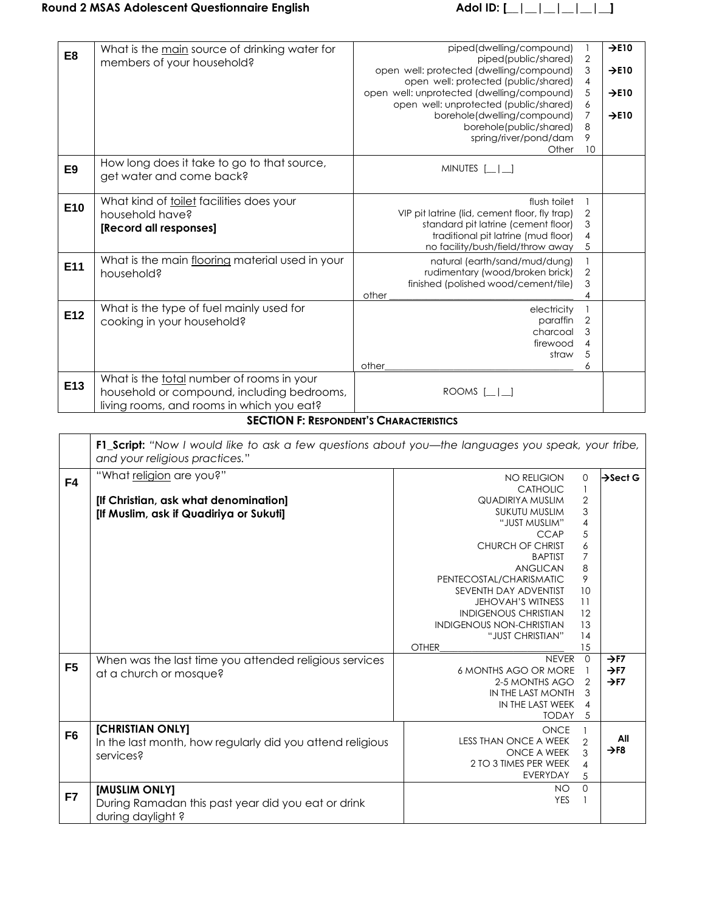| E <sub>8</sub> | What is the main source of drinking water for<br>members of your household?                                                          | piped(dwelling/compound)<br>piped(public/shared)<br>open well: protected (dwelling/compound)<br>open well: protected (public/shared)<br>open well: unprotected (dwelling/compound)<br>open well: unprotected (public/shared)<br>borehole(dwelling/compound)<br>borehole(public/shared)<br>spring/river/pond/dam<br>Other | $\overline{2}$<br>$\ensuremath{\mathsf{3}}$<br>$\overline{4}$<br>5<br>6<br>$\overline{7}$<br>8<br>9<br>10 | $\rightarrow$ E10<br>$\rightarrow$ E10<br>$\rightarrow$ E10<br>$\rightarrow$ E10 |
|----------------|--------------------------------------------------------------------------------------------------------------------------------------|--------------------------------------------------------------------------------------------------------------------------------------------------------------------------------------------------------------------------------------------------------------------------------------------------------------------------|-----------------------------------------------------------------------------------------------------------|----------------------------------------------------------------------------------|
| E <sub>9</sub> | How long does it take to go to that source,<br>get water and come back?                                                              | MINUTES [   ]                                                                                                                                                                                                                                                                                                            |                                                                                                           |                                                                                  |
| E10            | What kind of toilet facilities does your<br>household have?<br>[Record all responses]                                                | flush toilet<br>VIP pit latrine (lid, cement floor, fly trap)<br>standard pit latrine (cement floor)<br>traditional pit latrine (mud floor)<br>no facility/bush/field/throw away                                                                                                                                         | $\overline{2}$<br>3<br>$\overline{4}$<br>5                                                                |                                                                                  |
| E11            | What is the main flooring material used in your<br>household?                                                                        | natural (earth/sand/mud/dung)<br>rudimentary (wood/broken brick)<br>finished (polished wood/cement/tile)<br>other                                                                                                                                                                                                        | $\mathbf 2$<br>3<br>4                                                                                     |                                                                                  |
| E12            | What is the type of fuel mainly used for<br>cooking in your household?                                                               | electricity<br>paraffin<br>charcoal<br>firewood<br>straw<br>other                                                                                                                                                                                                                                                        | 2<br>3<br>4<br>5<br>6                                                                                     |                                                                                  |
| E13            | What is the total number of rooms in your<br>household or compound, including bedrooms,<br>living rooms, and rooms in which you eat? | $ROOMS$ $\Box$                                                                                                                                                                                                                                                                                                           |                                                                                                           |                                                                                  |

### **SECTION F: RESPONDENT'S CHARACTERISTICS**

|                | F1_Script: "Now I would like to ask a few questions about you—the languages you speak, your tribe,<br>and your religious practices." |                                 |                |                      |
|----------------|--------------------------------------------------------------------------------------------------------------------------------------|---------------------------------|----------------|----------------------|
| F4             | "What religion are you?"                                                                                                             | <b>NO RELIGION</b>              | 0              | $\rightarrow$ Sect G |
|                |                                                                                                                                      | CATHOLIC                        | 1              |                      |
|                | [If Christian, ask what denomination]                                                                                                | <b>QUADIRIYA MUSLIM</b>         | $\overline{2}$ |                      |
|                | [If Muslim, ask if Quadiriya or Sukuti]                                                                                              | <b>SUKUTU MUSLIM</b>            | 3              |                      |
|                |                                                                                                                                      | "JUST MUSLIM"                   | 4              |                      |
|                |                                                                                                                                      | <b>CCAP</b>                     | 5              |                      |
|                |                                                                                                                                      | <b>CHURCH OF CHRIST</b>         | 6              |                      |
|                |                                                                                                                                      | <b>BAPTIST</b>                  | $\overline{7}$ |                      |
|                |                                                                                                                                      | <b>ANGLICAN</b>                 | 8              |                      |
|                |                                                                                                                                      | PENTECOSTAL/CHARISMATIC         | 9              |                      |
|                |                                                                                                                                      | SEVENTH DAY ADVENTIST           | 10             |                      |
|                |                                                                                                                                      | <b>JEHOVAH'S WITNESS</b>        | 11             |                      |
|                |                                                                                                                                      | <b>INDIGENOUS CHRISTIAN</b>     | 12             |                      |
|                |                                                                                                                                      | <b>INDIGENOUS NON-CHRISTIAN</b> | 13             |                      |
|                |                                                                                                                                      | "JUST CHRISTIAN"                | 14             |                      |
|                |                                                                                                                                      | <b>OTHER</b>                    | 15             |                      |
|                | When was the last time you attended religious services                                                                               | <b>NEVER</b>                    | $\mathbf 0$    | $\rightarrow$ F7     |
| F <sub>5</sub> | at a church or mosque?                                                                                                               | <b>6 MONTHS AGO OR MORE</b>     | $\mathbf{1}$   | $\rightarrow$ F7     |
|                |                                                                                                                                      | 2-5 MONTHS AGO                  | $\overline{2}$ | $\rightarrow$ F7     |
|                |                                                                                                                                      | IN THE LAST MONTH               | 3              |                      |
|                |                                                                                                                                      | IN THE LAST WEEK                | $\overline{4}$ |                      |
|                |                                                                                                                                      | <b>TODAY</b>                    | 5              |                      |
|                | [CHRISTIAN ONLY]                                                                                                                     | ONCE                            |                |                      |
| F <sub>6</sub> | In the last month, how regularly did you attend religious                                                                            | <b>LESS THAN ONCE A WEEK</b>    | $\overline{2}$ | All                  |
|                | services?                                                                                                                            | <b>ONCE A WEEK</b>              | 3              | $\rightarrow$ F8     |
|                |                                                                                                                                      | 2 TO 3 TIMES PER WEEK           | $\overline{4}$ |                      |
|                |                                                                                                                                      | EVERYDAY                        | 5              |                      |
|                | [MUSLIM ONLY]                                                                                                                        | <b>NO</b>                       | $\mathbf{0}$   |                      |
| F7             |                                                                                                                                      | <b>YES</b>                      | $\mathbf{1}$   |                      |
|                | During Ramadan this past year did you eat or drink                                                                                   |                                 |                |                      |
|                | during daylight?                                                                                                                     |                                 |                |                      |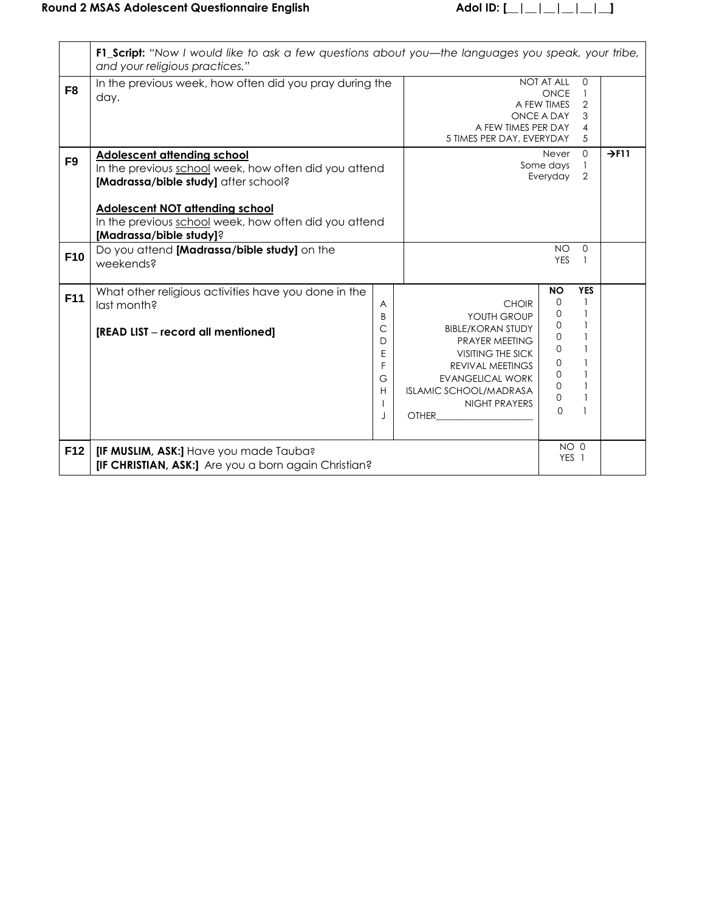|                 | F1_Script: "Now I would like to ask a few questions about you—the languages you speak, your tribe,<br>and your religious practices."                                                                                                                              |                                             |                                                                                                                                                                                                                        |                                                                                                       |                                                                                                                                                            |                   |  |
|-----------------|-------------------------------------------------------------------------------------------------------------------------------------------------------------------------------------------------------------------------------------------------------------------|---------------------------------------------|------------------------------------------------------------------------------------------------------------------------------------------------------------------------------------------------------------------------|-------------------------------------------------------------------------------------------------------|------------------------------------------------------------------------------------------------------------------------------------------------------------|-------------------|--|
| F <sub>8</sub>  | In the previous week, how often did you pray during the<br>day.                                                                                                                                                                                                   |                                             | A FEW TIMES PER DAY<br>5 TIMES PER DAY, EVERYDAY                                                                                                                                                                       | NOT AT ALL<br><b>ONCE</b><br>A FEW TIMES<br>ONCE A DAY                                                | $\Omega$<br>$\mathbf{1}$<br>2<br>3<br>4<br>5                                                                                                               |                   |  |
| F <sub>9</sub>  | <b>Adolescent attending school</b><br>In the previous school week, how often did you attend<br>[Madrassa/bible study] after school?<br><b>Adolescent NOT attending school</b><br>In the previous school week, how often did you attend<br>[Madrassa/bible study]? |                                             |                                                                                                                                                                                                                        | <b>Never</b><br>Some days<br>Everyday                                                                 | $\Omega$<br>$\overline{2}$                                                                                                                                 | $\rightarrow$ F11 |  |
| F <sub>10</sub> | Do you attend [Madrassa/bible study] on the<br>weekends?                                                                                                                                                                                                          |                                             |                                                                                                                                                                                                                        | NO.<br><b>YES</b>                                                                                     | $\Omega$<br>$\mathbf{1}$                                                                                                                                   |                   |  |
| F <sub>11</sub> | What other religious activities have you done in the<br>last month?<br>[READ LIST - record all mentioned]                                                                                                                                                         | A<br>B<br>C<br>D<br>E<br>F<br>G<br>H<br>- 1 | <b>CHOIR</b><br>YOUTH GROUP<br><b>BIBLE/KORAN STUDY</b><br>PRAYER MEETING<br>VISITING THE SICK<br><b>REVIVAL MEETINGS</b><br><b>EVANGELICAL WORK</b><br><b>ISLAMIC SCHOOL/MADRASA</b><br>NIGHT PRAYERS<br><b>OTHER</b> | <b>NO</b><br>$\Omega$<br>0<br>0<br>0<br>0<br>$\Omega$<br>$\Omega$<br>$\Omega$<br>$\Omega$<br>$\Omega$ | <b>YES</b><br>$\mathbf{1}$<br>$\mathbf{1}$<br>$\mathbf{1}$<br>$\mathbf{1}$<br>$\mathbf{1}$<br>$\mathbf{1}$<br>$\mathbf{1}$<br>$\mathbf{1}$<br>$\mathbf{1}$ |                   |  |
| F12             | [IF MUSLIM, ASK:] Have you made Tauba?<br>[IF CHRISTIAN, ASK:] Are you a born again Christian?                                                                                                                                                                    |                                             |                                                                                                                                                                                                                        |                                                                                                       | NO 0<br>YES <sub>1</sub>                                                                                                                                   |                   |  |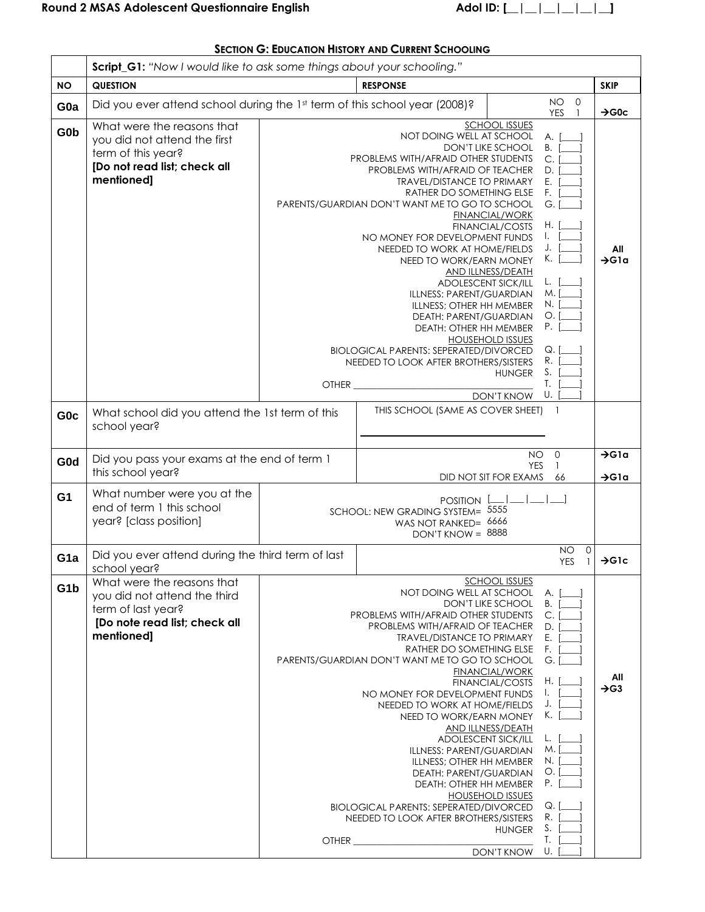|                  | <b>Script_G1:</b> "Now I would like to ask some things about your schooling."                                                   |                                                                                                                                                                                                                                                                                                                                                                                                                                                                                                                                                                                                                                                                                                                                                                                                                                                                                                                                 |                                                                                           |  |                                                 |                          |  |  |
|------------------|---------------------------------------------------------------------------------------------------------------------------------|---------------------------------------------------------------------------------------------------------------------------------------------------------------------------------------------------------------------------------------------------------------------------------------------------------------------------------------------------------------------------------------------------------------------------------------------------------------------------------------------------------------------------------------------------------------------------------------------------------------------------------------------------------------------------------------------------------------------------------------------------------------------------------------------------------------------------------------------------------------------------------------------------------------------------------|-------------------------------------------------------------------------------------------|--|-------------------------------------------------|--------------------------|--|--|
| <b>NO</b>        | <b>QUESTION</b>                                                                                                                 |                                                                                                                                                                                                                                                                                                                                                                                                                                                                                                                                                                                                                                                                                                                                                                                                                                                                                                                                 | <b>RESPONSE</b>                                                                           |  |                                                 | <b>SKIP</b>              |  |  |
| G <sub>0</sub> a | Did you ever attend school during the 1st term of this school year (2008)?                                                      |                                                                                                                                                                                                                                                                                                                                                                                                                                                                                                                                                                                                                                                                                                                                                                                                                                                                                                                                 |                                                                                           |  | <b>NO</b><br>$\mathbf 0$<br>YES<br>$\mathbf{1}$ | $\rightarrow$ G0c        |  |  |
| G0b              | What were the reasons that<br>you did not attend the first<br>term of this year?<br>[Do not read list; check all<br>mentioned]  | <b>SCHOOL ISSUES</b><br>NOT DOING WELL AT SCHOOL<br>A. [<br>DON'T LIKE SCHOOL<br>В.<br>$C_{\cdot}$<br>PROBLEMS WITH/AFRAID OTHER STUDENTS<br>PROBLEMS WITH/AFRAID OF TEACHER<br>D.<br><b>TRAVEL/DISTANCE TO PRIMARY</b><br>E.<br>RATHER DO SOMETHING ELSE<br>F.<br>PARENTS/GUARDIAN DON'T WANT ME TO GO TO SCHOOL<br>$G.$ [<br><b>FINANCIAL/WORK</b><br>H. [<br><b>FINANCIAL/COSTS</b><br>NO MONEY FOR DEVELOPMENT FUNDS<br>NEEDED TO WORK AT HOME/FIELDS<br>K. [<br>NEED TO WORK/EARN MONEY<br><b>AND ILLNESS/DEATH</b><br>ADOLESCENT SICK/ILL<br>L. I<br>M. [<br>ILLNESS: PARENT/GUARDIAN<br>N. [<br>ILLNESS; OTHER HH MEMBER<br>$O.$ [<br>DEATH: PARENT/GUARDIAN<br>$P.$ [<br>DEATH: OTHER HH MEMBER<br><b>HOUSEHOLD ISSUES</b><br><b>BIOLOGICAL PARENTS: SEPERATED/DIVORCED</b><br>Q.<br>R.<br>NEEDED TO LOOK AFTER BROTHERS/SISTERS<br>S.<br><b>HUNGER</b><br>T.                                                           |                                                                                           |  |                                                 | All<br>$\rightarrow$ G1a |  |  |
| G <sub>0</sub> c | What school did you attend the 1st term of this<br>school year?                                                                 |                                                                                                                                                                                                                                                                                                                                                                                                                                                                                                                                                                                                                                                                                                                                                                                                                                                                                                                                 | U.I<br>DON'T KNOW<br>THIS SCHOOL (SAME AS COVER SHEET)<br>$\blacksquare$                  |  |                                                 |                          |  |  |
| G <sub>0</sub> d | Did you pass your exams at the end of term 1<br>this school year?                                                               | <b>NO</b><br>0<br><b>YES</b><br>$\mathbf{1}$<br>66<br>DID NOT SIT FOR EXAMS                                                                                                                                                                                                                                                                                                                                                                                                                                                                                                                                                                                                                                                                                                                                                                                                                                                     |                                                                                           |  | $\rightarrow$ G1a<br>$\rightarrow$ G1a          |                          |  |  |
| G <sub>1</sub>   | What number were you at the<br>end of term 1 this school<br>year? [class position]                                              |                                                                                                                                                                                                                                                                                                                                                                                                                                                                                                                                                                                                                                                                                                                                                                                                                                                                                                                                 | POSITION<br>SCHOOL: NEW GRADING SYSTEM= 5555<br>WAS NOT RANKED= 6666<br>DON'T KNOW = 8888 |  |                                                 |                          |  |  |
| G <sub>1</sub> a | Did you ever attend during the third term of last<br>school year?                                                               |                                                                                                                                                                                                                                                                                                                                                                                                                                                                                                                                                                                                                                                                                                                                                                                                                                                                                                                                 |                                                                                           |  | NO<br>0<br><b>YES</b><br>$\mathbf{1}$           | $\rightarrow$ G1c        |  |  |
| G <sub>1</sub> b | What were the reasons that<br>you did not attend the third<br>term of last year?<br>[Do note read list; check all<br>mentioned] | <b>SCHOOL ISSUES</b><br>NOT DOING WELL AT SCHOOL<br>A. [<br><b>DON'T LIKE SCHOOL</b><br>B. [<br>PROBLEMS WITH/AFRAID OTHER STUDENTS<br>C.<br>PROBLEMS WITH/AFRAID OF TEACHER<br>D.<br>Ε.<br><b>TRAVEL/DISTANCE TO PRIMARY</b><br>F.<br>RATHER DO SOMETHING ELSE<br>$G.$ [<br>PARENTS/GUARDIAN DON'T WANT ME TO GO TO SCHOOL<br><b>FINANCIAL/WORK</b><br>H.  <br><b>FINANCIAL/COSTS</b><br>NO MONEY FOR DEVELOPMENT FUNDS<br>Ι.<br>J.<br>NEEDED TO WORK AT HOME/FIELDS<br>K.  <br>NEED TO WORK/EARN MONEY<br><b>AND ILLNESS/DEATH</b><br>ADOLESCENT SICK/ILL<br>L.<br>M. [<br>ILLNESS: PARENT/GUARDIAN<br>N. [<br>ILLNESS; OTHER HH MEMBER<br>О.<br>DEATH: PARENT/GUARDIAN<br>Р.<br>DEATH: OTHER HH MEMBER<br><b>HOUSEHOLD ISSUES</b><br><b>BIOLOGICAL PARENTS: SEPERATED/DIVORCED</b><br>Q. [<br>R.<br>NEEDED TO LOOK AFTER BROTHERS/SISTERS<br>S.<br><b>HUNGER</b><br>T.<br>$OTHER$ $\qquad \qquad$<br><b>DON'T KNOW</b><br>U. |                                                                                           |  |                                                 | All<br>$\rightarrow$ G3  |  |  |

# **SECTION G: EDUCATION HISTORY AND CURRENT SCHOOLING**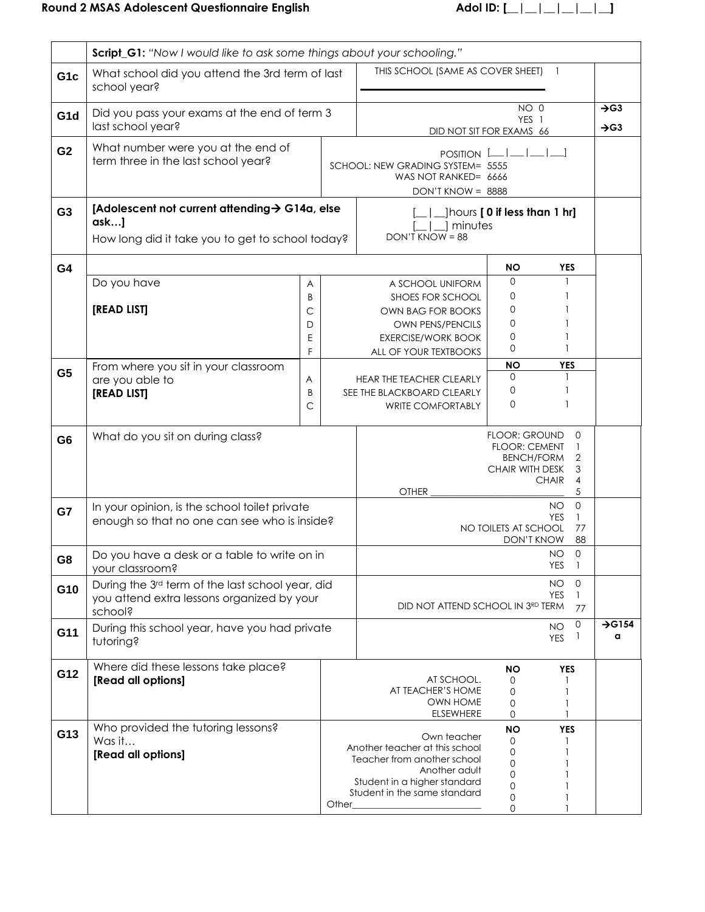# **Round 2 MSAS Adolescent Questionnaire English Adol ID: [\_\_|\_\_|\_\_|\_\_|\_\_|\_\_]**

|                  | Script_G1: "Now I would like to ask some things about your schooling."                                        |                             |       |                                                                                                                                                               |                                                                                      |                                                                |                                                  |
|------------------|---------------------------------------------------------------------------------------------------------------|-----------------------------|-------|---------------------------------------------------------------------------------------------------------------------------------------------------------------|--------------------------------------------------------------------------------------|----------------------------------------------------------------|--------------------------------------------------|
| G <sub>1c</sub>  | What school did you attend the 3rd term of last<br>school year?                                               |                             |       | THIS SCHOOL (SAME AS COVER SHEET)                                                                                                                             |                                                                                      | $\overline{1}$                                                 |                                                  |
| G <sub>1</sub> d | Did you pass your exams at the end of term 3<br>last school year?                                             |                             |       | NO 0<br>YES <sub>1</sub><br>DID NOT SIT FOR EXAMS 66                                                                                                          |                                                                                      |                                                                | $\rightarrow$ G <sub>3</sub><br>$\rightarrow$ G3 |
| G <sub>2</sub>   | What number were you at the end of<br>term three in the last school year?                                     |                             |       | POSITION L<br>SCHOOL: NEW GRADING SYSTEM= 5555<br>WAS NOT RANKED= 6666<br>DON'T KNOW = 8888                                                                   |                                                                                      |                                                                |                                                  |
| G <sub>3</sub>   | [Adolescent not current attending > G14a, else<br>$ask$ ]<br>How long did it take you to get to school today? |                             |       | minutes<br>$DON'T$ KNOW = 88                                                                                                                                  | hours [0 if less than 1 hr]                                                          |                                                                |                                                  |
| G4               |                                                                                                               |                             |       |                                                                                                                                                               | ΝO                                                                                   | YES                                                            |                                                  |
|                  | Do you have<br>[READ LIST]                                                                                    | Α<br>B<br>$\mathsf{C}$<br>D |       | A SCHOOL UNIFORM<br>SHOES FOR SCHOOL<br>OWN BAG FOR BOOKS<br>OWN PENS/PENCILS                                                                                 | $\mathbf{0}$<br>0<br>0<br>0                                                          | $\mathbf{1}$                                                   |                                                  |
|                  |                                                                                                               | Ε                           |       | <b>EXERCISE/WORK BOOK</b>                                                                                                                                     | 0<br>$\mathbf 0$                                                                     | 1                                                              |                                                  |
|                  | From where you sit in your classroom                                                                          | F                           |       | ALL OF YOUR TEXTBOOKS                                                                                                                                         | <b>NO</b>                                                                            | <b>YES</b>                                                     |                                                  |
| G <sub>5</sub>   | are you able to<br>[READ LIST]                                                                                | Α<br>B<br>C                 |       | HEAR THE TEACHER CLEARLY<br>SEE THE BLACKBOARD CLEARLY<br><b>WRITE COMFORTABLY</b>                                                                            | 0<br>0<br>$\mathbf{0}$                                                               | 1<br>1<br>1                                                    |                                                  |
| G <sub>6</sub>   | What do you sit on during class?                                                                              |                             |       | <b>OTHER</b>                                                                                                                                                  | <b>FLOOR: GROUND</b><br><b>FLOOR: CEMENT</b><br><b>BENCH/FORM</b><br>CHAIR WITH DESK | $\Omega$<br>2<br>3<br><b>CHAIR</b><br>4<br>5                   |                                                  |
| G7               | In your opinion, is the school toilet private<br>enough so that no one can see who is inside?                 |                             |       |                                                                                                                                                               | NO TOILETS AT SCHOOL<br>DON'T KNOW                                                   | $\circ$<br>NO.<br><b>YES</b><br>$\mathbf{1}$<br>77<br>88       |                                                  |
| G8               | Do you have a desk or a table to write on in<br>your classroom?                                               |                             |       |                                                                                                                                                               |                                                                                      | $\mathsf{O}\xspace$<br><b>NO</b><br><b>YES</b><br>$\mathbf{1}$ |                                                  |
| G10              | During the 3rd term of the last school year, did<br>you attend extra lessons organized by your<br>school?     |                             |       | DID NOT ATTEND SCHOOL IN 3RD TERM                                                                                                                             |                                                                                      | NO.<br>$\mathbf 0$<br><b>YES</b><br>$\mathbf{1}$<br>77         |                                                  |
| G11              | During this school year, have you had private<br>tutoring?                                                    |                             |       |                                                                                                                                                               |                                                                                      | 0<br><b>NO</b><br>$\perp$<br><b>YES</b>                        | $\rightarrow$ G154<br>a                          |
| G12              | Where did these lessons take place?<br>[Read all options]                                                     |                             |       | AT SCHOOL.<br>AT TEACHER'S HOME<br><b>OWN HOME</b><br><b>ELSEWHERE</b>                                                                                        | ΝO<br>0<br>0<br>0<br>0                                                               | <b>YES</b>                                                     |                                                  |
| G13              | Who provided the tutoring lessons?<br>Was it<br>[Read all options]                                            |                             | Other | Own teacher<br>Another teacher at this school<br>Teacher from another school<br>Another adult<br>Student in a higher standard<br>Student in the same standard | <b>NO</b><br>$\Omega$<br>0<br>0<br>0<br>0<br>0<br>0                                  | <b>YES</b>                                                     |                                                  |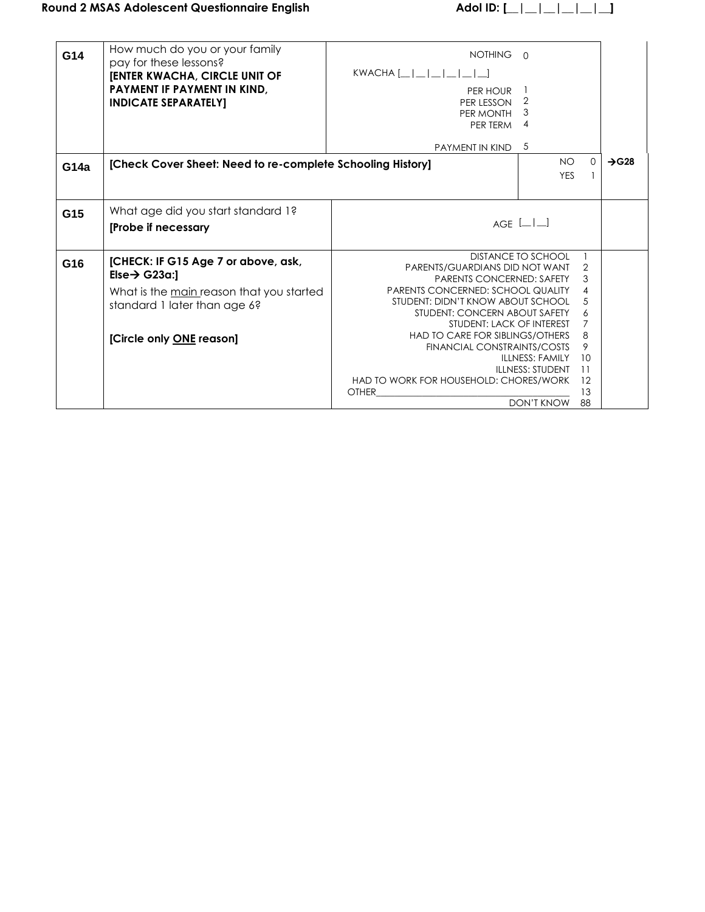<span id="page-13-0"></span>

| G14  | How much do you or your family<br>pay for these lessons?<br><b>[ENTER KWACHA, CIRCLE UNIT OF</b><br>PAYMENT IF PAYMENT IN KIND,<br><b>INDICATE SEPARATELY]</b><br>[Check Cover Sheet: Need to re-complete Schooling History] | NOTHING 0<br>KWACHA [            <br>PER HOUR<br>PER LESSON<br>PER MONTH<br>PER TERM<br><b>PAYMENT IN KIND</b>                                                                                                                                                                                                                                              | 2<br>3<br>4<br>5<br><b>NO</b>                                                                       | $\Omega$                                                                         | $\rightarrow$ G28 |
|------|------------------------------------------------------------------------------------------------------------------------------------------------------------------------------------------------------------------------------|-------------------------------------------------------------------------------------------------------------------------------------------------------------------------------------------------------------------------------------------------------------------------------------------------------------------------------------------------------------|-----------------------------------------------------------------------------------------------------|----------------------------------------------------------------------------------|-------------------|
| G14a |                                                                                                                                                                                                                              |                                                                                                                                                                                                                                                                                                                                                             | <b>YES</b>                                                                                          |                                                                                  |                   |
| G15  | What age did you start standard 1?<br>[Probe if necessary                                                                                                                                                                    |                                                                                                                                                                                                                                                                                                                                                             | AGE $[- $                                                                                           |                                                                                  |                   |
| G16  | [CHECK: IF G15 Age 7 or above, ask,<br>Else $\rightarrow$ G23a:1<br>What is the main reason that you started<br>standard 1 later than age 6?<br>[Circle only ONE reason]                                                     | PARENTS/GUARDIANS DID NOT WANT<br><b>PARENTS CONCERNED: SAFETY</b><br><b>PARENTS CONCERNED: SCHOOL QUALITY</b><br>STUDENT: DIDN'T KNOW ABOUT SCHOOL<br>STUDENT: CONCERN ABOUT SAFETY<br>STUDENT: LACK OF INTEREST<br><b>HAD TO CARE FOR SIBLINGS/OTHERS</b><br><b>FINANCIAL CONSTRAINTS/COSTS</b><br>HAD TO WORK FOR HOUSEHOLD: CHORES/WORK<br><b>OTHER</b> | <b>DISTANCE TO SCHOOL</b><br><b>ILLNESS: FAMILY</b><br><b>ILLNESS: STUDENT</b><br><b>DON'T KNOW</b> | $\overline{2}$<br>3<br>4<br>.5<br>6<br>7<br>8<br>9<br>10<br>11<br>12<br>13<br>88 |                   |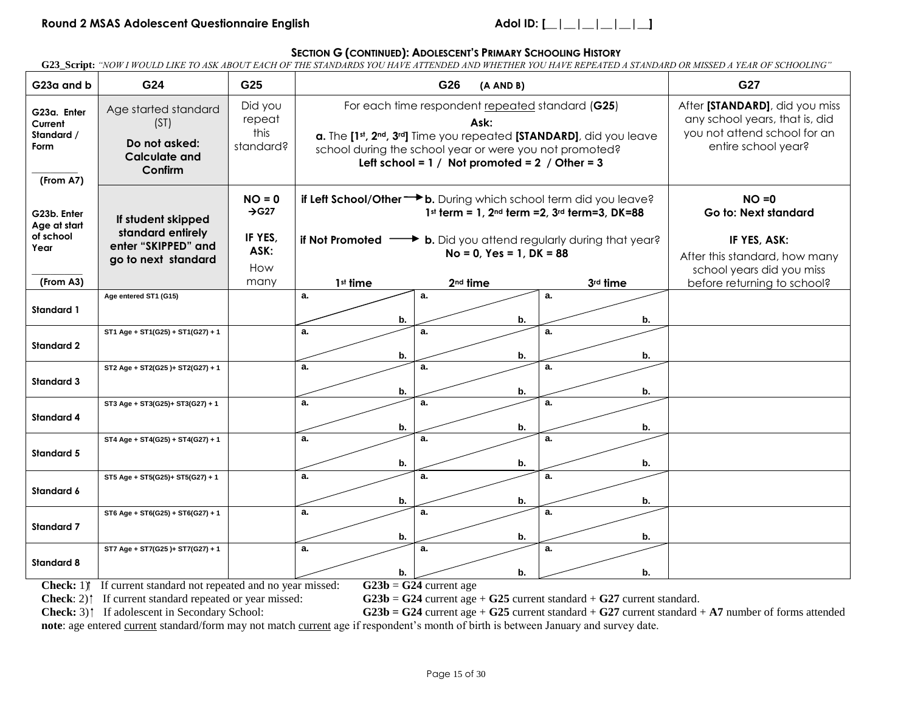## **SECTION G (CONTINUED): ADOLESCENT'S PRIMARY SCHOOLING HISTORY**

G23\_Script: "NOW I WOULD LIKE TO ASK ABOUT EACH OF THE STANDARDS YOU HAVE ATTENDED AND WHETHER YOU HAVE REPEATED A STANDARD OR MISSED A YEAR OF SCHOOLING"

| G23a and b                                                | G24                                                                              | G25                                    |                                                                                                                                                                                                                                                                 | G26<br>(A AND B)                                                                                                        |                                                         | G27                              |
|-----------------------------------------------------------|----------------------------------------------------------------------------------|----------------------------------------|-----------------------------------------------------------------------------------------------------------------------------------------------------------------------------------------------------------------------------------------------------------------|-------------------------------------------------------------------------------------------------------------------------|---------------------------------------------------------|----------------------------------|
| G23a. Enter<br>Current<br>Standard /<br>Form<br>(From A7) | Age started standard<br>(ST)<br>Do not asked:<br><b>Calculate and</b><br>Confirm | Did you<br>repeat<br>this<br>standard? | For each time respondent repeated standard (G25)<br>a. The [1st, 2 <sup>nd</sup> , 3 <sup>rd</sup> ] Time you repeated [STANDARD], did you leave<br>school during the school year or were you not promoted?<br>Left school = $1/$ Not promoted = $2/$ Other = 3 | After [STANDARD], did you miss<br>any school years, that is, did<br>you not attend school for an<br>entire school year? |                                                         |                                  |
| G23b. Enter<br>Age at start                               | If student skipped                                                               | $NO = 0$<br>$\rightarrow$ G27          | if Left School/Other <b>b.</b> During which school term did you leave?                                                                                                                                                                                          |                                                                                                                         | $1st$ term = 1, $2nd$ term = 2, $3rd$ term = 3, DK = 88 | $NO = 0$<br>Go to: Next standard |
| of school<br>Year                                         | standard entirely<br>enter "SKIPPED" and<br>go to next standard                  | IF YES,<br>ASK:<br>How                 | <b>if Not Promoted <math>\longrightarrow</math> b.</b> Did you attend regularly during that year?<br>$No = 0$ , $Yes = 1$ , $DK = 88$                                                                                                                           | IF YES, ASK:<br>After this standard, how many<br>school years did you miss                                              |                                                         |                                  |
| (From A3)                                                 |                                                                                  | many                                   | 1 <sup>st</sup> time                                                                                                                                                                                                                                            | $2nd$ time                                                                                                              | 3rd time                                                | before returning to school?      |
| <b>Standard 1</b>                                         | Age entered ST1 (G15)                                                            |                                        | a.<br>а.<br>b.                                                                                                                                                                                                                                                  | b.                                                                                                                      | a.<br>b.                                                |                                  |
| <b>Standard 2</b>                                         | ST1 Age + ST1(G25) + ST1(G27) + 1                                                |                                        | а.<br>а.<br>b.                                                                                                                                                                                                                                                  | b.                                                                                                                      | а.<br>b.                                                |                                  |
| <b>Standard 3</b>                                         | ST2 Age + ST2(G25)+ ST2(G27) + 1                                                 |                                        | а.<br>a.<br>b.                                                                                                                                                                                                                                                  | b.                                                                                                                      | а.<br>b.                                                |                                  |
| <b>Standard 4</b>                                         | ST3 Age + ST3(G25)+ ST3(G27) + 1                                                 |                                        | a.<br>a.<br>b.                                                                                                                                                                                                                                                  | b.                                                                                                                      | a.<br>b.                                                |                                  |
| Standard 5                                                | ST4 Age + ST4(G25) + ST4(G27) + 1                                                |                                        | a.<br>а.<br>b.                                                                                                                                                                                                                                                  | b.                                                                                                                      | а.<br>b.                                                |                                  |
| Standard 6                                                | ST5 Age + ST5(G25)+ ST5(G27) + 1                                                 |                                        | a.<br>а.<br>b.                                                                                                                                                                                                                                                  | b.                                                                                                                      | а.<br>b.                                                |                                  |
| Standard 7                                                | ST6 Age + ST6(G25) + ST6(G27) + 1                                                |                                        | a.<br>а.<br>b.                                                                                                                                                                                                                                                  | b.                                                                                                                      | а.<br>b.                                                |                                  |
| <b>Standard 8</b>                                         | ST7 Age + ST7(G25)+ ST7(G27) + 1                                                 |                                        | a.<br>а.<br>b.                                                                                                                                                                                                                                                  | b.                                                                                                                      | a.<br>b.                                                |                                  |

**Check:** 1) If current standard not repeated and no year missed:  $G23b = G24$  current age **Check**: 2)<sup>†</sup> If current standard repeated or year missed:  $G23b = G24$  current age

**Check**: 2)<sup>†</sup> If current standard repeated or year missed: **G23b** = **G24** current age + **G25** current standard + **G27** current standard.<br>**G23b** = **G24** current age + **G25** current standard + **G27** current standard + **G27**  $G23b = G24$  current age +  $G25$  current standard +  $G27$  current standard +  $A7$  number of forms attended

note: age entered current standard/form may not match current age if respondent's month of birth is between January and survey date.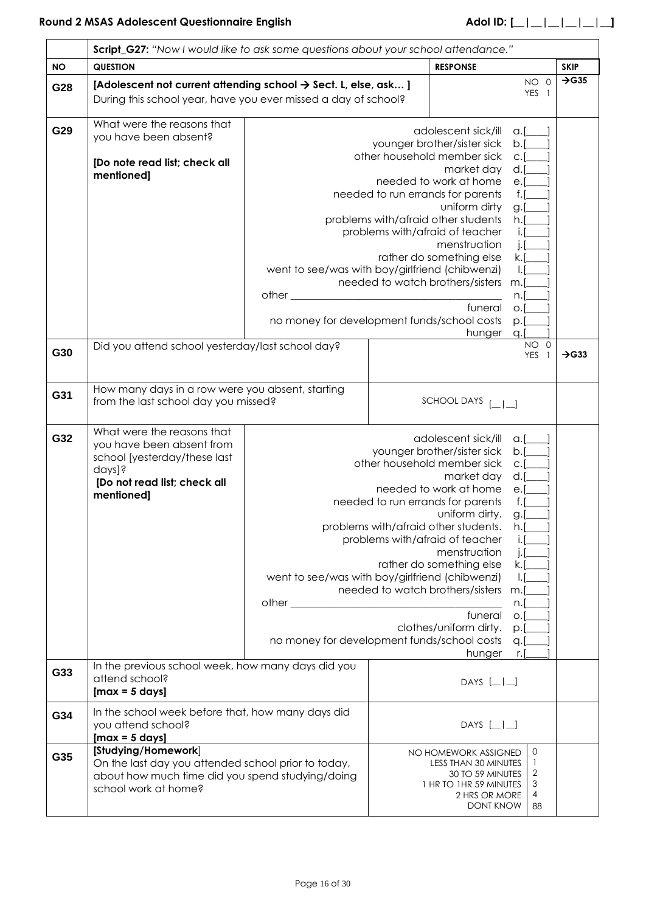# **Round 2 MSAS Adolescent Questionnaire English Adol ID: [\_|\_|\_|\_|\_|\_|\_|\_**|\_\_|\_\_

|           | Script_G27: "Now I would like to ask some questions about your school attendance."                                                                                                                    |                                                                                                                                                                                                                                                                                                                                                                                                                                                                                                                                                                                                                                                                                                                                                                                                                                                                                                      |                                                                                                                                                                                                                                                                                                                                                                                                                                                                                                                                                                                                                                                                                             |                                                                                                                                 |                                                      |                   |  |
|-----------|-------------------------------------------------------------------------------------------------------------------------------------------------------------------------------------------------------|------------------------------------------------------------------------------------------------------------------------------------------------------------------------------------------------------------------------------------------------------------------------------------------------------------------------------------------------------------------------------------------------------------------------------------------------------------------------------------------------------------------------------------------------------------------------------------------------------------------------------------------------------------------------------------------------------------------------------------------------------------------------------------------------------------------------------------------------------------------------------------------------------|---------------------------------------------------------------------------------------------------------------------------------------------------------------------------------------------------------------------------------------------------------------------------------------------------------------------------------------------------------------------------------------------------------------------------------------------------------------------------------------------------------------------------------------------------------------------------------------------------------------------------------------------------------------------------------------------|---------------------------------------------------------------------------------------------------------------------------------|------------------------------------------------------|-------------------|--|
| <b>NO</b> | <b>QUESTION</b><br><b>RESPONSE</b>                                                                                                                                                                    |                                                                                                                                                                                                                                                                                                                                                                                                                                                                                                                                                                                                                                                                                                                                                                                                                                                                                                      |                                                                                                                                                                                                                                                                                                                                                                                                                                                                                                                                                                                                                                                                                             |                                                                                                                                 |                                                      | <b>SKIP</b>       |  |
| G28       | [Adolescent not current attending school $\rightarrow$ Sect. L, else, ask]<br>During this school year, have you ever missed a day of school?                                                          |                                                                                                                                                                                                                                                                                                                                                                                                                                                                                                                                                                                                                                                                                                                                                                                                                                                                                                      |                                                                                                                                                                                                                                                                                                                                                                                                                                                                                                                                                                                                                                                                                             |                                                                                                                                 | NO 0<br>YES 1                                        | $\rightarrow$ G35 |  |
| G29       | What were the reasons that<br>you have been absent?<br>[Do note read list; check all<br>mentioned]                                                                                                    | adolescent sick/ill<br>a.[<br>younger brother/sister sick<br>$b.\lceil$<br>other household member sick<br>$C.\lbrack$<br>market day<br>$d.\lceil$<br>needed to work at home<br>$e$ .<br>needed to run errands for parents<br>$f.\Gamma$<br>uniform dirty<br>g.[<br>problems with/afraid other students<br>$h.$ [<br>problems with/afraid of teacher<br>i.f<br>menstruation<br>$\overline{\phantom{a}}$ .<br>rather do something else<br>k.[<br>went to see/was with boy/girlfriend (chibwenzi)<br>$\overline{1}$ .<br>needed to watch brothers/sisters<br>$m.\lceil$<br>other the contract of the contract of the contract of the contract of the contract of the contract of the contract of the contract of the contract of the contract of the contract of the contract of the contract of the cont<br>$n.\lceil$<br>funeral<br>$O.\lbrack$<br>no money for development funds/school costs<br>p.[ |                                                                                                                                                                                                                                                                                                                                                                                                                                                                                                                                                                                                                                                                                             |                                                                                                                                 |                                                      |                   |  |
| G30       | Did you attend school yesterday/last school day?                                                                                                                                                      |                                                                                                                                                                                                                                                                                                                                                                                                                                                                                                                                                                                                                                                                                                                                                                                                                                                                                                      |                                                                                                                                                                                                                                                                                                                                                                                                                                                                                                                                                                                                                                                                                             | hunger                                                                                                                          | q.<br>$\overline{0}$<br>NO.<br>YES<br>$\overline{1}$ | $\rightarrow$ G33 |  |
| G31       | How many days in a row were you absent, starting<br>from the last school day you missed?                                                                                                              |                                                                                                                                                                                                                                                                                                                                                                                                                                                                                                                                                                                                                                                                                                                                                                                                                                                                                                      |                                                                                                                                                                                                                                                                                                                                                                                                                                                                                                                                                                                                                                                                                             | SCHOOL DAYS [   ]                                                                                                               |                                                      |                   |  |
| G32       | What were the reasons that<br>you have been absent from<br>school [yesterday/these last<br>days]?<br>[Do not read list; check all<br>mentioned]<br>In the previous school week, how many days did you | other the control of the control of the control of the control of the control of the control of the control of                                                                                                                                                                                                                                                                                                                                                                                                                                                                                                                                                                                                                                                                                                                                                                                       | adolescent sick/ill<br>$a.$ [ $\qquad$<br>younger brother/sister sick<br>$b.\lbrack$<br>other household member sick<br>$C.\lbrack$<br>market day<br>$d.\Gamma$<br>needed to work at home<br>$e$ .<br>needed to run errands for parents<br>$f.\Gamma$<br>uniform dirty.<br>g.[<br>problems with/afraid other students.<br>h.[<br>problems with/afraid of teacher<br>i.I<br>menstruation<br>rather do something else<br>k.[<br>went to see/was with boy/girlfriend (chibwenzi)<br>$\overline{a}$ .<br>needed to watch brothers/sisters<br>$m$ .<br>n.<br>funeral<br>$\circ$ .<br>clothes/uniform dirty.<br>$p_{\cdot}$<br>no money for development funds/school costs<br>q.[<br>hunger<br>r.l |                                                                                                                                 |                                                      |                   |  |
| G33       | attend school?<br>$[max = 5 days]$                                                                                                                                                                    |                                                                                                                                                                                                                                                                                                                                                                                                                                                                                                                                                                                                                                                                                                                                                                                                                                                                                                      |                                                                                                                                                                                                                                                                                                                                                                                                                                                                                                                                                                                                                                                                                             | DAYS $[- $                                                                                                                      |                                                      |                   |  |
| G34       | In the school week before that, how many days did<br>you attend school?<br>$[max = 5 days]$                                                                                                           |                                                                                                                                                                                                                                                                                                                                                                                                                                                                                                                                                                                                                                                                                                                                                                                                                                                                                                      |                                                                                                                                                                                                                                                                                                                                                                                                                                                                                                                                                                                                                                                                                             | DAYS $[- $                                                                                                                      |                                                      |                   |  |
| G35       | [Studying/Homework]<br>On the last day you attended school prior to today,<br>about how much time did you spend studying/doing<br>school work at home?                                                |                                                                                                                                                                                                                                                                                                                                                                                                                                                                                                                                                                                                                                                                                                                                                                                                                                                                                                      |                                                                                                                                                                                                                                                                                                                                                                                                                                                                                                                                                                                                                                                                                             | NO HOMEWORK ASSIGNED<br>LESS THAN 30 MINUTES<br>30 TO 59 MINUTES<br>1 HR TO 1HR 59 MINUTES<br>2 HRS OR MORE<br><b>DONT KNOW</b> | 0<br>-1<br>2<br>3<br>4<br>88                         |                   |  |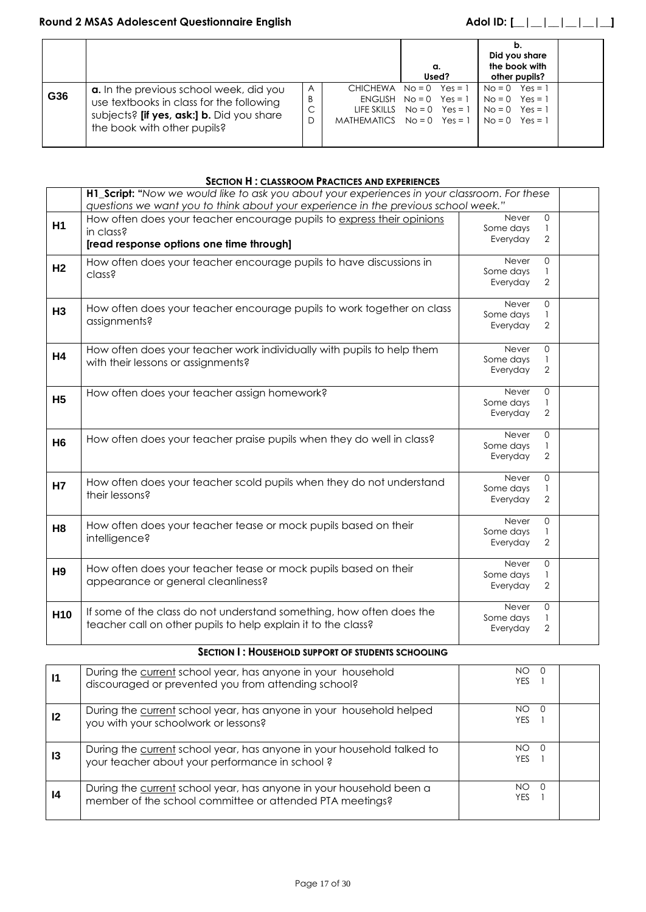|     |                                                                                                                                                                        |                             |                                                                                                                       | а. | Used? |                                                                                | b.<br>Did you share<br>the book with<br>other pupils? |  |
|-----|------------------------------------------------------------------------------------------------------------------------------------------------------------------------|-----------------------------|-----------------------------------------------------------------------------------------------------------------------|----|-------|--------------------------------------------------------------------------------|-------------------------------------------------------|--|
| G36 | <b>a.</b> In the previous school week, did you<br>use textbooks in class for the following<br>subjects? [if yes, ask:] b. Did you share<br>the book with other pupils? | $\mathsf{A}$<br>B<br>C<br>D | CHICHEWA $No = 0$ Yes = 1<br>$ENGLISH$ No = 0 Yes = 1<br>LIFE SKILLS $No = 0$ Yes = 1<br>MATHEMATICS $No = 0$ Yes = 1 |    |       | $No = 0$ $Yes = 1$<br>$No = 0$ Yes = 1<br>$No = 0$ Yes = 1<br>$No = 0$ Yes = 1 |                                                       |  |

## **SECTION H : CLASSROOM PRACTICES AND EXPERIENCES**

|                 | H1 Script: "Now we would like to ask you about your experiences in your classroom. For these<br>questions we want you to think about your experience in the previous school week." |                                |                               |  |  |  |  |
|-----------------|------------------------------------------------------------------------------------------------------------------------------------------------------------------------------------|--------------------------------|-------------------------------|--|--|--|--|
| H1              | How often does your teacher encourage pupils to express their opinions<br>in class?<br>[read response options one time through]                                                    | Never<br>Some days<br>Everyday | $\Omega$<br>2                 |  |  |  |  |
| H <sub>2</sub>  | How often does your teacher encourage pupils to have discussions in<br>class?                                                                                                      | Never<br>Some days<br>Everyday | $\mathbf{O}$<br>2             |  |  |  |  |
| H <sub>3</sub>  | How often does your teacher encourage pupils to work together on class<br>assignments?                                                                                             | Never<br>Some days<br>Everyday | $\mathbf{O}$<br>2             |  |  |  |  |
| H <sub>4</sub>  | How often does your teacher work individually with pupils to help them<br>with their lessons or assignments?                                                                       | Never<br>Some days<br>Everyday | $\Omega$<br>2                 |  |  |  |  |
| H <sub>5</sub>  | How often does your teacher assign homework?                                                                                                                                       | Never<br>Some days<br>Everyday | $\Omega$<br>$\mathbf{1}$<br>2 |  |  |  |  |
| <b>H6</b>       | How often does your teacher praise pupils when they do well in class?                                                                                                              | Never<br>Some days<br>Everyday | $\Omega$<br>2                 |  |  |  |  |
| <b>H7</b>       | How often does your teacher scold pupils when they do not understand<br>their lessons?                                                                                             | Never<br>Some days<br>Everyday | $\mathbf{O}$<br>1<br>2        |  |  |  |  |
| H <sub>8</sub>  | How often does your teacher tease or mock pupils based on their<br>intelligence?                                                                                                   | Never<br>Some days<br>Everyday | $\mathbf{O}$<br>2             |  |  |  |  |
| H <sub>9</sub>  | How often does your teacher tease or mock pupils based on their<br>appearance or general cleanliness?                                                                              | Never<br>Some days<br>Everyday | $\Omega$<br>2                 |  |  |  |  |
| H <sub>10</sub> | If some of the class do not understand something, how often does the<br>teacher call on other pupils to help explain it to the class?                                              | Never<br>Some days<br>Everyday | $\mathbf{O}$<br>2             |  |  |  |  |

## **SECTION I : HOUSEHOLD SUPPORT OF STUDENTS SCHOOLING**

| 11 | During the current school year, has anyone in your household<br>discouraged or prevented you from attending school?             | NΟ<br>YFS.       |  |
|----|---------------------------------------------------------------------------------------------------------------------------------|------------------|--|
| 12 | During the current school year, has anyone in your household helped<br>you with your schoolwork or lessons?                     | NO<br><b>YES</b> |  |
| 13 | During the current school year, has anyone in your household talked to<br>your teacher about your performance in school?        | NO<br><b>YES</b> |  |
| 14 | During the current school year, has anyone in your household been a<br>member of the school committee or attended PTA meetings? | NO.<br>YFS.      |  |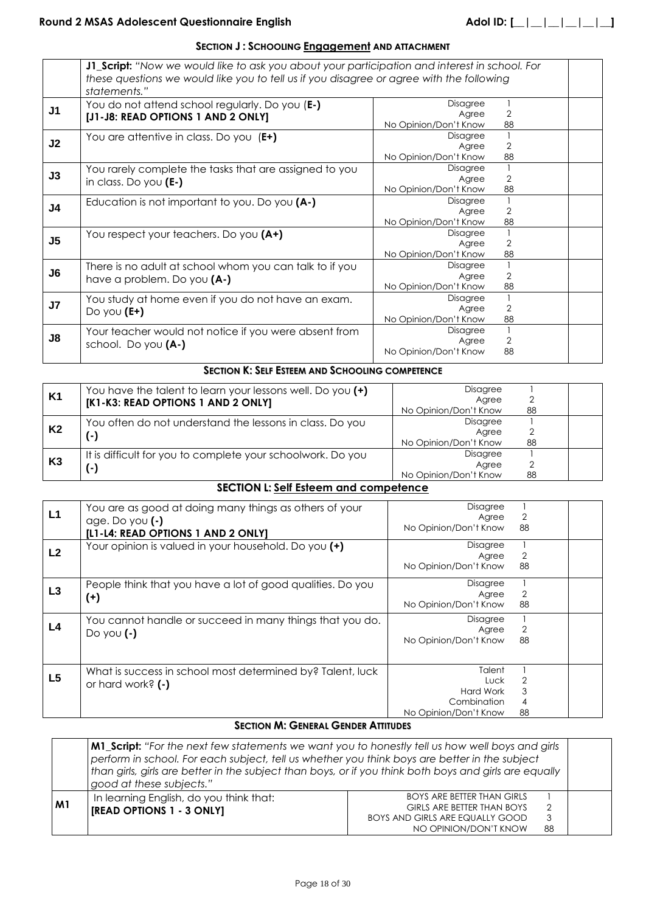# **Round 2 MSAS Adolescent Questionnaire English Adol ID: [\_|\_|\_|\_|\_|\_|\_|\_|**

# **SECTION J : SCHOOLING [Engagement](../../../PHewett.POP-DOMAIN/Application%20Data/Microsoft/Word/SQS_AdoltStudent_QuestComments.doc#SchoolEngage) AND ATTACHMENT**

|                | <b>J1_Script:</b> "Now we would like to ask you about your participation and interest in school. For<br>these questions we would like you to tell us if you disagree or agree with the following<br>statements." |                                            |                      |  |  |  |  |  |
|----------------|------------------------------------------------------------------------------------------------------------------------------------------------------------------------------------------------------------------|--------------------------------------------|----------------------|--|--|--|--|--|
| J <sub>1</sub> | You do not attend school regularly. Do you (E-)<br>[J1-J8: READ OPTIONS 1 AND 2 ONLY]                                                                                                                            | Disagree<br>Agree<br>No Opinion/Don't Know | 2<br>88              |  |  |  |  |  |
| J2             | You are attentive in class. Do you (E+)                                                                                                                                                                          | Disagree<br>Agree<br>No Opinion/Don't Know | 2<br>88              |  |  |  |  |  |
| J3             | You rarely complete the tasks that are assigned to you<br>in class. Do you $(E-)$                                                                                                                                | Disagree<br>Agree<br>No Opinion/Don't Know | $\overline{2}$<br>88 |  |  |  |  |  |
| J <sub>4</sub> | Education is not important to you. Do you $(A-)$                                                                                                                                                                 | Disagree<br>Agree<br>No Opinion/Don't Know | $\overline{2}$<br>88 |  |  |  |  |  |
| J <sub>5</sub> | You respect your teachers. Do you (A+)                                                                                                                                                                           | Disagree<br>Agree<br>No Opinion/Don't Know | 2<br>88              |  |  |  |  |  |
| J6             | There is no adult at school whom you can talk to if you<br>have a problem. Do you (A-)                                                                                                                           | Disagree<br>Agree<br>No Opinion/Don't Know | $\overline{2}$<br>88 |  |  |  |  |  |
| J <sub>7</sub> | You study at home even if you do not have an exam.<br>Do you $(E+)$                                                                                                                                              | Disagree<br>Agree<br>No Opinion/Don't Know | $\overline{2}$<br>88 |  |  |  |  |  |
| J8             | Your teacher would not notice if you were absent from<br>school. Do you (A-)                                                                                                                                     | Disagree<br>Agree<br>No Opinion/Don't Know | $\overline{2}$<br>88 |  |  |  |  |  |

# **SECTION K: SELF ESTEEM AND SCHOOLING COMPETENCE**

| K <sub>1</sub> | You have the talent to learn your lessons well. Do you $(+)$<br>[K1-K3: READ OPTIONS 1 AND 2 ONLY] | <b>Disagree</b><br>Agree<br>No Opinion/Don't Know | 88 |  |
|----------------|----------------------------------------------------------------------------------------------------|---------------------------------------------------|----|--|
| K <sub>2</sub> | You often do not understand the lessons in class. Do you<br>$(-)$                                  | Disagree<br>Agree<br>No Opinion/Don't Know        | 88 |  |
| K <sub>3</sub> | It is difficult for you to complete your schoolwork. Do you<br>( - )                               | <b>Disagree</b><br>Agree<br>No Opinion/Don't Know | 88 |  |

# **SECTION L: [Self Esteem and competence](../../../PHewett.POP-DOMAIN/Application%20Data/Microsoft/Word/SQS_AdoltStudent_QuestComments.doc#SelfEsteem)**

| L1<br>L2       | You are as good at doing many things as others of your<br>age. Do you $(\cdot)$<br>[L1-L4: READ OPTIONS 1 AND 2 ONLY]<br>Your opinion is valued in your household. Do you (+) | Disagree<br>Agree<br>No Opinion/Don't Know<br>Disagree<br>Agree     | 2<br>88<br>2      |  |
|----------------|-------------------------------------------------------------------------------------------------------------------------------------------------------------------------------|---------------------------------------------------------------------|-------------------|--|
|                |                                                                                                                                                                               | No Opinion/Don't Know                                               | 88                |  |
| L <sub>3</sub> | People think that you have a lot of good qualities. Do you<br>$^{(+)}$                                                                                                        | Disagree<br>Agree<br>No Opinion/Don't Know                          | 2<br>88           |  |
| L4             | You cannot handle or succeed in many things that you do.<br>Do you $(\cdot)$                                                                                                  | Disagree<br>Agree<br>No Opinion/Don't Know                          | 2<br>88           |  |
| L5             | What is success in school most determined by? Talent, luck<br>or hard work? $($ - $)$                                                                                         | Talent<br>Luck<br>Hard Work<br>Combination<br>No Opinion/Don't Know | 2<br>3<br>4<br>88 |  |

# **SECTION M: GENERAL GENDER ATTITUDES**

|                | <b>M1_Script:</b> "For the next few statements we want you to honestly tell us how well boys and girls<br>perform in school. For each subject, tell us whether you think boys are better in the subject<br>than girls, girls are better in the subject than boys, or if you think both boys and girls are equally<br>good at these subjects." |                                                                                                                                           |     |  |  |
|----------------|-----------------------------------------------------------------------------------------------------------------------------------------------------------------------------------------------------------------------------------------------------------------------------------------------------------------------------------------------|-------------------------------------------------------------------------------------------------------------------------------------------|-----|--|--|
| M <sub>1</sub> | In learning English, do you think that:<br>[READ OPTIONS 1 - 3 ONLY]                                                                                                                                                                                                                                                                          | <b>BOYS ARE BETTER THAN GIRLS</b><br><b>GIRLS ARE BETTER THAN BOYS</b><br><b>BOYS AND GIRLS ARE EQUALLY GOOD</b><br>NO OPINION/DON'T KNOW | -88 |  |  |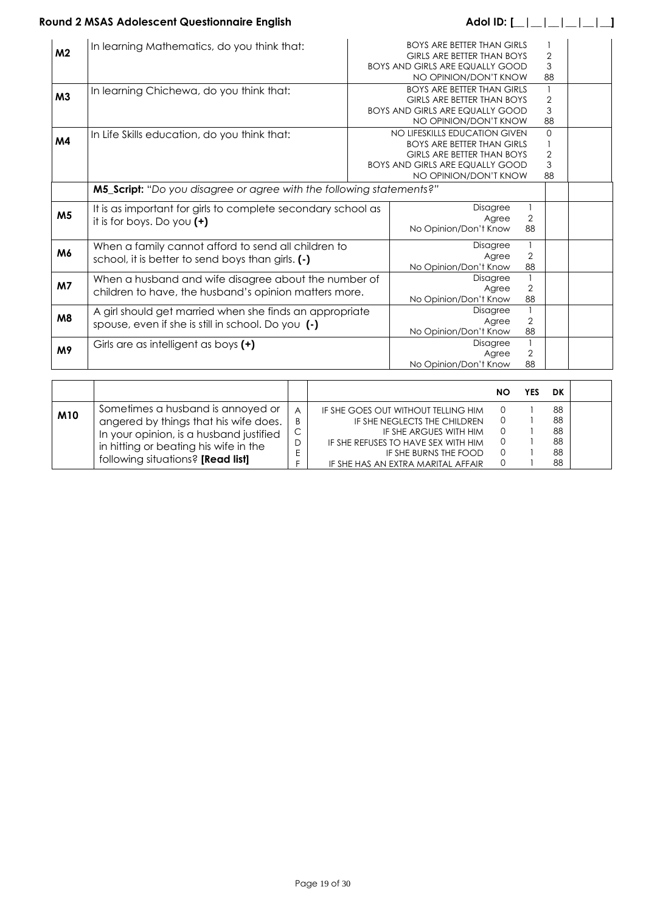|                | <b>Round 2 MSAS Adolescent Questionnaire English</b>                                                                |                                                                                                                                                                            | Adol ID: $[\_$                                                                                                                            |                                              |  |
|----------------|---------------------------------------------------------------------------------------------------------------------|----------------------------------------------------------------------------------------------------------------------------------------------------------------------------|-------------------------------------------------------------------------------------------------------------------------------------------|----------------------------------------------|--|
| M <sub>2</sub> | In learning Mathematics, do you think that:                                                                         | <b>BOYS ARE BETTER THAN GIRLS</b><br><b>GIRLS ARE BETTER THAN BOYS</b><br><b>BOYS AND GIRLS ARE EQUALLY GOOD</b><br>NO OPINION/DON'T KNOW                                  | $\overline{2}$<br>$\mathfrak 3$<br>88                                                                                                     |                                              |  |
| M <sub>3</sub> | In learning Chichewa, do you think that:                                                                            |                                                                                                                                                                            | <b>BOYS ARE BETTER THAN GIRLS</b><br><b>GIRLS ARE BETTER THAN BOYS</b><br><b>BOYS AND GIRLS ARE EQUALLY GOOD</b><br>NO OPINION/DON'T KNOW | $\mathbf{1}$<br>$\overline{2}$<br>3<br>88    |  |
| M4             | In Life Skills education, do you think that:                                                                        | NO LIFESKILLS EDUCATION GIVEN<br><b>BOYS ARE BETTER THAN GIRLS</b><br><b>GIRLS ARE BETTER THAN BOYS</b><br><b>BOYS AND GIRLS ARE EQUALLY GOOD</b><br>NO OPINION/DON'T KNOW |                                                                                                                                           | $\overline{0}$<br>1<br>$\sqrt{2}$<br>3<br>88 |  |
|                | M5_Script: "Do you disagree or agree with the following statements?"                                                |                                                                                                                                                                            |                                                                                                                                           |                                              |  |
| M <sub>5</sub> | It is as important for girls to complete secondary school as<br>it is for boys. Do you $(+)$                        |                                                                                                                                                                            | Disagree<br>$\overline{2}$<br>Agree<br>88<br>No Opinion/Don't Know                                                                        |                                              |  |
| M6             | When a family cannot afford to send all children to<br>school, it is better to send boys than girls. (-)            |                                                                                                                                                                            | Disagree<br>$\overline{2}$<br>Agree<br>No Opinion/Don't Know<br>88                                                                        |                                              |  |
| M <sub>7</sub> | When a husband and wife disagree about the number of<br>children to have, the husband's opinion matters more.       |                                                                                                                                                                            | Disagree<br>2<br>Agree<br>No Opinion/Don't Know<br>88                                                                                     |                                              |  |
| M8             | A girl should get married when she finds an appropriate<br>spouse, even if she is still in school. Do you $(\cdot)$ |                                                                                                                                                                            | $\mathbf{1}$<br>Disagree<br>$\overline{2}$<br>Agree<br>88<br>No Opinion/Don't Know                                                        |                                              |  |
| M9             | Girls are as intelligent as boys (+)                                                                                |                                                                                                                                                                            | $\mathbf{1}$<br>Disagree<br>2<br>Agree<br>88<br>No Opinion/Don't Know                                                                     |                                              |  |

|            |                                         |   |                                     | NO | YES | DK |  |
|------------|-----------------------------------------|---|-------------------------------------|----|-----|----|--|
| <b>M10</b> | Sometimes a husband is annoyed or       |   | IF SHE GOES OUT WITHOUT TELLING HIM |    |     | 88 |  |
|            | angered by things that his wife does.   | B | IF SHE NEGLECTS THE CHILDREN        |    |     | 88 |  |
|            | In your opinion, is a husband justified |   | IF SHE ARGUES WITH HIM              |    |     | 88 |  |
|            | in hitting or beating his wife in the   |   | IF SHE REFUSES TO HAVE SEX WITH HIM |    |     | 88 |  |
|            |                                         |   | IF SHE BURNS THE FOOD               |    |     | 88 |  |
|            | following situations? [Read list]       |   | IF SHE HAS AN EXTRA MARITAL AFFAIR  |    |     | 88 |  |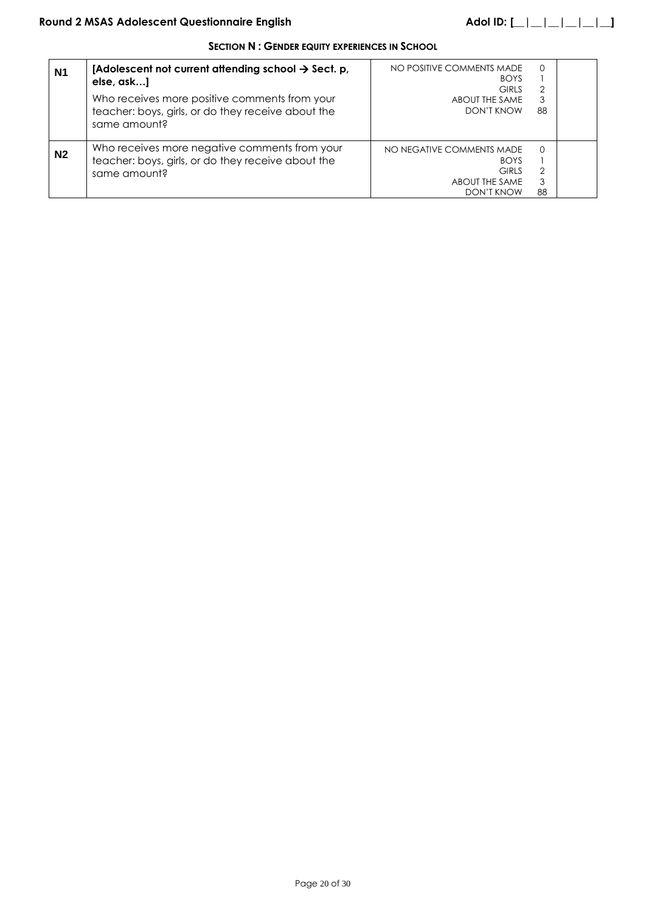# **SECTION N : GENDER EQUITY EXPERIENCES IN SCHOOL**

| N <sub>1</sub> | [Adolescent not current attending school $\rightarrow$ Sect. p,<br>else, ask]<br>Who receives more positive comments from your<br>teacher: boys, girls, or do they receive about the<br>same amount? | NO POSITIVE COMMENTS MADE<br><b>BOYS</b><br><b>GIRLS</b><br>ABOUT THE SAME<br>DON'T KNOW | $\Omega$<br>$\mathcal{P}$<br>3<br>88 |  |
|----------------|------------------------------------------------------------------------------------------------------------------------------------------------------------------------------------------------------|------------------------------------------------------------------------------------------|--------------------------------------|--|
| N <sub>2</sub> | Who receives more negative comments from your<br>teacher: boys, girls, or do they receive about the<br>same amount?                                                                                  | NO NEGATIVE COMMENTS MADE<br><b>BOYS</b><br><b>GIRLS</b><br>ABOUT THE SAME<br>DON'T KNOW | $\Omega$<br>$\mathcal{P}$<br>3<br>88 |  |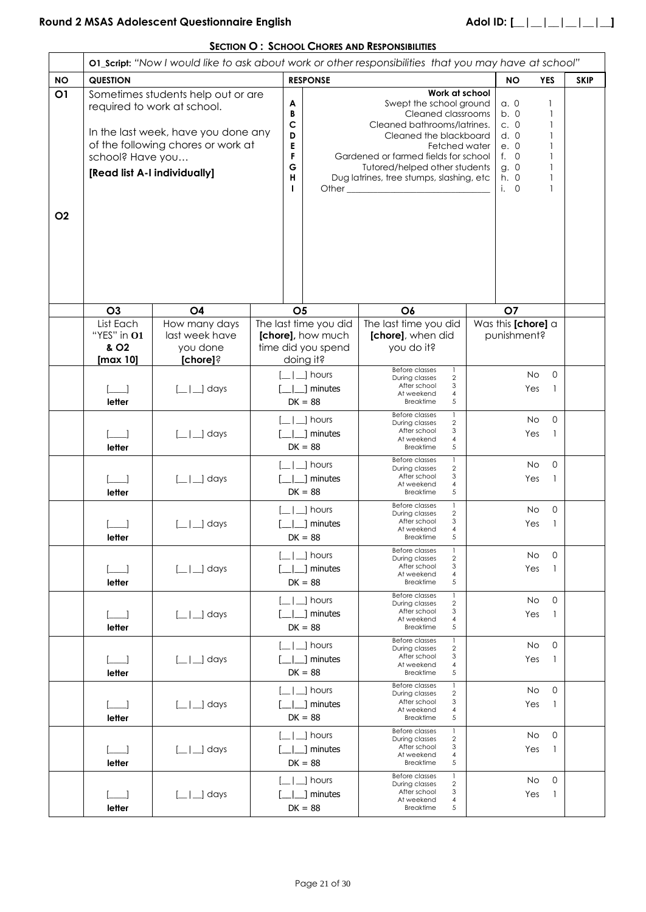# **Round 2 MSAS Adolescent Questionnaire English Adol ID: [\_|\_|\_|\_|\_|\_|\_|\_|**

## **SECTION O : SCHOOL CHORES AND RESPONSIBILITIES**

<span id="page-20-0"></span>

|                             | ot_script: "Now I would like to ask about work or other responsibilities that you may have at school" |                                                                                                                                                |  |                                                                                                                                                                                                                                                                                                                           |                                                                               |                                                                                           |                                                   |                                                                    |                                                                 |                                     |             |
|-----------------------------|-------------------------------------------------------------------------------------------------------|------------------------------------------------------------------------------------------------------------------------------------------------|--|---------------------------------------------------------------------------------------------------------------------------------------------------------------------------------------------------------------------------------------------------------------------------------------------------------------------------|-------------------------------------------------------------------------------|-------------------------------------------------------------------------------------------|---------------------------------------------------|--------------------------------------------------------------------|-----------------------------------------------------------------|-------------------------------------|-------------|
| <b>NO</b>                   | <b>QUESTION</b>                                                                                       |                                                                                                                                                |  |                                                                                                                                                                                                                                                                                                                           | <b>RESPONSE</b>                                                               |                                                                                           |                                                   |                                                                    | <b>NO</b>                                                       | YES                                 | <b>SKIP</b> |
| <b>O1</b><br>O <sub>2</sub> | school? Have you<br>[Read list A-I individually]                                                      | Sometimes students help out or are<br>required to work at school.<br>In the last week, have you done any<br>of the following chores or work at |  | Work at school<br>Swept the school ground<br>A<br>B<br>Cleaned classrooms<br>c<br>Cleaned bathrooms/latrines.<br>D<br>Cleaned the blackboard<br>Е<br>Fetched water<br>F<br>Gardened or farmed fields for school<br>G<br>Tutored/helped other students<br>н<br>Dug latrines, tree stumps, slashing, etc<br>т<br>Other $\_$ |                                                                               |                                                                                           |                                                   | a. 0<br>b. 0<br>c.0<br>d.0<br>e. 0<br>f. 0<br>g. 0<br>h. 0<br>i. 0 | 1<br>1<br>1<br>1<br>1<br>1<br>$\mathbf{1}$<br>1<br>$\mathbf{1}$ |                                     |             |
|                             | O <sub>3</sub>                                                                                        | O <sub>4</sub>                                                                                                                                 |  | O <sub>5</sub>                                                                                                                                                                                                                                                                                                            |                                                                               | O <sub>6</sub>                                                                            |                                                   |                                                                    | O <sub>7</sub>                                                  |                                     |             |
|                             | List Each<br>"YES" in O1<br>& O <sub>2</sub><br>[max 10]                                              | How many days<br>last week have<br>you done<br>[chore]?                                                                                        |  |                                                                                                                                                                                                                                                                                                                           | The last time you did<br>[chore], how much<br>time did you spend<br>doing it? | The last time you did<br>[chore], when did<br>you do it?                                  |                                                   |                                                                    | Was this [chore] a<br>punishment?                               |                                     |             |
|                             | $\begin{bmatrix} 1 & 1 \end{bmatrix}$<br>letter                                                       | $[\_   \_]$ days                                                                                                                               |  |                                                                                                                                                                                                                                                                                                                           | 1 hours<br>_] minutes<br>$DK = 88$                                            | <b>Before classes</b><br>During classes<br>After school<br>At weekend<br>Breaktime        | $\mathbf{1}$<br>$\boldsymbol{2}$<br>3<br>4<br>5   |                                                                    | <b>No</b><br>Yes                                                | $\mathbf 0$<br>1                    |             |
|                             | letter                                                                                                | $[\_   \_]$ days                                                                                                                               |  |                                                                                                                                                                                                                                                                                                                           | 1 hours<br>] minutes<br>$DK = 88$                                             | <b>Before classes</b><br>During classes<br>After school<br>At weekend<br>Breaktime        | $\mathbf{1}$<br>$\boldsymbol{2}$<br>3<br>4<br>5   |                                                                    | No<br>Yes                                                       | $\mathbf 0$<br>-1                   |             |
|                             | $\begin{bmatrix} 1 & 1 \end{bmatrix}$<br>letter                                                       | $[\_   \_ ]$ days                                                                                                                              |  |                                                                                                                                                                                                                                                                                                                           | $\Box$ hours<br>minutes<br>$DK = 88$                                          | <b>Before classes</b><br>During classes<br>After school<br>At weekend<br><b>Breaktime</b> | $\overline{1}$<br>$\boldsymbol{2}$<br>3<br>4<br>5 |                                                                    | No<br>Yes                                                       | $\mathbf 0$<br>1                    |             |
|                             | letter                                                                                                | $\lfloor$ $\lfloor$ days                                                                                                                       |  |                                                                                                                                                                                                                                                                                                                           | $\Box$ hours<br>] minutes<br>$DK = 88$                                        | <b>Before classes</b><br>During classes<br>After school<br>At weekend<br><b>Breaktime</b> | $\mathbf{1}$<br>$\boldsymbol{2}$<br>3<br>4<br>5   |                                                                    | No<br>Yes                                                       | 0<br>1                              |             |
|                             | $\sim$ 1<br>letter                                                                                    | $[\_   \_]$ days                                                                                                                               |  |                                                                                                                                                                                                                                                                                                                           | $\Box$ hours<br>1 minutes<br>$DK = 88$                                        | <b>Before classes</b><br>During classes<br>After school<br>At weekend<br><b>Breaktime</b> | -1<br>$\mathbf{2}$<br>3<br>4<br>5                 |                                                                    | No<br>Yes                                                       | 0<br>$\mathbf{1}$                   |             |
|                             | $[\_$<br>letter                                                                                       | $[\_   \_]$ days                                                                                                                               |  |                                                                                                                                                                                                                                                                                                                           | $\Box$ hours<br>1 minutes<br>$DK = 88$                                        | <b>Before classes</b><br>During classes<br>After school<br>At weekend<br><b>Breaktime</b> | $\mathbf{1}$<br>$\overline{c}$<br>3<br>4<br>5     |                                                                    | No<br>Yes                                                       | $\mathbf 0$<br>1                    |             |
|                             | $\Box$<br>letter                                                                                      | $[\_   \_ ]$ days                                                                                                                              |  |                                                                                                                                                                                                                                                                                                                           | $\Box$ ] hours<br>1 minutes<br>$DK = 88$                                      | <b>Before classes</b><br>During classes<br>After school<br>At weekend<br><b>Breaktime</b> | $\mathbf{1}$<br>$\boldsymbol{2}$<br>3<br>4<br>5   |                                                                    | No<br>Yes                                                       | $\mathbf 0$<br>1                    |             |
|                             | $\Box$<br>letter                                                                                      | $[\_   \_ ]$ days                                                                                                                              |  |                                                                                                                                                                                                                                                                                                                           | $\lfloor$ $\lfloor$ $\rfloor$ hours<br>1 minutes<br>$DK = 88$                 | <b>Before classes</b><br>During classes<br>After school<br>At weekend<br><b>Breaktime</b> | $\mathbf{1}$<br>$\sqrt{2}$<br>3<br>4<br>5         |                                                                    | <b>No</b><br>Yes                                                | $\mathsf{O}\xspace$<br>$\mathbf{1}$ |             |
|                             | $\Box$<br>letter                                                                                      | $[\_   \_]$ days                                                                                                                               |  |                                                                                                                                                                                                                                                                                                                           | $\Box$ hours<br>1 minutes<br>$DK = 88$                                        | <b>Before classes</b><br>During classes<br>After school<br>At weekend<br><b>Breaktime</b> | $\mathbf{1}$<br>$\sqrt{2}$<br>3<br>4<br>5         |                                                                    | <b>No</b><br>Yes                                                | $\mathbf 0$<br>1                    |             |
|                             | $\Box$<br>letter                                                                                      | $[\_   \_]$ days                                                                                                                               |  |                                                                                                                                                                                                                                                                                                                           | $\Box$ hours<br>] minutes<br>$DK = 88$                                        | <b>Before classes</b><br>During classes<br>After school<br>At weekend<br><b>Breaktime</b> | $\mathbf{1}$<br>$\sqrt{2}$<br>3<br>4<br>5         |                                                                    | <b>No</b><br>Yes                                                | $\mathbf 0$<br>-1                   |             |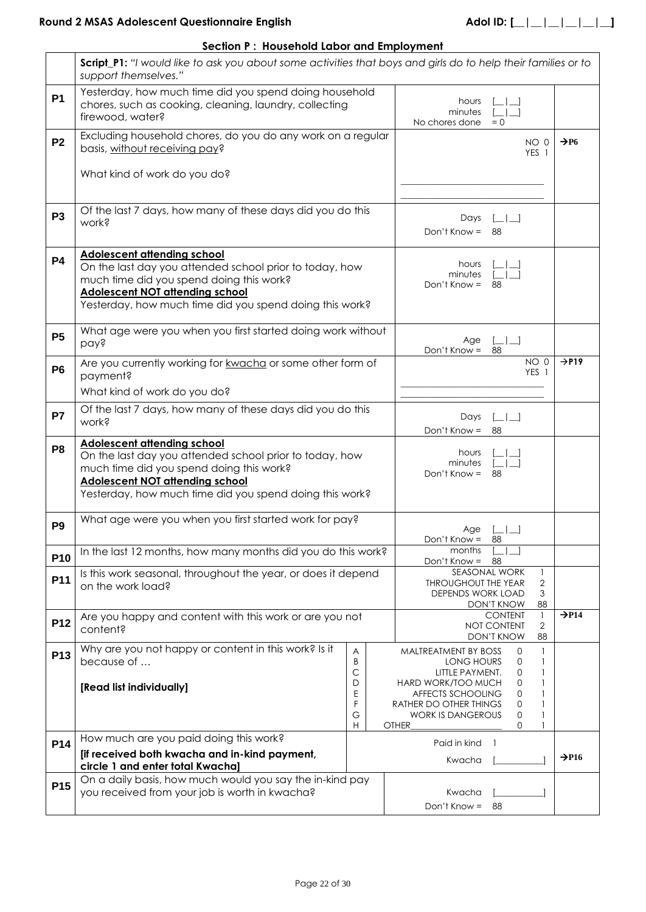<span id="page-21-1"></span><span id="page-21-0"></span>

|                 | <b>SECTION 1</b> . HOUSENOIG LADOR AND LITIPIOYINEMI                                                                                                                                                                                                                                    |                                                            |                                                                                                                         |                                                                                                                                                                                                                            |                   |
|-----------------|-----------------------------------------------------------------------------------------------------------------------------------------------------------------------------------------------------------------------------------------------------------------------------------------|------------------------------------------------------------|-------------------------------------------------------------------------------------------------------------------------|----------------------------------------------------------------------------------------------------------------------------------------------------------------------------------------------------------------------------|-------------------|
|                 | Script_P1: "I would like to ask you about some activities that boys and girls do to help their families or to<br>support themselves."                                                                                                                                                   |                                                            |                                                                                                                         |                                                                                                                                                                                                                            |                   |
| <b>P1</b>       | Yesterday, how much time did you spend doing household<br>chores, such as cooking, cleaning, laundry, collecting<br>firewood, water?                                                                                                                                                    |                                                            |                                                                                                                         | hours<br>minutes<br>No chores done<br>$= 0$                                                                                                                                                                                |                   |
| P <sub>2</sub>  | Excluding household chores, do you do any work on a regular<br>basis, without receiving pay?                                                                                                                                                                                            |                                                            |                                                                                                                         | NO 0<br>YES <sub>1</sub>                                                                                                                                                                                                   | $\rightarrow$ P6  |
|                 | What kind of work do you do?                                                                                                                                                                                                                                                            |                                                            |                                                                                                                         |                                                                                                                                                                                                                            |                   |
| P <sub>3</sub>  | Of the last 7 days, how many of these days did you do this<br>work?                                                                                                                                                                                                                     |                                                            |                                                                                                                         | Days<br>ا دا دا<br>Don't Know = $88$                                                                                                                                                                                       |                   |
| <b>P4</b>       | <b>Adolescent attending school</b><br>hours<br>On the last day you attended school prior to today, how<br>minutes<br>much time did you spend doing this work?<br>Don't Know = $88$<br><b>Adolescent NOT attending school</b><br>Yesterday, how much time did you spend doing this work? |                                                            |                                                                                                                         |                                                                                                                                                                                                                            |                   |
| <b>P5</b>       | What age were you when you first started doing work without<br>pay?                                                                                                                                                                                                                     |                                                            |                                                                                                                         | Age<br>$\Box$<br>Don't Know =<br>88                                                                                                                                                                                        |                   |
| <b>P6</b>       | payment?<br>What kind of work do you do?                                                                                                                                                                                                                                                | Are you currently working for kwacha or some other form of |                                                                                                                         |                                                                                                                                                                                                                            | $\rightarrow$ P19 |
| <b>P7</b>       | Of the last 7 days, how many of these days did you do this<br>work?                                                                                                                                                                                                                     | Days<br>- 1 - 1 - 1<br>Don't Know =<br>88                  |                                                                                                                         |                                                                                                                                                                                                                            |                   |
| P <sub>8</sub>  | <b>Adolescent attending school</b><br>hours<br>On the last day you attended school prior to today, how<br>minutes<br>much time did you spend doing this work?<br>Don't Know = $88$<br><b>Adolescent NOT attending school</b><br>Yesterday, how much time did you spend doing this work? |                                                            |                                                                                                                         |                                                                                                                                                                                                                            |                   |
| P <sub>9</sub>  | What age were you when you first started work for pay?                                                                                                                                                                                                                                  |                                                            |                                                                                                                         | Age<br>Don't Know =<br>88                                                                                                                                                                                                  |                   |
| P <sub>10</sub> | In the last 12 months, how many months did you do this work?                                                                                                                                                                                                                            |                                                            |                                                                                                                         | months<br>Don't Know $=$<br>88                                                                                                                                                                                             |                   |
| P11             | Is this work seasonal, throughout the year, or does it depend<br>on the work load?                                                                                                                                                                                                      |                                                            | <b>SEASONAL WORK</b><br>1<br>$\overline{2}$<br>THROUGHOUT THE YEAR<br>DEPENDS WORK LOAD<br>3<br>88<br><b>DON'T KNOW</b> |                                                                                                                                                                                                                            |                   |
| P <sub>12</sub> | Are you happy and content with this work or are you not<br>content?                                                                                                                                                                                                                     |                                                            |                                                                                                                         | <b>CONTENT</b><br>$\mathbf{1}$<br>NOT CONTENT<br>2<br><b>DON'T KNOW</b><br>88                                                                                                                                              | $\rightarrow$ P14 |
| P <sub>13</sub> | Why are you not happy or content in this work? Is it<br>because of<br>[Read list individually]                                                                                                                                                                                          | A<br>B<br>С<br>D<br>E<br>F<br>G                            |                                                                                                                         | <b>MALTREATMENT BY BOSS</b><br>$\mathbf{1}$<br>0<br>LONG HOURS<br>0<br>1<br>LITTLE PAYMENT.<br>1<br>0<br>HARD WORK/TOO MUCH<br>0<br>AFFECTS SCHOOLING<br>0<br>RATHER DO OTHER THINGS<br>0<br><b>WORK IS DANGEROUS</b><br>0 |                   |
| P14             | How much are you paid doing this work?<br>[if received both kwacha and in-kind payment,<br>circle 1 and enter total Kwacha]                                                                                                                                                             | Н                                                          |                                                                                                                         | OTHER<br>0<br>Paid in kind<br>Kwacha                                                                                                                                                                                       | $\rightarrow$ P16 |
| P <sub>15</sub> | On a daily basis, how much would you say the in-kind pay<br>you received from your job is worth in kwacha?                                                                                                                                                                              |                                                            |                                                                                                                         | Kwacha<br>Don't Know = $88$                                                                                                                                                                                                |                   |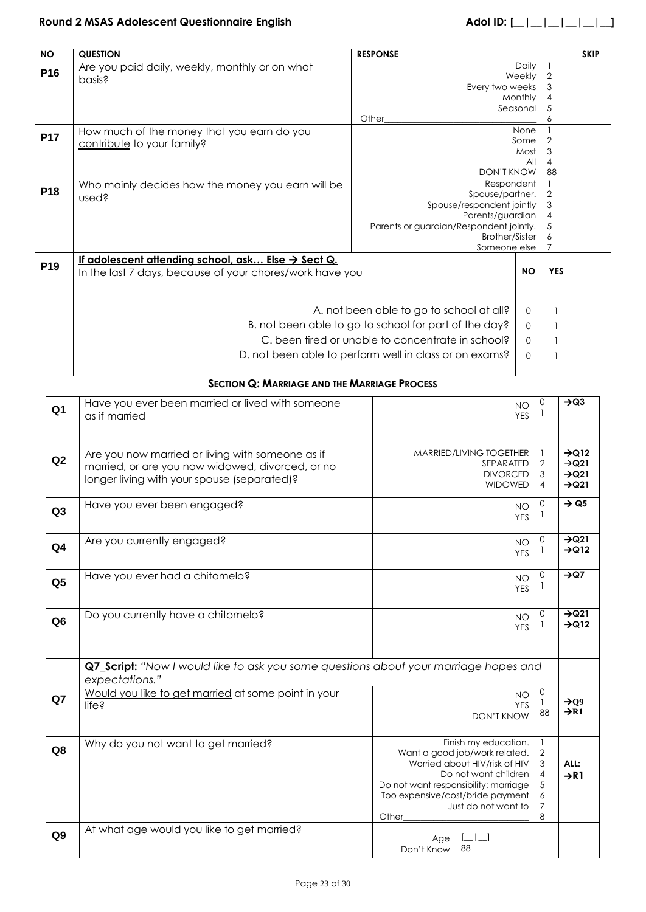<span id="page-22-0"></span>

| <b>NO</b>       | <b>QUESTION</b>                                                | <b>RESPONSE</b>                         |                     |                      | <b>SKIP</b> |
|-----------------|----------------------------------------------------------------|-----------------------------------------|---------------------|----------------------|-------------|
| P <sub>16</sub> | Are you paid daily, weekly, monthly or on what                 |                                         | Daily               |                      |             |
|                 | basis?                                                         |                                         | Weekly              | $\overline{2}$       |             |
|                 |                                                                | Every two weeks                         |                     | 3                    |             |
|                 |                                                                |                                         | Monthly<br>Seasonal | $\overline{4}$<br>.5 |             |
|                 |                                                                | Other                                   |                     |                      |             |
|                 | How much of the money that you earn do you                     |                                         | None                |                      |             |
| <b>P17</b>      | contribute to your family?                                     |                                         | Some                | $\overline{2}$       |             |
|                 |                                                                |                                         | Most                | 3                    |             |
|                 |                                                                |                                         | All                 | 4                    |             |
|                 |                                                                | <b>DON'T KNOW</b>                       |                     | 88                   |             |
| P <sub>18</sub> | Who mainly decides how the money you earn will be              | Respondent<br>Spouse/partner.           |                     | $\overline{2}$       |             |
|                 | used?                                                          | Spouse/respondent jointly               |                     | 3                    |             |
|                 |                                                                | Parents/guardian                        |                     | $\overline{4}$       |             |
|                 |                                                                | Parents or guardian/Respondent jointly. |                     | 5                    |             |
|                 |                                                                | <b>Brother/Sister</b>                   |                     |                      |             |
|                 |                                                                | Someone else                            |                     |                      |             |
| P <sub>19</sub> | If adolescent attending school, ask Else $\rightarrow$ Sect Q. |                                         |                     |                      |             |
|                 | In the last 7 days, because of your chores/work have you       |                                         | <b>NO</b>           | <b>YES</b>           |             |
|                 |                                                                |                                         |                     |                      |             |
|                 |                                                                |                                         |                     |                      |             |
|                 | A. not been able to go to school at all?                       |                                         | $\Omega$            |                      |             |
|                 | B. not been able to go to school for part of the day?          |                                         |                     |                      |             |
|                 | C. been tired or unable to concentrate in school?              |                                         |                     |                      |             |
|                 | D. not been able to perform well in class or on exams?         |                                         |                     |                      |             |
|                 |                                                                |                                         | $\mathbf{O}$        |                      |             |
|                 |                                                                |                                         |                     |                      |             |

# **SECTION Q: MARRIAGE AND THE MARRIAGE PROCESS**

|                |                                                                                      |                                      |                | $\rightarrow$ Q3  |
|----------------|--------------------------------------------------------------------------------------|--------------------------------------|----------------|-------------------|
| Q <sub>1</sub> | Have you ever been married or lived with someone                                     | <b>NO</b>                            | 0              |                   |
|                | as if married                                                                        | <b>YES</b>                           |                |                   |
|                |                                                                                      |                                      |                |                   |
|                |                                                                                      |                                      |                |                   |
|                | Are you now married or living with someone as if                                     | MARRIED/LIVING TOGETHER              |                | $\rightarrow Q12$ |
| Q2             | married, or are you now widowed, divorced, or no                                     | SEPARATED                            | $\overline{2}$ | $\rightarrow$ Q21 |
|                | longer living with your spouse (separated)?                                          | <b>DIVORCED</b>                      | 3              | $\rightarrow$ Q21 |
|                |                                                                                      | <b>WIDOWED</b>                       | $\overline{4}$ | $\rightarrow$ Q21 |
|                |                                                                                      |                                      |                | $\rightarrow$ Q5  |
| Q3             | Have you ever been engaged?                                                          | <b>NO</b>                            | 0              |                   |
|                |                                                                                      | <b>YES</b>                           | $\mathbf{1}$   |                   |
|                |                                                                                      |                                      |                |                   |
| Q <sub>4</sub> | Are you currently engaged?                                                           | <b>NO</b>                            | 0              | $\rightarrow$ Q21 |
|                |                                                                                      | <b>YES</b>                           | 1              | $\rightarrow Q12$ |
|                |                                                                                      |                                      |                |                   |
| Q <sub>5</sub> | Have you ever had a chitomelo?                                                       | <b>NO</b>                            | $\mathbf 0$    | $\rightarrow Q7$  |
|                |                                                                                      | <b>YES</b>                           | 1              |                   |
|                |                                                                                      |                                      |                |                   |
|                | Do you currently have a chitomelo?                                                   | <b>NO</b>                            | $\mathbf 0$    | $\rightarrow$ Q21 |
| Q <sub>6</sub> |                                                                                      | <b>YES</b>                           | 1              | $\rightarrow Q12$ |
|                |                                                                                      |                                      |                |                   |
|                |                                                                                      |                                      |                |                   |
|                |                                                                                      |                                      |                |                   |
|                | Q7_Script: "Now I would like to ask you some questions about your marriage hopes and |                                      |                |                   |
|                | expectations."                                                                       |                                      |                |                   |
|                | Would you like to get married at some point in your                                  | <b>NO</b>                            | 0              |                   |
| Q7             | $life$ ?                                                                             | <b>YES</b>                           |                | $\rightarrow 09$  |
|                |                                                                                      | <b>DON'T KNOW</b>                    | 88             | $\rightarrow$ R1  |
|                |                                                                                      |                                      |                |                   |
|                |                                                                                      | Finish my education.                 | $\overline{1}$ |                   |
| Q8             | Why do you not want to get married?                                                  | Want a good job/work related.        | $\overline{2}$ |                   |
|                |                                                                                      | Worried about HIV/risk of HIV        | 3              | ALL:              |
|                |                                                                                      | Do not want children                 | $\overline{4}$ | $\rightarrow$ R1  |
|                |                                                                                      | Do not want responsibility: marriage | 5              |                   |
|                |                                                                                      | Too expensive/cost/bride payment     | 6              |                   |
|                |                                                                                      | Just do not want to                  | $\overline{7}$ |                   |
|                |                                                                                      | Other                                | 8              |                   |
|                | At what age would you like to get married?                                           |                                      |                |                   |
| Q9             |                                                                                      | Age                                  |                |                   |
|                |                                                                                      | 88<br>Don't Know                     |                |                   |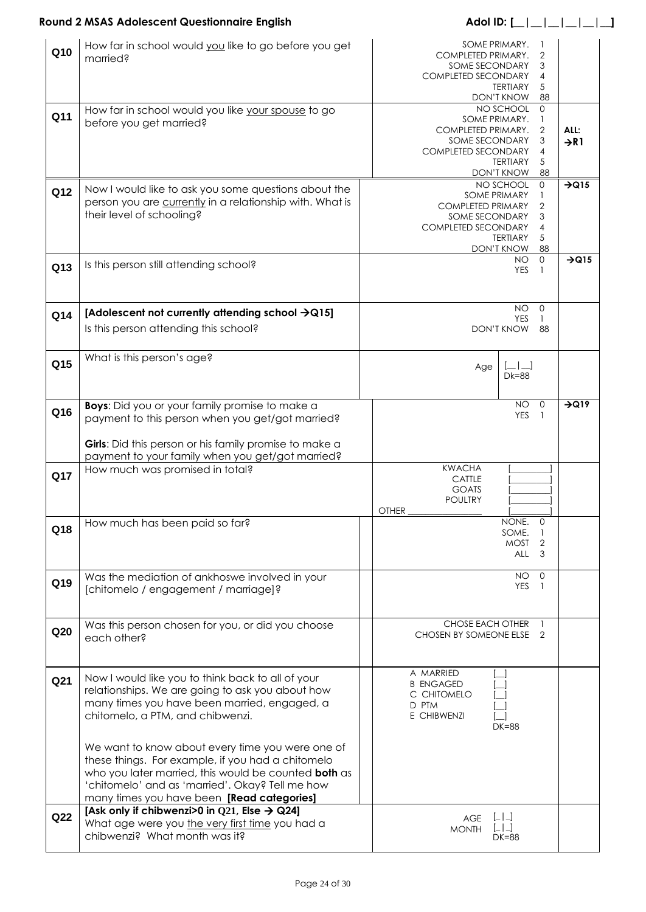<span id="page-23-1"></span><span id="page-23-0"></span>

|                 | <b>Round 2 MSAS Adolescent Questionnaire English</b>                                                                                                                                                                                                           | Adol ID: $[$                                                                                                                                                                                                          |                          |
|-----------------|----------------------------------------------------------------------------------------------------------------------------------------------------------------------------------------------------------------------------------------------------------------|-----------------------------------------------------------------------------------------------------------------------------------------------------------------------------------------------------------------------|--------------------------|
| Q <sub>10</sub> | How far in school would you like to go before you get<br>married?                                                                                                                                                                                              | SOME PRIMARY.<br>$\overline{2}$<br>COMPLETED PRIMARY.<br>SOME SECONDARY<br>3<br><b>COMPLETED SECONDARY</b><br>$\overline{4}$<br><b>TERTIARY</b><br>5<br>88<br><b>DON'T KNOW</b>                                       |                          |
| Q11             | How far in school would you like your spouse to go<br>before you get married?                                                                                                                                                                                  | NO SCHOOL<br>$\mathbf{O}$<br>SOME PRIMARY.<br>$\mathbf{1}$<br>$\overline{2}$<br>COMPLETED PRIMARY.<br>SOME SECONDARY<br>3<br><b>COMPLETED SECONDARY</b><br>$\overline{4}$<br>5<br><b>TERTIARY</b><br>DON'T KNOW<br>88 | ALL:<br>$\rightarrow$ R1 |
| Q12             | Now I would like to ask you some questions about the<br>person you are currently in a relationship with. What is<br>their level of schooling?                                                                                                                  | NO SCHOOL<br>0<br><b>SOME PRIMARY</b><br>$\mathbf{1}$<br><b>COMPLETED PRIMARY</b><br>$\overline{2}$<br>3<br><b>SOME SECONDARY</b><br><b>COMPLETED SECONDARY</b><br>4<br>5<br><b>TERTIARY</b><br>88<br>DON'T KNOW      | $\rightarrow Q15$        |
| Q13             | Is this person still attending school?                                                                                                                                                                                                                         | $\mathbf{0}$<br>NO.<br><b>YES</b><br>1                                                                                                                                                                                | $\rightarrow Q15$        |
| Q14             | [Adolescent not currently attending school $\rightarrow$ Q15]<br>Is this person attending this school?                                                                                                                                                         | NO.<br>0<br><b>YES</b><br>$\mathbf{1}$<br><b>DON'T KNOW</b><br>88                                                                                                                                                     |                          |
| Q15             | What is this person's age?                                                                                                                                                                                                                                     | Age<br><b>Dk=88</b>                                                                                                                                                                                                   |                          |
| Q16             | <b>Boys:</b> Did you or your family promise to make a<br>payment to this person when you get/got married?<br>Girls: Did this person or his family promise to make a<br>payment to your family when you get/got married?                                        | <b>NO</b><br>$\mathsf{O}$<br><b>YES</b><br>$\mathbf{1}$                                                                                                                                                               | $\rightarrow Q19$        |
| Q17             | How much was promised in total?                                                                                                                                                                                                                                | <b>KWACHA</b><br>CATTLE<br><b>GOATS</b><br><b>POULTRY</b><br><b>OTHER</b>                                                                                                                                             |                          |
| Q18             | How much has been paid so far?                                                                                                                                                                                                                                 | NONE.<br>$\Omega$<br>SOME.<br>$\mathbf{1}$<br><b>MOST</b><br>$\overline{2}$<br><b>ALL</b><br>-3                                                                                                                       |                          |
| Q19             | Was the mediation of ankhoswe involved in your<br>[chitomelo / engagement / marriage]?                                                                                                                                                                         | <b>NO</b><br>$\mathbf{0}$<br>YES<br>-1                                                                                                                                                                                |                          |
| Q20             | Was this person chosen for you, or did you choose<br>each other?                                                                                                                                                                                               | CHOSE EACH OTHER<br>CHOSEN BY SOMEONE ELSE 2                                                                                                                                                                          |                          |
| Q21             | Now I would like you to think back to all of your<br>relationships. We are going to ask you about how<br>many times you have been married, engaged, a<br>chitomelo, a PTM, and chibwenzi.                                                                      | A MARRIED<br><b>B ENGAGED</b><br>C CHITOMELO<br>D PTM<br>E CHIBWENZI<br><b>DK=88</b>                                                                                                                                  |                          |
|                 | We want to know about every time you were one of<br>these things. For example, if you had a chitomelo<br>who you later married, this would be counted both as<br>'chitomelo' and as 'married'. Okay? Tell me how<br>many times you have been [Read categories] |                                                                                                                                                                                                                       |                          |
| Q22             | [Ask only if chibwenzi>0 in Q21, Else $\rightarrow$ Q24]<br>What age were you the very first time you had a<br>chibwenzi? What month was it?                                                                                                                   | LLI<br><b>AGE</b><br>$\Box$<br><b>MONTH</b><br><b>DK=88</b>                                                                                                                                                           |                          |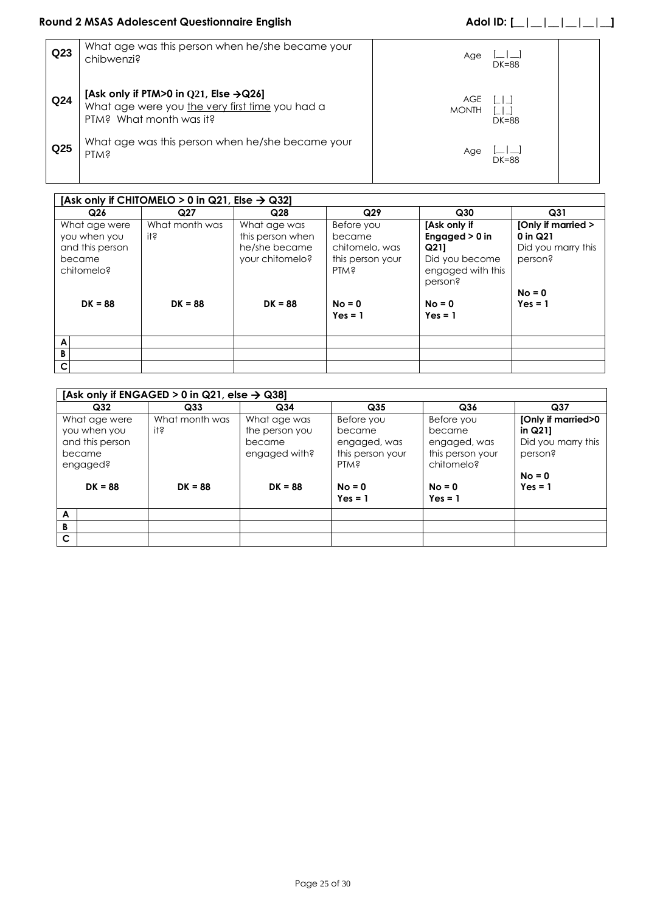# **Round 2 MSAS Adolescent Questionnaire English Adol ID: [\_|\_|\_|\_|\_|\_|\_|\_**|\_\_|\_\_

<span id="page-24-0"></span>

| Q <sub>23</sub> | What age was this person when he/she became your<br>chibwenzi?                                                                   | Age                        | $DK=88$   |  |
|-----------------|----------------------------------------------------------------------------------------------------------------------------------|----------------------------|-----------|--|
| Q <sub>24</sub> | [Ask only if PTM>0 in Q21, Else $\rightarrow$ Q26]<br>What age were you the very first time you had a<br>PTM? What month was it? | <b>AGE</b><br><b>MONTH</b> | $DK = 88$ |  |
| Q <sub>25</sub> | What age was this person when he/she became your<br><b>PIM?</b>                                                                  | Age                        | $DK = 88$ |  |

<span id="page-24-1"></span>

| [Ask only if CHITOMELO > 0 in Q21, Else $\rightarrow$ Q32] |                |                  |                                 |                                                |                    |  |  |  |  |
|------------------------------------------------------------|----------------|------------------|---------------------------------|------------------------------------------------|--------------------|--|--|--|--|
| Q <sub>26</sub>                                            | Q27            | Q <sub>28</sub>  | Q <sub>29</sub>                 | Q <sub>30</sub>                                | Q <sub>31</sub>    |  |  |  |  |
| What age were                                              | What month was | What age was     | Before you                      | [Ask only if                                   | [Only if married > |  |  |  |  |
| you when you                                               | ił ŝ           | this person when | became                          | Engaged $> 0$ in                               | $0$ in $Q21$       |  |  |  |  |
| and this person                                            |                | he/she became    | chitomelo, was                  | Q211                                           | Did you marry this |  |  |  |  |
| became<br>chitomelo?                                       |                | your chitomelo?  | this person your<br><b>PIM?</b> | Did you become<br>engaged with this<br>person? | person?            |  |  |  |  |
|                                                            |                |                  |                                 |                                                | $No = 0$           |  |  |  |  |
| $DK = 88$                                                  | $DK = 88$      | $DK = 88$        | $No = 0$                        | $No = 0$                                       | $Yes = 1$          |  |  |  |  |
|                                                            |                |                  | $Yes = 1$                       | $Yes = 1$                                      |                    |  |  |  |  |
| A                                                          |                |                  |                                 |                                                |                    |  |  |  |  |
| B                                                          |                |                  |                                 |                                                |                    |  |  |  |  |
| $\mathsf{C}$                                               |                |                  |                                 |                                                |                    |  |  |  |  |

<span id="page-24-2"></span>

|                                                                        | [Ask only if ENGAGED > 0 in Q21, else $\rightarrow$ Q38] |                                                           |                                                                          |                                                                        |                                                                |  |  |  |  |  |
|------------------------------------------------------------------------|----------------------------------------------------------|-----------------------------------------------------------|--------------------------------------------------------------------------|------------------------------------------------------------------------|----------------------------------------------------------------|--|--|--|--|--|
| Q <sub>32</sub>                                                        | Q <sub>33</sub>                                          | Q <sub>34</sub>                                           | Q <sub>35</sub>                                                          | Q <sub>36</sub>                                                        | Q <sub>37</sub>                                                |  |  |  |  |  |
| What age were<br>you when you<br>and this person<br>became<br>engaged? | What month was<br>iłś.                                   | What age was<br>the person you<br>became<br>engaged with? | Before you<br>became<br>engaged, was<br>this person your<br><b>PIM</b> ? | Before you<br>became<br>engaged, was<br>this person your<br>chitomelo? | [Only if married>0<br>in Q211<br>Did you marry this<br>person? |  |  |  |  |  |
| $DK = 88$<br>A                                                         | $DK = 88$                                                | $DK = 88$                                                 | $No = 0$<br>$Yes = 1$                                                    | $No = 0$<br>$Yes = 1$                                                  | $No = 0$<br>$Yes = 1$                                          |  |  |  |  |  |
| В<br>C                                                                 |                                                          |                                                           |                                                                          |                                                                        |                                                                |  |  |  |  |  |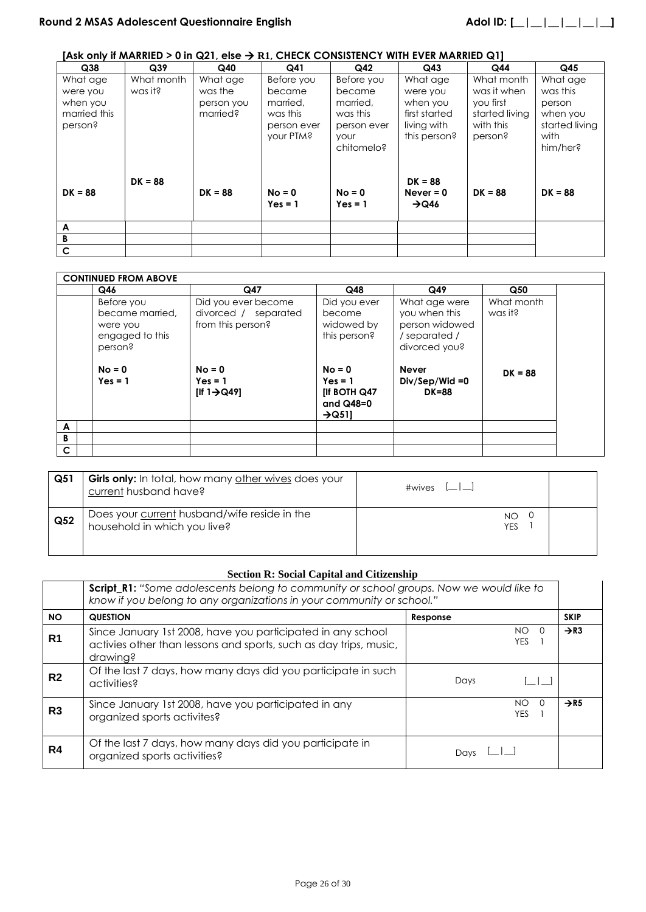**[Ask only if MARRIED > 0 in Q21, else**  $\rightarrow$  **[R1](#page-25-1), CHECK CONSISTENCY WITH EVER MARRIED Q1]** 

<span id="page-25-0"></span>

| Q <sub>38</sub>                                             | Q39                   | $Q$ 40                                        | Q <sub>41</sub>                                                          | Q <sub>42</sub>                                                                   | Q <sub>43</sub>                                                                  | Q44                                                                              | Q45                                                                              |
|-------------------------------------------------------------|-----------------------|-----------------------------------------------|--------------------------------------------------------------------------|-----------------------------------------------------------------------------------|----------------------------------------------------------------------------------|----------------------------------------------------------------------------------|----------------------------------------------------------------------------------|
| What age<br>were you<br>when you<br>married this<br>person? | What month<br>was it? | What age<br>was the<br>person you<br>married? | Before you<br>became<br>married.<br>was this<br>person ever<br>your PTM? | Before you<br>became<br>married,<br>was this<br>person ever<br>your<br>chitomelo? | What age<br>were you<br>when you<br>first started<br>living with<br>this person? | What month<br>was it when<br>you first<br>started living<br>with this<br>person? | What age<br>was this<br>person<br>when you<br>started living<br>with<br>him/her? |
| $DK = 88$                                                   | $DK = 88$             | $DK = 88$                                     | $No = 0$<br>$Yes = 1$                                                    | $No = 0$<br>$Yes = 1$                                                             | $DK = 88$<br>Never $= 0$<br>$\rightarrow$ Q46                                    | $DK = 88$                                                                        | $DK = 88$                                                                        |
| A                                                           |                       |                                               |                                                                          |                                                                                   |                                                                                  |                                                                                  |                                                                                  |
| в                                                           |                       |                                               |                                                                          |                                                                                   |                                                                                  |                                                                                  |                                                                                  |
| C                                                           |                       |                                               |                                                                          |                                                                                   |                                                                                  |                                                                                  |                                                                                  |

|   | <b>CONTINUED FROM ABOVE</b>                                             |                                                                  |                                                                                   |                                                                                    |                       |  |
|---|-------------------------------------------------------------------------|------------------------------------------------------------------|-----------------------------------------------------------------------------------|------------------------------------------------------------------------------------|-----------------------|--|
|   | Q46                                                                     | Q47                                                              | Q48                                                                               | Q49                                                                                | Q50                   |  |
|   | Before you<br>became married.<br>were you<br>engaged to this<br>person? | Did you ever become<br>divorced / separated<br>from this person? | Did you ever<br>become<br>widowed by<br>this person?                              | What age were<br>you when this<br>person widowed<br>/ separated /<br>divorced you? | What month<br>was it? |  |
|   | $No = 0$<br>$Yes = 1$                                                   | $No = 0$<br>$Yes = 1$<br>$[$ If $1 \rightarrow Q49]$             | $No = 0$<br>$Yes = 1$<br><b>IIf BOTH Q47</b><br>and $Q48=0$<br>$\rightarrow$ Q511 | <b>Never</b><br>$Div/Sep/Wid = 0$<br>$DK=88$                                       | $DK = 88$             |  |
| A |                                                                         |                                                                  |                                                                                   |                                                                                    |                       |  |
| B |                                                                         |                                                                  |                                                                                   |                                                                                    |                       |  |
| C |                                                                         |                                                                  |                                                                                   |                                                                                    |                       |  |

| Q <sub>51</sub> | <b>Girls only:</b> In total, how many other wives does your<br>current husband have? | $\#wives$ $\Box$        |  |
|-----------------|--------------------------------------------------------------------------------------|-------------------------|--|
| Q <sub>52</sub> | Does your current husband/wife reside in the<br>household in which you live?         | <b>NO</b><br><b>YES</b> |  |

## **Section R: Social Capital and Citizenship**

<span id="page-25-1"></span>

|                | <b>Script_R1:</b> "Some adolescents belong to community or school groups. Now we would like to<br>know if you belong to any organizations in your community or school." |                               |                  |  |  |  |  |
|----------------|-------------------------------------------------------------------------------------------------------------------------------------------------------------------------|-------------------------------|------------------|--|--|--|--|
| <b>NO</b>      | <b>QUESTION</b>                                                                                                                                                         | Response                      | <b>SKIP</b>      |  |  |  |  |
| R <sub>1</sub> | Since January 1st 2008, have you participated in any school<br>activies other than lessons and sports, such as day trips, music,<br>drawina?                            | NO.<br>$\Omega$<br>YES.       | $\rightarrow$ R3 |  |  |  |  |
| R <sub>2</sub> | Of the last 7 days, how many days did you participate in such<br>activities?                                                                                            | Days                          |                  |  |  |  |  |
| R3             | Since January 1st 2008, have you participated in any<br>organized sports activites?                                                                                     | NO.<br>$\Omega$<br><b>YES</b> | $\rightarrow$ R5 |  |  |  |  |
| R4             | Of the last 7 days, how many days did you participate in<br>organized sports activities?                                                                                | Davs                          |                  |  |  |  |  |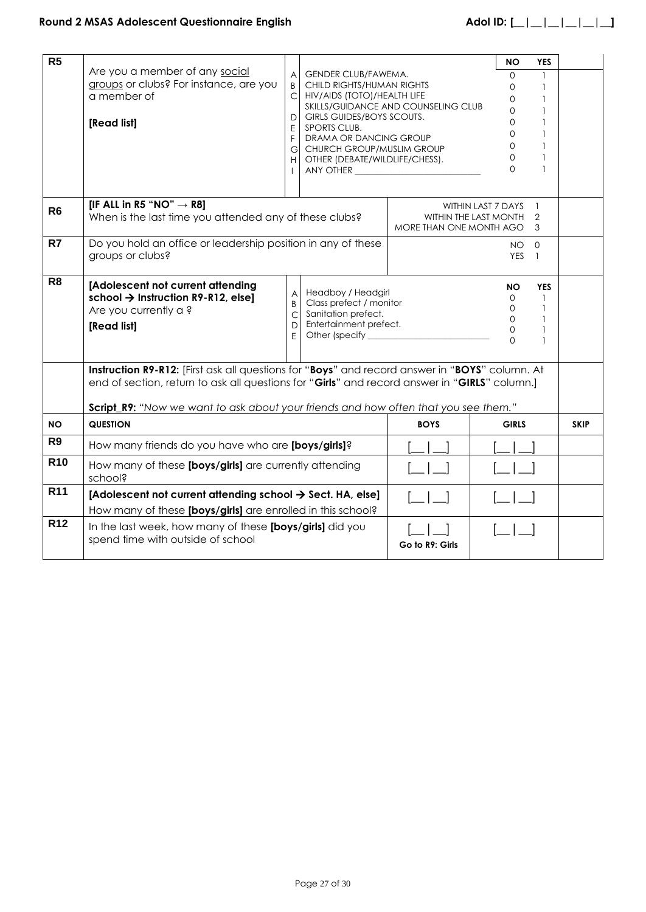| R <sub>5</sub> | Are you a member of any social<br>groups or clubs? For instance, are you<br>a member of<br>[Read list]                                                                                                                                                                                 | $\overline{A}$<br>B<br>D<br>E<br>F<br>G<br>H | <b>GENDER CLUB/FAWEMA.</b><br>CHILD RIGHTS/HUMAN RIGHTS<br>HIV/AIDS (TOTO)/HEALTH LIFE<br>SKILLS/GUIDANCE AND COUNSELING CLUB<br>GIRLS GUIDES/BOYS SCOUTS.<br>SPORTS CLUB.<br>DRAMA OR DANCING GROUP<br>CHURCH GROUP/MUSLIM GROUP<br>OTHER (DEBATE/WILDLIFE/CHESS). |                 |                                                                                                    | <b>NO</b><br>$\Omega$<br>$\Omega$<br>$\Omega$<br>$\Omega$<br>$\Omega$<br>$\Omega$<br>$\Omega$<br>$\Omega$<br>$\Omega$ | <b>YES</b><br>$\mathbf{1}$<br>$\mathbf{1}$<br>$\mathbf{1}$<br>$\mathbf{1}$<br>$\mathbf{1}$<br>$\mathbf{1}$ |             |
|----------------|----------------------------------------------------------------------------------------------------------------------------------------------------------------------------------------------------------------------------------------------------------------------------------------|----------------------------------------------|---------------------------------------------------------------------------------------------------------------------------------------------------------------------------------------------------------------------------------------------------------------------|-----------------|----------------------------------------------------------------------------------------------------|-----------------------------------------------------------------------------------------------------------------------|------------------------------------------------------------------------------------------------------------|-------------|
| R <sub>6</sub> | [IF ALL in R5 "NO" $\rightarrow$ R8]<br>When is the last time you attended any of these clubs?                                                                                                                                                                                         |                                              |                                                                                                                                                                                                                                                                     |                 | WITHIN LAST 7 DAYS<br>$\overline{1}$<br>WITHIN THE LAST MONTH<br>2<br>MORE THAN ONE MONTH AGO<br>3 |                                                                                                                       |                                                                                                            |             |
| R7             | Do you hold an office or leadership position in any of these<br>groups or clubs?                                                                                                                                                                                                       |                                              |                                                                                                                                                                                                                                                                     |                 |                                                                                                    | NO 0<br><b>YES</b>                                                                                                    | $\overline{1}$                                                                                             |             |
| R <sub>8</sub> | [Adolescent not current attending<br>school $\rightarrow$ Instruction R9-R12, else]<br>Are you currently a?<br>[Read list]                                                                                                                                                             | A<br>B<br>C<br>D<br>E                        | Headboy / Headgirl<br>Class prefect / monitor<br>Sanitation prefect.<br>Entertainment prefect.                                                                                                                                                                      |                 |                                                                                                    | <b>NO</b><br>0<br>0<br>$\Omega$<br>$\Omega$<br>$\Omega$                                                               | <b>YES</b><br>$\mathbf{1}$<br>$\mathbf{1}$<br>$\mathbf{1}$<br>$\mathbf{1}$                                 |             |
|                | Instruction R9-R12: [First ask all questions for "Boys" and record answer in "BOYS" column. At<br>end of section, return to ask all questions for "Girls" and record answer in "GIRLS" column.]<br>Script_R9: "Now we want to ask about your friends and how often that you see them." |                                              |                                                                                                                                                                                                                                                                     |                 |                                                                                                    |                                                                                                                       |                                                                                                            |             |
| <b>NO</b>      | <b>QUESTION</b>                                                                                                                                                                                                                                                                        |                                              |                                                                                                                                                                                                                                                                     | <b>BOYS</b>     |                                                                                                    | <b>GIRLS</b>                                                                                                          |                                                                                                            | <b>SKIP</b> |
| R <sub>9</sub> | How many friends do you have who are [boys/girls]?                                                                                                                                                                                                                                     |                                              |                                                                                                                                                                                                                                                                     |                 |                                                                                                    |                                                                                                                       |                                                                                                            |             |
| <b>R10</b>     | How many of these [boys/girls] are currently attending<br>school?                                                                                                                                                                                                                      |                                              |                                                                                                                                                                                                                                                                     |                 |                                                                                                    |                                                                                                                       |                                                                                                            |             |
| <b>R11</b>     | [Adolescent not current attending school $\rightarrow$ Sect. HA, else]<br>How many of these [boys/girls] are enrolled in this school?                                                                                                                                                  |                                              |                                                                                                                                                                                                                                                                     |                 |                                                                                                    |                                                                                                                       |                                                                                                            |             |
| <b>R12</b>     | In the last week, how many of these [boys/girls] did you<br>spend time with outside of school                                                                                                                                                                                          |                                              |                                                                                                                                                                                                                                                                     | Go to R9: Girls |                                                                                                    |                                                                                                                       |                                                                                                            |             |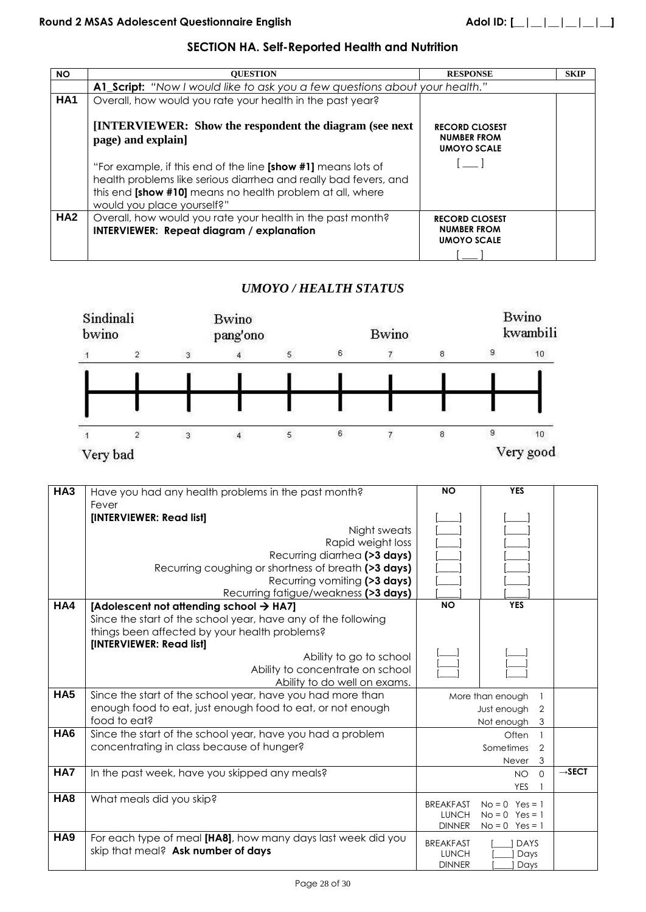| <b>NO</b>       | <b>OUESTION</b>                                                                                                                                                                                                              | <b>RESPONSE</b>                                                   | <b>SKIP</b> |
|-----------------|------------------------------------------------------------------------------------------------------------------------------------------------------------------------------------------------------------------------------|-------------------------------------------------------------------|-------------|
|                 | A1_Script: "Now I would like to ask you a few questions about your health."                                                                                                                                                  |                                                                   |             |
| HA <sub>1</sub> | Overall, how would you rate your health in the past year?                                                                                                                                                                    |                                                                   |             |
|                 | <b>[INTERVIEWER:</b> Show the respondent the diagram (see next)<br>page) and explain]                                                                                                                                        | <b>RECORD CLOSEST</b><br><b>NUMBER FROM</b><br><b>UMOYO SCALE</b> |             |
|                 | "For example, if this end of the line [show #1] means lots of<br>health problems like serious diarrhea and really bad fevers, and<br>this end [show #10] means no health problem at all, where<br>would you place yourself?" |                                                                   |             |
| HA <sub>2</sub> | Overall, how would you rate your health in the past month?<br><b>INTERVIEWER: Repeat diagram / explanation</b>                                                                                                               | <b>RECORD CLOSEST</b><br><b>NUMBER FROM</b><br><b>UMOYO SCALE</b> |             |

# *UMOYO / HEALTH STATUS*



| HA <sub>3</sub> | Have you had any health problems in the past month?           | <b>NO</b>        | <b>YES</b>                    |                    |
|-----------------|---------------------------------------------------------------|------------------|-------------------------------|--------------------|
|                 | Fever                                                         |                  |                               |                    |
|                 | [INTERVIEWER: Read list]                                      |                  |                               |                    |
|                 | Night sweats                                                  |                  |                               |                    |
|                 | Rapid weight loss                                             |                  |                               |                    |
|                 | Recurring diarrhea (>3 days)                                  |                  |                               |                    |
|                 | Recurring coughing or shortness of breath (>3 days)           |                  |                               |                    |
|                 | Recurring vomiting (>3 days)                                  |                  |                               |                    |
|                 | Recurring fatigue/weakness (>3 days)                          |                  |                               |                    |
| HA4             | [Adolescent not attending school $\rightarrow$ HA7]           | <b>NO</b>        | <b>YES</b>                    |                    |
|                 | Since the start of the school year, have any of the following |                  |                               |                    |
|                 | things been affected by your health problems?                 |                  |                               |                    |
|                 | [INTERVIEWER: Read list]                                      |                  |                               |                    |
|                 | Ability to go to school                                       |                  |                               |                    |
|                 | Ability to concentrate on school                              |                  |                               |                    |
|                 | Ability to do well on exams.                                  |                  |                               |                    |
| HA <sub>5</sub> | Since the start of the school year, have you had more than    |                  | More than enough              |                    |
|                 | enough food to eat, just enough food to eat, or not enough    |                  | Just enough<br>$\overline{2}$ |                    |
|                 | food to eat?                                                  |                  | Not enough<br>3               |                    |
| HA <sub>6</sub> | Since the start of the school year, have you had a problem    |                  | Often                         |                    |
|                 | concentrating in class because of hunger?                     |                  | Sometimes<br>$\overline{2}$   |                    |
|                 |                                                               |                  | 3<br>Never                    |                    |
| HA7             | In the past week, have you skipped any meals?                 |                  | $\Omega$<br><b>NO</b>         | $\rightarrow$ SECT |
|                 |                                                               |                  | <b>YES</b>                    |                    |
| HA <sub>8</sub> | What meals did you skip?                                      | <b>BREAKFAST</b> | $No = 0$ Yes = 1              |                    |
|                 |                                                               | <b>LUNCH</b>     | $No = 0$ Yes = 1              |                    |
|                 |                                                               | <b>DINNER</b>    | $No = 0$ Yes = 1              |                    |
| HA <sub>9</sub> | For each type of meal [HA8], how many days last week did you  | <b>BREAKFAST</b> | <b>DAYS</b>                   |                    |
|                 | skip that meal? Ask number of days                            | <b>LUNCH</b>     | Days                          |                    |
|                 |                                                               | <b>DINNER</b>    | Days                          |                    |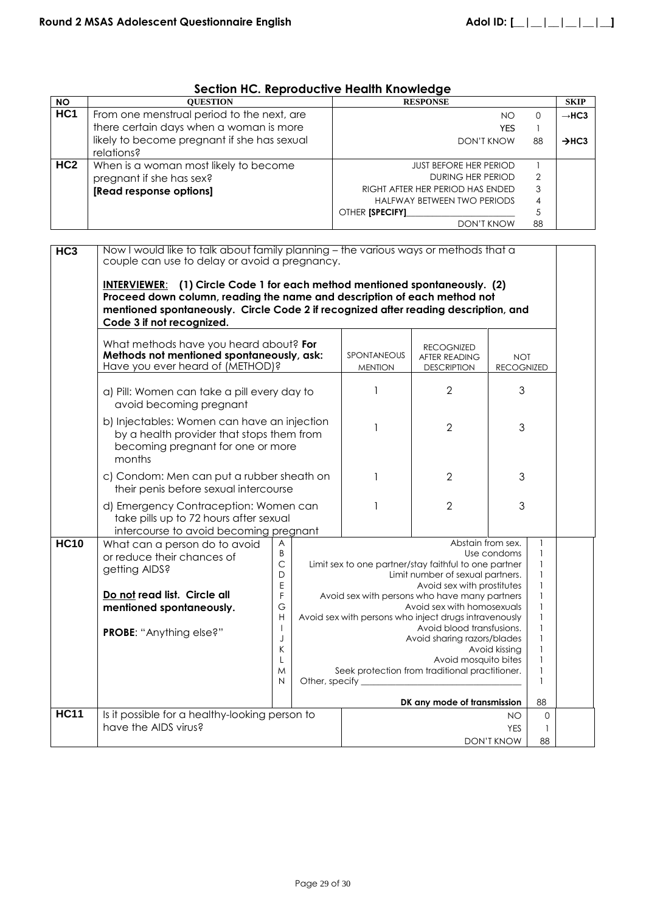| <b>Section HC. Reproductive Health Knowledge</b> |  |  |
|--------------------------------------------------|--|--|
|                                                  |  |  |

| <b>NO</b>       | <b>QUESTION</b>                                                                                                                      |                    |                                                               | <b>RESPONSE</b>    |                                                       |                   |                | <b>SKIP</b>       |
|-----------------|--------------------------------------------------------------------------------------------------------------------------------------|--------------------|---------------------------------------------------------------|--------------------|-------------------------------------------------------|-------------------|----------------|-------------------|
| HC <sub>1</sub> | From one menstrual period to the next, are                                                                                           |                    |                                                               | <b>NO</b>          |                                                       |                   | $\Omega$       | $\rightarrow$ HC3 |
|                 | there certain days when a woman is more                                                                                              |                    |                                                               |                    |                                                       | <b>YES</b>        | 1              |                   |
|                 | likely to become pregnant if she has sexual                                                                                          |                    |                                                               |                    |                                                       | DON'T KNOW        | 88             | $\rightarrow$ HC3 |
|                 | relations?                                                                                                                           |                    |                                                               |                    |                                                       |                   |                |                   |
| HC <sub>2</sub> | When is a woman most likely to become                                                                                                |                    |                                                               |                    | <b>JUST BEFORE HER PERIOD</b>                         |                   | 1              |                   |
|                 | pregnant if she has sex?                                                                                                             |                    |                                                               |                    | DURING HER PERIOD                                     |                   | $\overline{2}$ |                   |
|                 |                                                                                                                                      |                    |                                                               |                    | RIGHT AFTER HER PERIOD HAS ENDED                      |                   | 3              |                   |
|                 | [Read response options]                                                                                                              |                    |                                                               |                    | HALFWAY BETWEEN TWO PERIODS                           |                   | 4              |                   |
|                 |                                                                                                                                      |                    |                                                               | OTHER [SPECIFY]    |                                                       |                   | 5              |                   |
|                 |                                                                                                                                      |                    |                                                               |                    | <b>DON'T KNOW</b>                                     |                   | 88             |                   |
|                 |                                                                                                                                      |                    |                                                               |                    |                                                       |                   |                |                   |
|                 |                                                                                                                                      |                    |                                                               |                    |                                                       |                   |                |                   |
| HC <sub>3</sub> | Now I would like to talk about family planning - the various ways or methods that a<br>couple can use to delay or avoid a pregnancy. |                    |                                                               |                    |                                                       |                   |                |                   |
|                 |                                                                                                                                      |                    |                                                               |                    |                                                       |                   |                |                   |
|                 |                                                                                                                                      |                    |                                                               |                    |                                                       |                   |                |                   |
|                 | INTERVIEWER: (1) Circle Code 1 for each method mentioned spontaneously. (2)                                                          |                    |                                                               |                    |                                                       |                   |                |                   |
|                 | Proceed down column, reading the name and description of each method not                                                             |                    |                                                               |                    |                                                       |                   |                |                   |
|                 | mentioned spontaneously. Circle Code 2 if recognized after reading description, and                                                  |                    |                                                               |                    |                                                       |                   |                |                   |
|                 | Code 3 if not recognized.                                                                                                            |                    |                                                               |                    |                                                       |                   |                |                   |
|                 |                                                                                                                                      |                    |                                                               |                    |                                                       |                   |                |                   |
|                 | What methods have you heard about? For                                                                                               |                    |                                                               |                    | <b>RECOGNIZED</b>                                     |                   |                |                   |
|                 | Methods not mentioned spontaneously, ask:                                                                                            |                    |                                                               | <b>SPONTANEOUS</b> | AFTER READING                                         | <b>NOT</b>        |                |                   |
|                 | Have you ever heard of (METHOD)?                                                                                                     |                    |                                                               | <b>MENTION</b>     | <b>DESCRIPTION</b>                                    | <b>RECOGNIZED</b> |                |                   |
|                 |                                                                                                                                      |                    |                                                               |                    |                                                       |                   |                |                   |
|                 | a) Pill: Women can take a pill every day to                                                                                          |                    |                                                               |                    | $\overline{2}$                                        | 3                 |                |                   |
|                 | avoid becoming pregnant                                                                                                              |                    |                                                               |                    |                                                       |                   |                |                   |
|                 |                                                                                                                                      |                    |                                                               |                    |                                                       |                   |                |                   |
|                 | b) Injectables: Women can have an injection                                                                                          |                    |                                                               |                    | $\overline{2}$                                        | 3                 |                |                   |
|                 | by a health provider that stops them from                                                                                            |                    |                                                               |                    |                                                       |                   |                |                   |
|                 | becoming pregnant for one or more                                                                                                    |                    |                                                               |                    |                                                       |                   |                |                   |
|                 | months                                                                                                                               |                    |                                                               |                    |                                                       |                   |                |                   |
|                 |                                                                                                                                      |                    |                                                               |                    |                                                       |                   |                |                   |
|                 | c) Condom: Men can put a rubber sheath on                                                                                            |                    |                                                               |                    | 2                                                     | 3                 |                |                   |
|                 | their penis before sexual intercourse                                                                                                |                    |                                                               |                    |                                                       |                   |                |                   |
|                 | d) Emergency Contraception: Women can                                                                                                |                    |                                                               |                    | 2                                                     | 3                 |                |                   |
|                 | take pills up to 72 hours after sexual                                                                                               |                    |                                                               |                    |                                                       |                   |                |                   |
|                 |                                                                                                                                      |                    |                                                               |                    |                                                       |                   |                |                   |
| <b>HC10</b>     | intercourse to avoid becoming pregnant                                                                                               |                    |                                                               |                    | Abstain from sex.                                     |                   |                |                   |
|                 | What can a person do to avoid                                                                                                        | A<br>B             |                                                               |                    |                                                       | Use condoms       | 1              |                   |
|                 | or reduce their chances of                                                                                                           | $\mathsf{C}$       |                                                               |                    | Limit sex to one partner/stay faithful to one partner |                   | $\mathbf{1}$   |                   |
|                 | getting AIDS?                                                                                                                        | D                  |                                                               |                    | Limit number of sexual partners.                      |                   | 1              |                   |
|                 |                                                                                                                                      | E                  |                                                               |                    | Avoid sex with prostitutes                            |                   | $\mathbf{1}$   |                   |
|                 | Do not read list. Circle all                                                                                                         | F                  |                                                               |                    | Avoid sex with persons who have many partners         |                   | 1              |                   |
|                 | mentioned spontaneously.                                                                                                             | G                  |                                                               |                    | Avoid sex with homosexuals                            |                   | 1              |                   |
|                 |                                                                                                                                      | H                  |                                                               |                    | Avoid sex with persons who inject drugs intravenously |                   | 1              |                   |
|                 | PROBE: "Anything else?"                                                                                                              |                    | Avoid blood transfusions.<br>Avoid sharing razors/blades<br>J |                    |                                                       |                   |                |                   |
|                 |                                                                                                                                      |                    |                                                               |                    |                                                       |                   |                |                   |
|                 |                                                                                                                                      | Κ<br>Avoid kissing |                                                               |                    |                                                       |                   | 1              |                   |
|                 |                                                                                                                                      | L                  | Avoid mosquito bites                                          |                    |                                                       |                   | 1              |                   |
|                 |                                                                                                                                      | M                  |                                                               |                    | Seek protection from traditional practitioner.        |                   | 1              |                   |
|                 |                                                                                                                                      | N                  |                                                               |                    |                                                       |                   | 1              |                   |
|                 |                                                                                                                                      |                    |                                                               |                    |                                                       |                   |                |                   |
|                 |                                                                                                                                      |                    |                                                               |                    | DK any mode of transmission                           |                   | 88             |                   |
| <b>HC11</b>     | Is it possible for a healthy-looking person to                                                                                       |                    |                                                               |                    |                                                       | NO                | 0              |                   |
|                 | have the AIDS virus?                                                                                                                 |                    |                                                               |                    |                                                       | <b>YES</b>        | -1             |                   |
|                 |                                                                                                                                      |                    |                                                               |                    |                                                       | DON'T KNOW        | 88             |                   |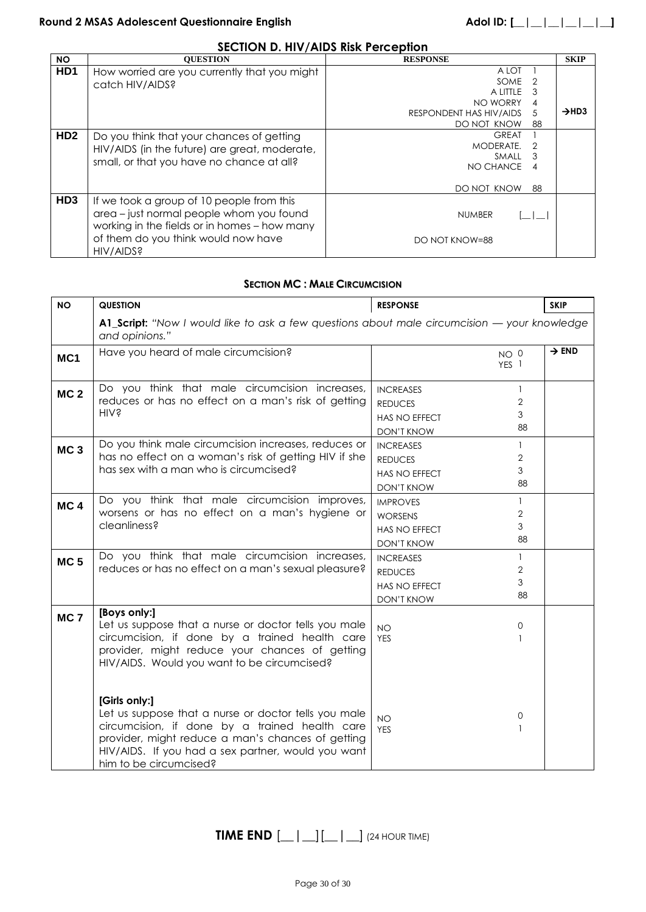# **SECTION D. HIV/AIDS Risk Perception**

| <b>NO</b>       | <b>OUESTION</b>                                                                                                                                                                           | <b>RESPONSE</b>                                                                              | <b>SKIP</b>       |
|-----------------|-------------------------------------------------------------------------------------------------------------------------------------------------------------------------------------------|----------------------------------------------------------------------------------------------|-------------------|
| HD <sub>1</sub> | How worried are you currently that you might<br>catch HIV/AIDS?                                                                                                                           | A LOT<br>SOME<br>- 2<br>A LITTLE<br>NO WORRY<br>RESPONDENT HAS HIV/AIDS<br>DO NOT KNOW<br>88 | $\rightarrow$ HD3 |
| HD <sub>2</sub> | Do you think that your chances of getting<br>HIV/AIDS (in the future) are great, moderate,<br>small, or that you have no chance at all?                                                   | <b>GREAT</b><br>MODERATE.<br>SMALL<br>NO CHANCE<br>DO NOT KNOW<br>88                         |                   |
| HD <sub>3</sub> | If we took a group of 10 people from this<br>area – just normal people whom you found<br>working in the fields or in homes - how many<br>of them do you think would now have<br>HIV/AIDS? | <b>NUMBER</b><br>DO NOT KNOW=88                                                              |                   |

# **SECTION MC : MALE CIRCUMCISION**

| <b>NO</b>       | <b>QUESTION</b>                                                                                                                                                                                                                                              | <b>RESPONSE</b>                                                                                                              | <b>SKIP</b>       |
|-----------------|--------------------------------------------------------------------------------------------------------------------------------------------------------------------------------------------------------------------------------------------------------------|------------------------------------------------------------------------------------------------------------------------------|-------------------|
|                 | A1_Script: "Now I would like to ask a few questions about male circumcision — your knowledge<br>and opinions."                                                                                                                                               |                                                                                                                              |                   |
| MC <sub>1</sub> | Have you heard of male circumcision?                                                                                                                                                                                                                         | NO <sub>0</sub><br>YES <sub>1</sub>                                                                                          | $\rightarrow$ END |
| MC <sub>2</sub> | Do you think that male circumcision increases,<br>reduces or has no effect on a man's risk of getting<br><b>HIV</b> s                                                                                                                                        | $\mathbf{1}$<br><b>INCREASES</b><br>2<br><b>REDUCES</b><br>3<br>HAS NO EFFECT<br>88<br><b>DON'T KNOW</b>                     |                   |
| MC <sub>3</sub> | Do you think male circumcision increases, reduces or<br>has no effect on a woman's risk of getting HIV if she<br>has sex with a man who is circumcised?                                                                                                      | <b>INCREASES</b><br>$\mathbf{1}$<br>$\overline{2}$<br><b>REDUCES</b><br>3<br><b>HAS NO EFFECT</b><br>88<br>DON'T KNOW        |                   |
| MC <sub>4</sub> | Do you think that male circumcision improves,<br>worsens or has no effect on a man's hygiene or<br>cleanliness?                                                                                                                                              | $\mathbf{1}$<br><b>IMPROVES</b><br>$\overline{2}$<br><b>WORSENS</b><br>3<br><b>HAS NO EFFECT</b><br>88<br><b>DON'T KNOW</b>  |                   |
| <b>MC 5</b>     | Do you think that male circumcision increases,<br>reduces or has no effect on a man's sexual pleasure?                                                                                                                                                       | $\mathbf{1}$<br><b>INCREASES</b><br>$\overline{2}$<br><b>REDUCES</b><br>3<br><b>HAS NO EFFECT</b><br>88<br><b>DON'T KNOW</b> |                   |
| MC <sub>7</sub> | [Boys only:]<br>Let us suppose that a nurse or doctor tells you male<br>circumcision, if done by a trained health care<br>provider, might reduce your chances of getting<br>HIV/AIDS. Would you want to be circumcised?                                      | 0<br><b>NO</b><br><b>YES</b><br>$\mathbf{1}$                                                                                 |                   |
|                 | [Girls only:]<br>Let us suppose that a nurse or doctor tells you male<br>circumcision, if done by a trained health care<br>provider, might reduce a man's chances of getting<br>HIV/AIDS. If you had a sex partner, would you want<br>him to be circumcised? | 0<br><b>NO</b><br><b>YES</b><br>$\mathbf{1}$                                                                                 |                   |

**TIME END**  $[\_ | \_ ][\_ | \_ ]$  (24 HOUR TIME)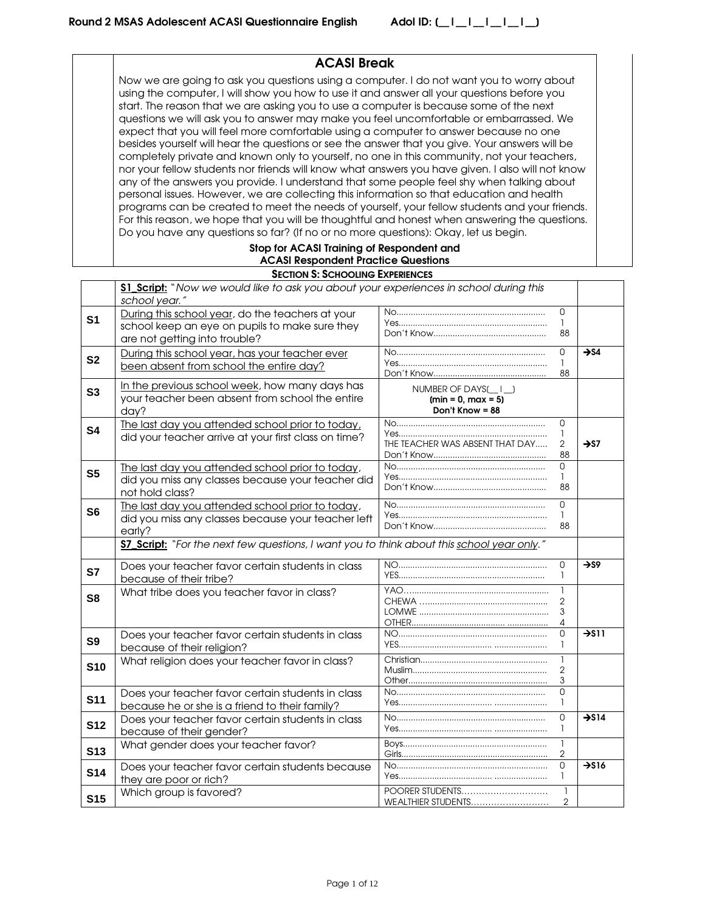| <b>ACASI Break</b>                                                                                                                                                                                                                                                                                                                                                                                                                                                                                                                                                                                                                                                                                                                                                                                                                                                                                                                                                                                                                                                                                                                                                                                                                                         |
|------------------------------------------------------------------------------------------------------------------------------------------------------------------------------------------------------------------------------------------------------------------------------------------------------------------------------------------------------------------------------------------------------------------------------------------------------------------------------------------------------------------------------------------------------------------------------------------------------------------------------------------------------------------------------------------------------------------------------------------------------------------------------------------------------------------------------------------------------------------------------------------------------------------------------------------------------------------------------------------------------------------------------------------------------------------------------------------------------------------------------------------------------------------------------------------------------------------------------------------------------------|
| Now we are going to ask you questions using a computer. I do not want you to worry about<br>using the computer, I will show you how to use it and answer all your questions before you<br>start. The reason that we are asking you to use a computer is because some of the next<br>questions we will ask you to answer may make you feel uncomfortable or embarrassed. We<br>expect that you will feel more comfortable using a computer to answer because no one<br>besides yourself will hear the questions or see the answer that you give. Your answers will be<br>completely private and known only to yourself, no one in this community, not your teachers,<br>nor your fellow students nor friends will know what answers you have given. I also will not know<br>any of the answers you provide. I understand that some people feel shy when talking about<br>personal issues. However, we are collecting this information so that education and health<br>programs can be created to meet the needs of yourself, your fellow students and your friends.<br>For this reason, we hope that you will be thoughtful and honest when answering the questions.<br>Do you have any questions so far? (If no or no more questions): Okay, let us begin. |
| Stop for ACASI Training of Respondent and                                                                                                                                                                                                                                                                                                                                                                                                                                                                                                                                                                                                                                                                                                                                                                                                                                                                                                                                                                                                                                                                                                                                                                                                                  |

#### Stop for ACASI Training of Respondent and ACASI Respondent Practice Questions SECTION S: SCHOOLING EXPERIENCES

|                 | S1 Script: "Now we would like to ask you about your experiences in school during this<br>school year."                              |                                                                |                                          |                   |
|-----------------|-------------------------------------------------------------------------------------------------------------------------------------|----------------------------------------------------------------|------------------------------------------|-------------------|
| S <sub>1</sub>  | During this school year, do the teachers at your<br>school keep an eye on pupils to make sure they<br>are not getting into trouble? |                                                                | $\Omega$<br>1<br>88                      |                   |
| S <sub>2</sub>  | During this school year, has your teacher ever<br>been absent from school the entire day?                                           |                                                                | 0<br>1<br>88                             | $\rightarrow$ 54  |
| S3              | In the previous school week, how many days has<br>your teacher been absent from school the entire<br>day?                           | NUMBER OF DAYS(   )<br>$(min = 0, max = 5)$<br>Don't Know = 88 |                                          |                   |
| S4              | The last day you attended school prior to today,<br>did your teacher arrive at your first class on time?                            | THE TEACHER WAS ABSENT THAT DAY                                | 0<br>1<br>$\overline{2}$<br>88           | $\rightarrow$ 57  |
| S <sub>5</sub>  | The last day you attended school prior to today,<br>did you miss any classes because your teacher did<br>not hold class?            |                                                                | 0<br>$\mathbf{1}$<br>88                  |                   |
| S <sub>6</sub>  | The last day you attended school prior to today,<br>did you miss any classes because your teacher left<br>early?                    |                                                                | 0<br>1<br>88                             |                   |
|                 | S7_Script: "For the next few questions, I want you to think about this school year only."                                           |                                                                |                                          |                   |
| S7              | Does your teacher favor certain students in class<br>because of their tribe?                                                        |                                                                | 0<br>1                                   | $\rightarrow$ s9  |
| S <sub>8</sub>  | What tribe does you teacher favor in class?                                                                                         |                                                                | $\mathbf{1}$<br>$\overline{2}$<br>3<br>4 |                   |
| S <sub>9</sub>  | Does your teacher favor certain students in class<br>because of their religion?                                                     |                                                                | 0<br>$\mathbf{1}$                        | $\rightarrow$ s11 |
| <b>S10</b>      | What religion does your teacher favor in class?                                                                                     |                                                                | $\mathbf{1}$<br>$\overline{2}$<br>3      |                   |
| <b>S11</b>      | Does your teacher favor certain students in class<br>because he or she is a friend to their family?                                 |                                                                | 0<br>1                                   |                   |
| <b>S12</b>      | Does your teacher favor certain students in class                                                                                   |                                                                | 0                                        | $\rightarrow$ S14 |
|                 | because of their gender?                                                                                                            |                                                                | $\mathbf{1}$                             |                   |
| S <sub>13</sub> | What gender does your teacher favor?                                                                                                |                                                                | $\mathbf{1}$<br>2                        |                   |
| <b>S14</b>      | Does your teacher favor certain students because<br>they are poor or rich?<br>Which group is favored?                               |                                                                | 0<br>1<br>$\mathbf{1}$                   | $\rightarrow$ S16 |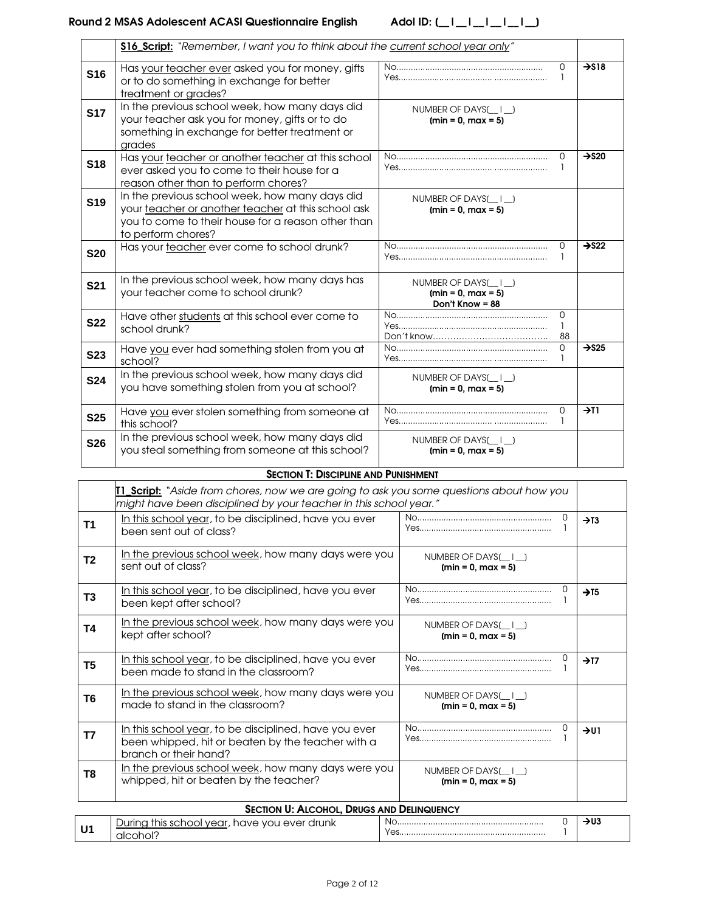|                | <b>S16_Script:</b> "Remember, I want you to think about the current school year only"                                                                                            |                                                                |                                |                   |
|----------------|----------------------------------------------------------------------------------------------------------------------------------------------------------------------------------|----------------------------------------------------------------|--------------------------------|-------------------|
| <b>S16</b>     | Has your teacher ever asked you for money, gifts<br>or to do something in exchange for better<br>treatment or grades?                                                            |                                                                | $\overline{0}$<br>1            | $\rightarrow$ S18 |
| <b>S17</b>     | In the previous school week, how many days did<br>your teacher ask you for money, gifts or to do<br>something in exchange for better treatment or<br>grades                      | NUMBER OF DAYS(1)<br>$(min = 0, max = 5)$                      |                                |                   |
| <b>S18</b>     | Has your teacher or another teacher at this school<br>ever asked you to come to their house for a<br>reason other than to perform chores?                                        |                                                                | $\Omega$<br>1.                 | $\rightarrow$ S20 |
| <b>S19</b>     | In the previous school week, how many days did<br>your teacher or another teacher at this school ask<br>you to come to their house for a reason other than<br>to perform chores? | NUMBER OF DAYS(   )<br>$(min = 0, max = 5)$                    |                                |                   |
| <b>S20</b>     | Has your teacher ever come to school drunk?                                                                                                                                      |                                                                | $\Omega$<br>1                  | $\rightarrow$ S22 |
| <b>S21</b>     | In the previous school week, how many days has<br>your teacher come to school drunk?                                                                                             | NUMBER OF DAYS(   )<br>$(min = 0, max = 5)$<br>Don't Know = 88 |                                |                   |
| <b>S22</b>     | Have other students at this school ever come to<br>school drunk?                                                                                                                 |                                                                | $\Omega$<br>$\mathbf{1}$<br>88 |                   |
| <b>S23</b>     | Have you ever had something stolen from you at<br>school?                                                                                                                        |                                                                | 0<br>1                         | $\rightarrow$ S25 |
| <b>S24</b>     | In the previous school week, how many days did<br>you have something stolen from you at school?                                                                                  | NUMBER OF DAYS(    <br>$(min = 0, max = 5)$                    |                                |                   |
| <b>S25</b>     | Have you ever stolen something from someone at<br>this school?                                                                                                                   |                                                                | $\Omega$<br>1                  | $\rightarrow$ T1  |
| <b>S26</b>     | In the previous school week, how many days did<br>you steal something from someone at this school?                                                                               | NUMBER OF DAYS(_I_)<br>$(min = 0, max = 5)$                    |                                |                   |
|                | <b>SECTION T: DISCIPLINE AND PUNISHMENT</b>                                                                                                                                      |                                                                |                                |                   |
|                | T1_Script: "Aside from chores, now we are going to ask you some questions about how you<br>might have been disciplined by your teacher in this school year."                     |                                                                |                                |                   |
| T1             | In this school year, to be disciplined, have you ever<br>been sent out of class?                                                                                                 |                                                                | 0<br>-1                        | $\rightarrow$ T3  |
| T <sub>2</sub> | In the previous school week, how many days were you<br>sent out of class?                                                                                                        | NUMBER OF DAYS(    <br>$(min = 0, max = 5)$                    |                                |                   |
| T٦             | In this school year, to be disciplined, have you ever                                                                                                                            |                                                                | 0                              | $\rightarrow$ T5  |

| T <sub>2</sub> | <b>ITTIIC PICYIOUS SCHOOL WOOR, HOW THOLLY GOYS WOIC YOU</b><br>sent out of class?                                                          | NUMBER OF DAYSE FILL<br>$(min = 0, max = 5)$ |                  |
|----------------|---------------------------------------------------------------------------------------------------------------------------------------------|----------------------------------------------|------------------|
| T <sub>3</sub> | In this school year, to be disciplined, have you ever<br>been kept after school?                                                            | 0                                            | $\rightarrow$ T5 |
| T4             | In the previous school week, how many days were you<br>kept after school?                                                                   | NUMBER OF DAYS(   )<br>$(min = 0, max = 5)$  |                  |
| T5             | In this school year, to be disciplined, have you ever<br>been made to stand in the classroom?                                               | 0                                            | $\rightarrow$ T7 |
| T <sub>6</sub> | In the previous school week, how many days were you<br>made to stand in the classroom?                                                      | NUMBER OF DAYS(   )<br>$(min = 0, max = 5)$  |                  |
| T7             | <u>In this school year</u> , to be disciplined, have you ever<br>been whipped, hit or beaten by the teacher with a<br>branch or their hand? | 0                                            | $\rightarrow$ U1 |
| T8             | In the previous school week, how many days were you<br>whipped, hit or beaten by the teacher?                                               | NUMBER OF DAYS(   )<br>$(min = 0, max = 5)$  |                  |
|                | <b>SECTION U: ALCOHOL, DRUGS AND DELINQUENCY</b>                                                                                            |                                              |                  |
| U <sub>1</sub> | During this school year, have you ever drunk<br>alcohol?                                                                                    | 0                                            | $\rightarrow$ U3 |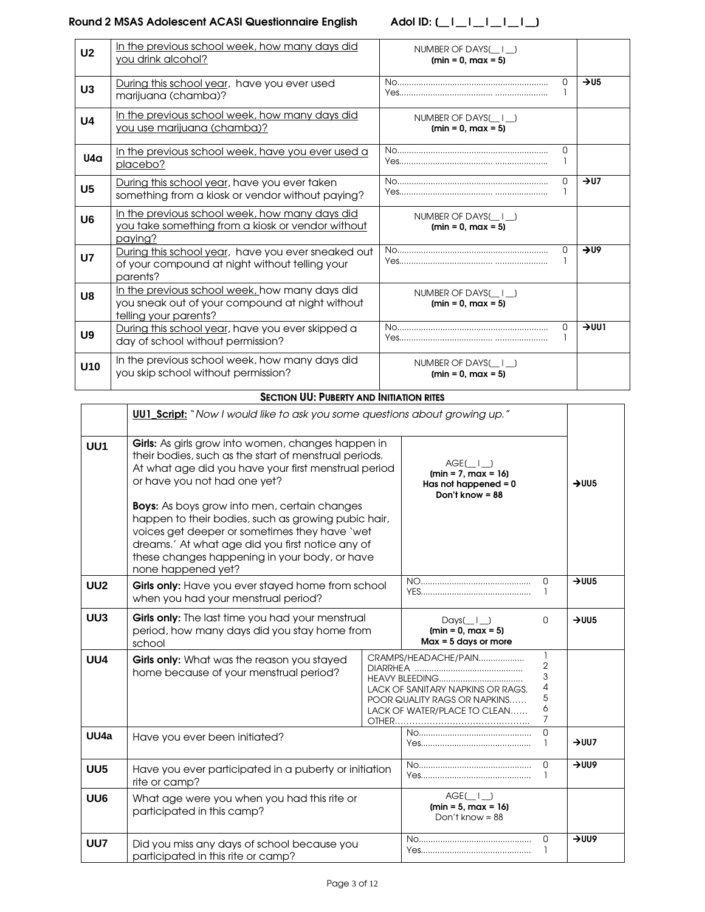#### Round 2 MSAS Adolescent ACASI Questionnaire English Adol ID: [\_\_|\_\_|\_\_|\_\_|\_\_|\_\_]

| U <sub>2</sub>  | In the previous school week, how many days did<br>you drink alcohol?                                                                                                | NUMBER OF DAYS(   )<br>$(min = 0, max = 5)$ |                              |                  |
|-----------------|---------------------------------------------------------------------------------------------------------------------------------------------------------------------|---------------------------------------------|------------------------------|------------------|
| U3              | During this school year, have you ever used<br>marijuana (chamba)?                                                                                                  |                                             | $\Omega$<br>L                | $\rightarrow 05$ |
| U <sub>4</sub>  | In the previous school week, how many days did<br>you use marijuana (chamba)?                                                                                       | NUMBER OF DAYS(   )<br>$(min = 0, max = 5)$ |                              |                  |
| U4 <sub>a</sub> | In the previous school week, have you ever used a<br>placebo?                                                                                                       |                                             | 0<br>1                       |                  |
| U <sub>5</sub>  | During this school year, have you ever taken<br>something from a kiosk or vendor without paying?                                                                    |                                             | $\mathsf{O}$<br>$\mathbf{1}$ | $\rightarrow 07$ |
| U <sub>6</sub>  | In the previous school week, how many days did<br>you take something from a kiosk or vendor without<br>paying?                                                      | NUMBER OF DAYS(   )<br>$(min = 0, max = 5)$ |                              |                  |
| U7              | During this school year, have you ever sneaked out<br>of your compound at night without telling your<br>parents?                                                    |                                             | 0<br>ı.                      | 709              |
| U8              | In the previous school week, how many days did<br>you sneak out of your compound at night without<br>telling your parents?                                          | NUMBER OF DAYS(   )<br>$(min = 0, max = 5)$ |                              |                  |
| U9              | During this school year, have you ever skipped a<br>day of school without permission?                                                                               |                                             | 0<br>1                       | 7001             |
| U10             | In the previous school week, how many days did<br>NUMBER OF DAYS(   )<br>you skip school without permission?<br>$(min = 0, max = 5)$                                |                                             |                              |                  |
|                 | <b>SECTION UU: PUBERTY AND INITIATION RITES</b>                                                                                                                     |                                             |                              |                  |
|                 | <b>UU1 Script:</b> "Now I would like to ask you some questions about growing up."                                                                                   |                                             |                              |                  |
| UU1             | Girls: As girls grow into women, changes happen in<br>their bodies, such as the start of menstrual periods.<br>At what age did you have your first menstrual period | $AGE($   $)$                                |                              |                  |

|                 | At what age did you have your first menstrual period<br>or have you not had one yet?<br><b>Boys:</b> As boys grow into men, certain changes<br>happen to their bodies, such as growing pubic hair, |  | $\sqrt{2}$<br>$(min = 7, max = 16)$<br>Has not happened $= 0$<br>Don't know = $88$                                        |                                                       | $\rightarrow$ UU5 |
|-----------------|----------------------------------------------------------------------------------------------------------------------------------------------------------------------------------------------------|--|---------------------------------------------------------------------------------------------------------------------------|-------------------------------------------------------|-------------------|
|                 | voices get deeper or sometimes they have 'wet<br>dreams.' At what age did you first notice any of<br>these changes happening in your body, or have<br>none happened yet?                           |  |                                                                                                                           |                                                       |                   |
| UU <sub>2</sub> | Girls only: Have you ever stayed home from school<br>when you had your menstrual period?                                                                                                           |  |                                                                                                                           | 0<br>1                                                | $\rightarrow$ UU5 |
| UU3             | Girls only: The last time you had your menstrual<br>period, how many days did you stay home from<br>school                                                                                         |  | $Days(\_   \_)$<br>$(min = 0, max = 5)$<br>$Max = 5$ days or more                                                         | 0                                                     | $\rightarrow$ UU5 |
| UU4             | Girls only: What was the reason you stayed<br>home because of your menstrual period?                                                                                                               |  | CRAMPS/HEADACHE/PAIN<br>LACK OF SANITARY NAPKINS OR RAGS.<br>POOR QUALITY RAGS OR NAPKINS<br>LACK OF WATER/PLACE TO CLEAN | 1<br>$\overline{\mathbf{c}}$<br>3<br>4<br>5<br>6<br>7 |                   |
| UU4a            | Have you ever been initiated?                                                                                                                                                                      |  |                                                                                                                           | 0                                                     | $\rightarrow$ UU7 |
| UU <sub>5</sub> | Have you ever participated in a puberty or initiation<br>rite or camp?                                                                                                                             |  |                                                                                                                           | 0                                                     | 7009              |
| UU6             | What age were you when you had this rite or<br>participated in this camp?                                                                                                                          |  | $AGE($   $)$<br>$(min = 5, max = 16)$<br>Don't know = $88$                                                                |                                                       |                   |
| UU7             | Did you miss any days of school because you<br>participated in this rite or camp?                                                                                                                  |  |                                                                                                                           | 0                                                     | →UU9              |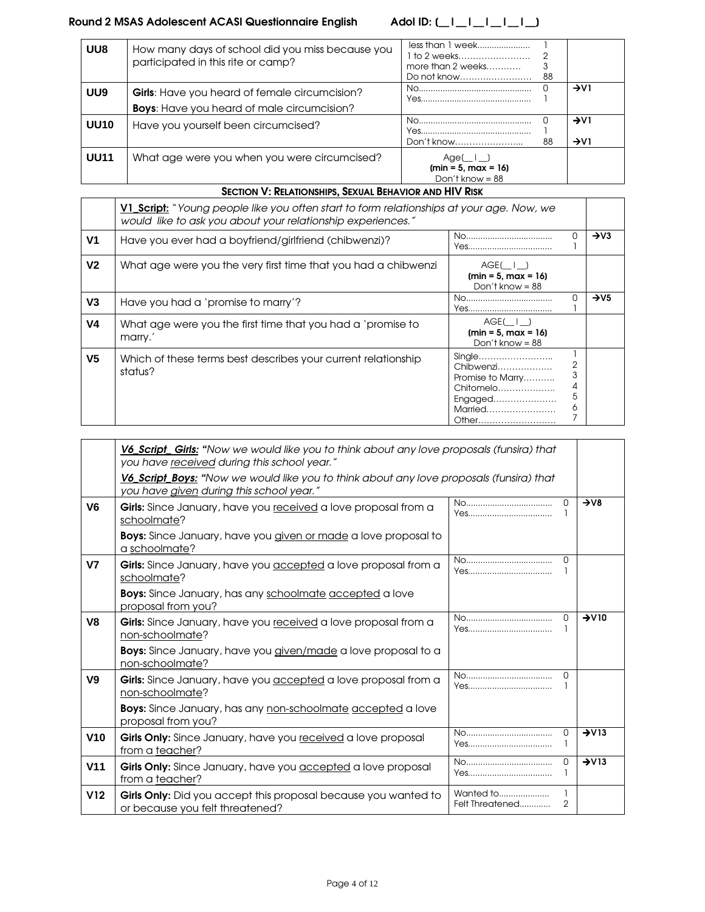#### Round 2 MSAS Adolescent ACASI Questionnaire English Adol ID: [\_\_|\_\_|\_\_|\_\_|\_\_|\_\_]

| UU8         | How many days of school did you miss because you<br>participated in this rite or camp?                    | less than 1 week<br>1 to 2 weeks<br>more than 2 weeks<br>Do not know | 88 |                                      |
|-------------|-----------------------------------------------------------------------------------------------------------|----------------------------------------------------------------------|----|--------------------------------------|
| UU9         | <b>Girls:</b> Have you heard of female circumcision?<br><b>Boys:</b> Have you heard of male circumcision? |                                                                      | N  | $\rightarrow$ V1                     |
| <b>UU10</b> | Have you yourself been circumcised?                                                                       | Don't know                                                           | 88 | $\rightarrow$ VI<br>$\rightarrow$ V1 |
| <b>UU11</b> | What age were you when you were circumcised?                                                              | Age $($ $ $ $)$<br>$(min = 5, max = 16)$<br>Don't know = $88$        |    |                                      |

## SECTION V: RELATIONSHIPS, SEXUAL BEHAVIOR AND HIV RISK

|                | V1_Script: "Young people like you often start to form relationships at your age. Now, we<br>would like to ask you about your relationship experiences." |                                                                                     |                            |                  |
|----------------|---------------------------------------------------------------------------------------------------------------------------------------------------------|-------------------------------------------------------------------------------------|----------------------------|------------------|
| V <sub>1</sub> | Have you ever had a boyfriend/girlfriend (chibwenzi)?                                                                                                   |                                                                                     | 0                          | $\rightarrow$ V3 |
| V <sub>2</sub> | What age were you the very first time that you had a chibwenzi                                                                                          | $AGE($   $)$<br>$(min = 5, max = 16)$<br>Don't know = $88$                          |                            |                  |
| V <sub>3</sub> | Have you had a 'promise to marry'?                                                                                                                      |                                                                                     | U                          | $\rightarrow$ V5 |
| V <sub>4</sub> | What age were you the first time that you had a 'promise to<br>marry.'                                                                                  | $AGE($   $)$<br>$(min = 5, max = 16)$<br>Don't know = $88$                          |                            |                  |
| V <sub>5</sub> | Which of these terms best describes your current relationship<br>status?                                                                                | Single<br>Chibwenzi<br>Promise to Marry<br>Chitomelo<br>Engaged<br>Married<br>Other | 2<br>3<br>4<br>5<br>6<br>7 |                  |

|                 | V6 Script Girls: "Now we would like you to think about any love proposals (funsira) that<br>you have received during this school year." |                              |              |                   |
|-----------------|-----------------------------------------------------------------------------------------------------------------------------------------|------------------------------|--------------|-------------------|
|                 | V6_Script_Boys: "Now we would like you to think about any love proposals (funsira) that<br>you have given during this school year."     |                              |              |                   |
| V <sub>6</sub>  | Girls: Since January, have you received a love proposal from a<br>schoolmate?                                                           |                              | $\Omega$     | $\rightarrow$ V8  |
|                 | Boys: Since January, have you given or made a love proposal to<br>a schoolmate?                                                         |                              |              |                   |
| V <sub>7</sub>  | Girls: Since January, have you accepted a love proposal from a<br>schoolmate?                                                           |                              | <sup>0</sup> |                   |
|                 | Boys: Since January, has any schoolmate accepted a love<br>proposal from you?                                                           |                              |              |                   |
| V <sub>8</sub>  | Girls: Since January, have you received a love proposal from a<br>non-schoolmate?                                                       |                              | $\Omega$     | $\rightarrow$ V10 |
|                 | Boys: Since January, have you given/made a love proposal to a<br>non-schoolmate?                                                        |                              |              |                   |
| V9              | Girls: Since January, have you accepted a love proposal from a<br>non-schoolmate?                                                       |                              | U            |                   |
|                 | Boys: Since January, has any non-schoolmate accepted a love<br>proposal from you?                                                       |                              |              |                   |
| V10             | Girls Only: Since January, have you received a love proposal<br>from a teacher?                                                         |                              | $\Omega$     | $\rightarrow$ V13 |
| V <sub>11</sub> | Girls Only: Since January, have you accepted a love proposal<br>from a teacher?                                                         |                              | U            | $\rightarrow$ V13 |
| V12             | <b>Girls Only:</b> Did you accept this proposal because you wanted to<br>or because you felt threatened?                                | Wanted to<br>Felt Threatened | 2            |                   |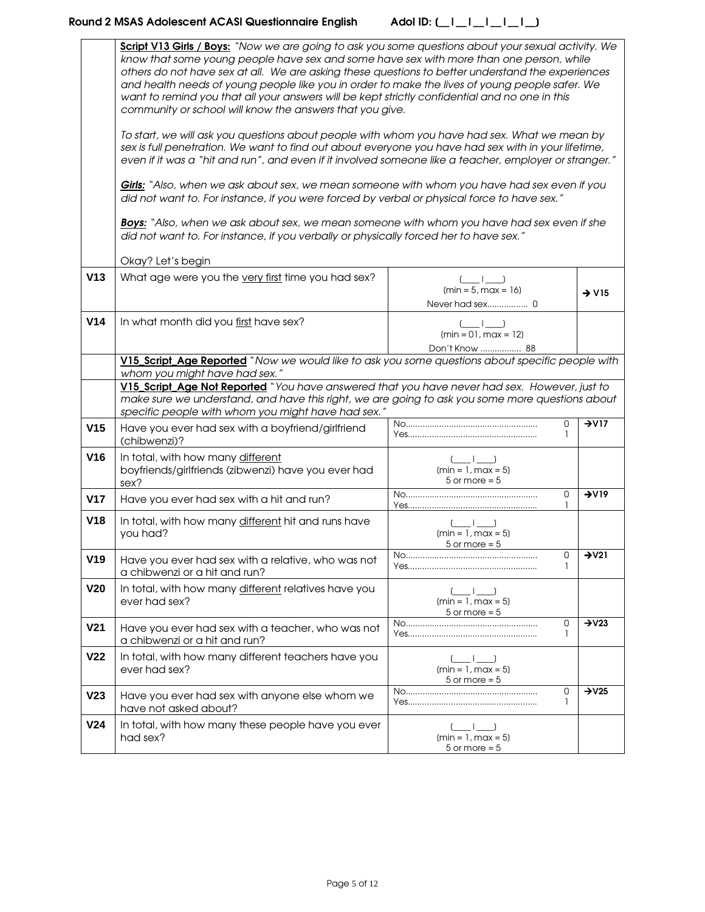Script V13 Girls / Boys: "Now we are going to ask you some questions about your sexual activity. We know that some young people have sex and some have sex with more than one person, while others do not have sex at all. We are asking these questions to better understand the experiences and health needs of young people like you in order to make the lives of young people safer. We want to remind you that all your answers will be kept strictly confidential and no one in this community or school will know the answers that you give. To start, we will ask you questions about people with whom you have had sex. What we mean by sex is full penetration. We want to find out about everyone you have had sex with in your lifetime, even if it was a "hit and run", and even if it involved someone like a teacher, employer or stranger." Girls: "Also, when we ask about sex, we mean someone with whom you have had sex even if you did not want to. For instance, if you were forced by verbal or physical force to have sex." Boys: "Also, when we ask about sex, we mean someone with whom you have had sex even if she did not want to. For instance, if you verbally or physically forced her to have sex." Okay? Let's begin **V13** What age were you the <u>very first</u> time you had sex?  $\begin{bmatrix} 1 & 1 \\ 1 & 1 \end{bmatrix}$  $(min = 5, max = 16)$ Never had sex................. 0  $\rightarrow$  V15 **V14** In what month did you <u>first</u> have sex?  $\begin{bmatrix} 1 & 1 \\ 1 & 1 \end{bmatrix}$  $(min = 01, max = 12)$ Don't Know ................. 88 V15\_Script\_Age Reported "Now we would like to ask you some questions about specific people with whom you might have had sex." V15\_Script\_Age Not Reported "You have answered that you have never had sex. However, just to make sure we understand, and have this right, we are going to ask you some more questions about specific people with whom you might have had sex." **V15** | Have you ever had sex with a boyfriend/girlfriend (chibwenzi)?  $N_{\Omega}$ Yes......................................................  $\overline{0}$ 1  $\rightarrow$ V17 **V16** In total, with how many different boyfriends/girlfriends (zibwenzi) have you ever had sex?  $($   $|$   $)$  $(min = 1, max = 5)$  $5$  or more =  $5$ **V17** Have you ever had sex with a hit and run? No....................................................... Yes......................................................  $\overline{0}$ 1  $\rightarrow$ V19 **V18** | In total, with how many different hit and runs have you had?  $\Box$  $(min = 1, max = 5)$  $5$  or more =  $5$ **V19** | Have you ever had sex with a relative, who was not a chibwenzi or a hit and run? No....................................................... Yes......................................................  $\cap$ 1  $\rightarrow$  V21 **V20** In total, with how many different relatives have you ever had sex?  $(\_\_$  $(min = 1, max = 5)$  $5$  or more =  $5$ **V21** | Have you ever had sex with a teacher, who was not a chibwenzi or a hit and run? No....................................................... Yes......................................................  $\overline{0}$ 1  $\rightarrow$  V<sub>23</sub> **V22** In total, with how many different teachers have you ever had sex?  $($   $|$   $)$  $(min = 1, max = 5)$  $5$  or more =  $5$ **V23** Have you ever had sex with anyone else whom we have not asked about? No....................................................... Yes......................................................  $\overline{0}$ 1  $\rightarrow$  V25 **V24** In total, with how many these people have you ever had sex?  $($   $|$   $)$  $(min = 1, max = 5)$  $5$  or more =  $5$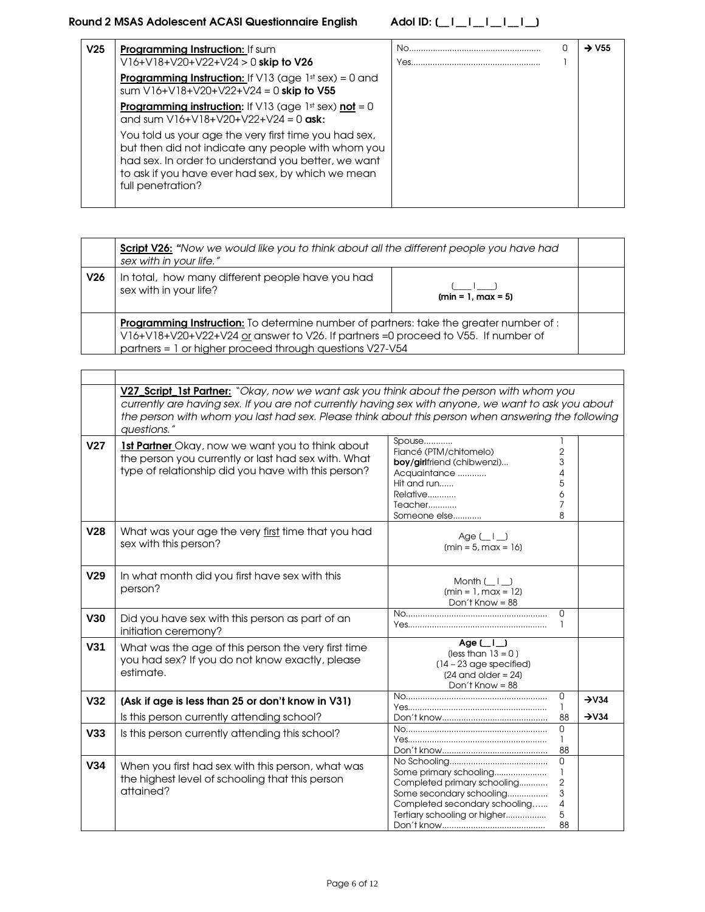| V <sub>25</sub> | <b>Programming Instruction: If sum</b><br>$V16+V18+V20+V22+V24 > 0$ skip to V26                                                                                                                                                              | No.<br>Yes. | $\rightarrow$ V55 |
|-----------------|----------------------------------------------------------------------------------------------------------------------------------------------------------------------------------------------------------------------------------------------|-------------|-------------------|
|                 | <b>Programming Instruction:</b> If V13 (age 1st sex) = 0 and<br>sum $V16+V18+V20+V22+V24 = 0$ skip to V55                                                                                                                                    |             |                   |
|                 | <b>Programming instruction:</b> If V13 (age 1st sex) not = 0<br>and sum $V16+V18+V20+V22+V24 = 0$ ask:                                                                                                                                       |             |                   |
|                 | You told us your age the very first time you had sex,<br>but then did not indicate any people with whom you<br>had sex. In order to understand you better, we want<br>to ask if you have ever had sex, by which we mean<br>full penetration? |             |                   |

|     | <b>Script V26:</b> "Now we would like you to think about all the different people you have had<br>sex with in your life."                                                                                                               |                      |  |
|-----|-----------------------------------------------------------------------------------------------------------------------------------------------------------------------------------------------------------------------------------------|----------------------|--|
| V26 | In total, how many different people have you had<br>sex with in your life?                                                                                                                                                              | $(min = 1, max = 5)$ |  |
|     | Programming Instruction: To determine number of partners: take the greater number of :<br>V16+V18+V20+V22+V24 or answer to V26. If partners =0 proceed to V55. If number of<br>partners = 1 or higher proceed through questions V27-V54 |                      |  |

|                 | V27_Script_1st Partner: "Okay, now we want ask you think about the person with whom you<br>currently are having sex. If you are not currently having sex with anyone, we want to ask you about<br>the person with whom you last had sex. Please think about this person when answering the following<br>questions." |                                                                                                                                                    |                                              |                   |
|-----------------|---------------------------------------------------------------------------------------------------------------------------------------------------------------------------------------------------------------------------------------------------------------------------------------------------------------------|----------------------------------------------------------------------------------------------------------------------------------------------------|----------------------------------------------|-------------------|
| V <sub>27</sub> | 1st Partner Okay, now we want you to think about<br>the person you currently or last had sex with. What<br>type of relationship did you have with this person?                                                                                                                                                      | $S_{\text{Douse}$<br>Fiancé (PTM/chitomelo)<br>boy/girlfriend (chibwenzi)<br>Acquaintance<br>Hit and run<br>Relative<br>Teacher<br>Someone else    | $\overline{2}$<br>3<br>4<br>5<br>6<br>7<br>8 |                   |
| V <sub>28</sub> | What was your age the very first time that you had<br>sex with this person?                                                                                                                                                                                                                                         | Age $($   $)$<br>$(min = 5, max = 16)$                                                                                                             |                                              |                   |
| V <sub>29</sub> | In what month did you first have sex with this<br>person?                                                                                                                                                                                                                                                           | Month $(   )$<br>$(min = 1, max = 12)$<br>Don't Know = $88$                                                                                        |                                              |                   |
| V30             | Did you have sex with this person as part of an<br>initiation ceremony?                                                                                                                                                                                                                                             |                                                                                                                                                    | $\Omega$<br>L.                               |                   |
| V31             | What was the age of this person the very first time<br>you had sex? If you do not know exactly, please<br>estimate.                                                                                                                                                                                                 | Age $(\_$   $\_$<br>(less than $13 = 0$ )<br>$(14 - 23$ age specified)<br>$(24 \text{ and older} = 24)$<br>Don't Know = $88$                       |                                              |                   |
| V32             | (Ask if age is less than 25 or don't know in V31)                                                                                                                                                                                                                                                                   |                                                                                                                                                    | 0<br>1                                       | $\rightarrow$ V34 |
|                 | Is this person currently attending school?                                                                                                                                                                                                                                                                          |                                                                                                                                                    | 88                                           | $\rightarrow$ V34 |
| V33             | Is this person currently attending this school?                                                                                                                                                                                                                                                                     |                                                                                                                                                    | $\mathbf 0$<br>1<br>88                       |                   |
| V34             | When you first had sex with this person, what was<br>the highest level of schooling that this person<br>attained?                                                                                                                                                                                                   | Some primary schooling<br>Completed primary schooling<br>Some secondary schooling<br>Completed secondary schooling<br>Tertiary schooling or higher | 0<br>1<br>2<br>3<br>4<br>5<br>88             |                   |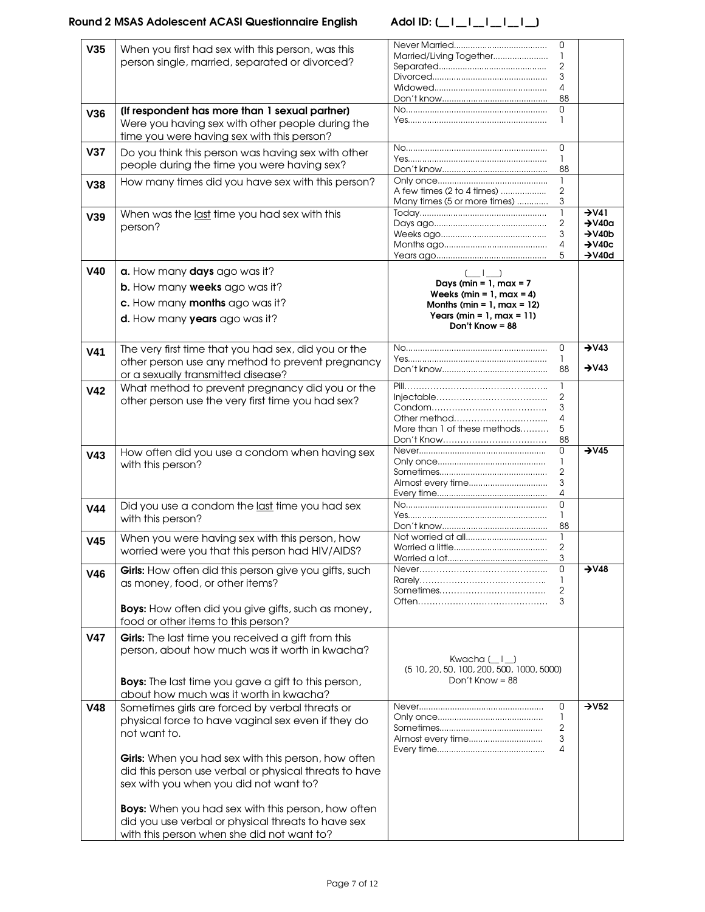#### Round 2 MSAS Adolescent ACASI Questionnaire English Adol ID: [\_\_|\_\_|\_\_|\_\_|\_\_|\_\_]

| V35             | When you first had sex with this person, was this<br>person single, married, separated or divorced?                                                                                                                                                                                                                                                                                                                                               | Married/Living Together                                                                                                                                         | 0<br>1<br>2<br>3<br>4<br>88      |                                                                                                           |
|-----------------|---------------------------------------------------------------------------------------------------------------------------------------------------------------------------------------------------------------------------------------------------------------------------------------------------------------------------------------------------------------------------------------------------------------------------------------------------|-----------------------------------------------------------------------------------------------------------------------------------------------------------------|----------------------------------|-----------------------------------------------------------------------------------------------------------|
| V36             | (If respondent has more than 1 sexual partner)<br>Were you having sex with other people during the<br>time you were having sex with this person?                                                                                                                                                                                                                                                                                                  |                                                                                                                                                                 | 0<br>1                           |                                                                                                           |
| V <sub>37</sub> | Do you think this person was having sex with other<br>people during the time you were having sex?                                                                                                                                                                                                                                                                                                                                                 |                                                                                                                                                                 | 0<br>1<br>88                     |                                                                                                           |
| V38             | How many times did you have sex with this person?                                                                                                                                                                                                                                                                                                                                                                                                 | A few times (2 to 4 times)<br>Many times (5 or more times)                                                                                                      | 1<br>2<br>3                      |                                                                                                           |
| <b>V39</b>      | When was the last time you had sex with this<br>person?                                                                                                                                                                                                                                                                                                                                                                                           |                                                                                                                                                                 | 1<br>$\mathbf{2}$<br>3<br>4<br>5 | $\rightarrow$ V41<br>$\rightarrow$ V40a<br>$\rightarrow$ V40b<br>$\rightarrow$ V40c<br>$\rightarrow$ V40d |
| <b>V40</b>      | a. How many days ago was it?<br>b. How many weeks ago was it?<br>c. How many months ago was it?<br>d. How many years ago was it?                                                                                                                                                                                                                                                                                                                  | $($   $)$<br>Days (min = $1$ , max = 7<br>Weeks (min = $1$ , max = 4)<br>Months (min = $1$ , max = $12$ )<br>Years (min = $1$ , max = $11$ )<br>Don't Know = 88 |                                  |                                                                                                           |
| V41             | The very first time that you had sex, did you or the<br>other person use any method to prevent pregnancy<br>or a sexually transmitted disease?                                                                                                                                                                                                                                                                                                    |                                                                                                                                                                 | 0<br>1<br>88                     | $\rightarrow$ V43<br>$\rightarrow$ V43                                                                    |
| V <sub>42</sub> | What method to prevent pregnancy did you or the<br>other person use the very first time you had sex?                                                                                                                                                                                                                                                                                                                                              | More than 1 of these methods                                                                                                                                    | 1<br>2<br>3<br>4<br>5<br>88      |                                                                                                           |
| V43             | How often did you use a condom when having sex<br>with this person?                                                                                                                                                                                                                                                                                                                                                                               | Almost every time                                                                                                                                               | 0<br>1<br>2<br>3<br>4            | $\rightarrow$ V45                                                                                         |
| V <sub>44</sub> | Did you use a condom the last time you had sex<br>with this person?                                                                                                                                                                                                                                                                                                                                                                               |                                                                                                                                                                 | $\overline{0}$<br>1<br>88        |                                                                                                           |
| V <sub>45</sub> | When you were having sex with this person, how<br>worried were you that this person had HIV/AIDS?                                                                                                                                                                                                                                                                                                                                                 |                                                                                                                                                                 | 1<br>2<br>3                      |                                                                                                           |
| <b>V46</b>      | Girls: How often did this person give you gifts, such<br>as money, food, or other items?<br><b>Boys:</b> How often did you give gifts, such as money,<br>food or other items to this person?                                                                                                                                                                                                                                                      |                                                                                                                                                                 | 0<br>1<br>2<br>3                 | $\rightarrow$ V48                                                                                         |
| <b>V47</b>      | Girls: The last time you received a gift from this<br>person, about how much was it worth in kwacha?<br><b>Boys:</b> The last time you gave a gift to this person,<br>about how much was it worth in kwacha?                                                                                                                                                                                                                                      | Kwacha $(\_   \_ )$<br>(5 10, 20, 50, 100, 200, 500, 1000, 5000)<br>Don't Know = $88$                                                                           |                                  |                                                                                                           |
| <b>V48</b>      | Sometimes girls are forced by verbal threats or<br>physical force to have vaginal sex even if they do<br>not want to.<br>Girls: When you had sex with this person, how often<br>did this person use verbal or physical threats to have<br>sex with you when you did not want to?<br><b>Boys:</b> When you had sex with this person, how often<br>did you use verbal or physical threats to have sex<br>with this person when she did not want to? | Almost every time                                                                                                                                               | 0<br>1<br>2<br>3<br>4            | $\rightarrow$ V52                                                                                         |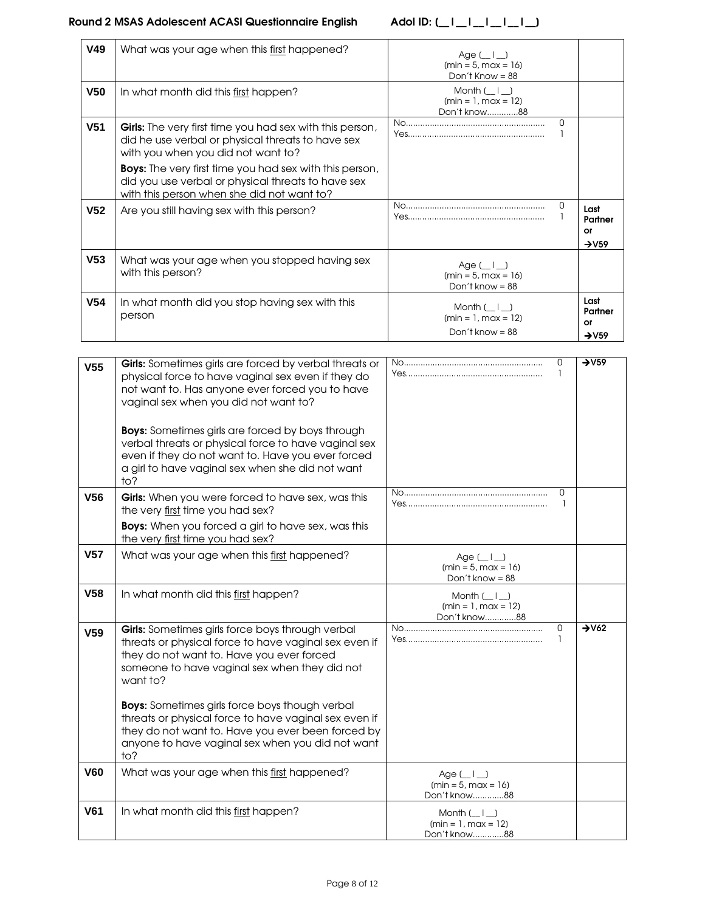| V <sub>49</sub> | What was your age when this first happened?                                                                                                                        | Age $($   $)$<br>$(min = 5, max = 16)$<br>Don't Know = $88$     |                                            |
|-----------------|--------------------------------------------------------------------------------------------------------------------------------------------------------------------|-----------------------------------------------------------------|--------------------------------------------|
| <b>V50</b>      | In what month did this first happen?                                                                                                                               | Month $($ $ $ $)$<br>$(min = 1, max = 12)$<br>Don't know88      |                                            |
| V <sub>51</sub> | <b>Girls:</b> The very first time you had sex with this person,<br>did he use verbal or physical threats to have sex<br>with you when you did not want to?         | 0                                                               |                                            |
|                 | <b>Boys:</b> The very first time you had sex with this person,<br>did you use verbal or physical threats to have sex<br>with this person when she did not want to? |                                                                 |                                            |
| V <sub>52</sub> | Are you still having sex with this person?                                                                                                                         | 0                                                               | Last<br>Partner<br>or<br>$\rightarrow$ V59 |
| V <sub>53</sub> | What was your age when you stopped having sex<br>with this person?                                                                                                 | Age $(\_   \_ )$<br>$(min = 5, max = 16)$<br>Don't know = $88$  |                                            |
| V <sub>54</sub> | In what month did you stop having sex with this<br>person                                                                                                          | Month $($ $ $ $)$<br>$(min = 1, max = 12)$<br>Don't know = $88$ |                                            |

| V <sub>55</sub> | Girls: Sometimes girls are forced by verbal threats or<br>physical force to have vaginal sex even if they do<br>not want to. Has anyone ever forced you to have<br>vaginal sex when you did not want to?<br><b>Boys:</b> Sometimes girls are forced by boys through<br>verbal threats or physical force to have vaginal sex<br>even if they do not want to. Have you ever forced<br>a girl to have vaginal sex when she did not want |                                                                          | 0<br>1  | $+V59$          |
|-----------------|--------------------------------------------------------------------------------------------------------------------------------------------------------------------------------------------------------------------------------------------------------------------------------------------------------------------------------------------------------------------------------------------------------------------------------------|--------------------------------------------------------------------------|---------|-----------------|
| <b>V56</b>      | to?<br>Girls: When you were forced to have sex, was this<br>the very first time you had sex?                                                                                                                                                                                                                                                                                                                                         |                                                                          | 0<br>-1 |                 |
|                 | <b>Boys:</b> When you forced a girl to have sex, was this<br>the very first time you had sex?                                                                                                                                                                                                                                                                                                                                        |                                                                          |         |                 |
| <b>V57</b>      | What was your age when this first happened?                                                                                                                                                                                                                                                                                                                                                                                          | $Age(\lceil \cdot \rceil)$<br>$(min = 5, max = 16)$<br>Don't know = $88$ |         |                 |
| V <sub>58</sub> | In what month did this first happen?                                                                                                                                                                                                                                                                                                                                                                                                 | Month $($ $ $ $)$<br>$(min = 1, max = 12)$<br>Don't know88               |         |                 |
| <b>V59</b>      | Girls: Sometimes girls force boys through verbal<br>threats or physical force to have vaginal sex even if<br>they do not want to. Have you ever forced<br>someone to have vaginal sex when they did not<br>want to?                                                                                                                                                                                                                  |                                                                          | 0<br>1  | $\overline{+1}$ |
|                 | <b>Boys:</b> Sometimes girls force boys though verbal<br>threats or physical force to have vaginal sex even if<br>they do not want to. Have you ever been forced by<br>anyone to have vaginal sex when you did not want<br>to?                                                                                                                                                                                                       |                                                                          |         |                 |
| <b>V60</b>      | What was your age when this first happened?                                                                                                                                                                                                                                                                                                                                                                                          | $Age$ $\leftarrow$ $\leftarrow$<br>$(min = 5, max = 16)$<br>Don't know88 |         |                 |
| <b>V61</b>      | In what month did this first happen?                                                                                                                                                                                                                                                                                                                                                                                                 | Month $($ $\vert$ $)$<br>$(min = 1, max = 12)$<br>Don't know88           |         |                 |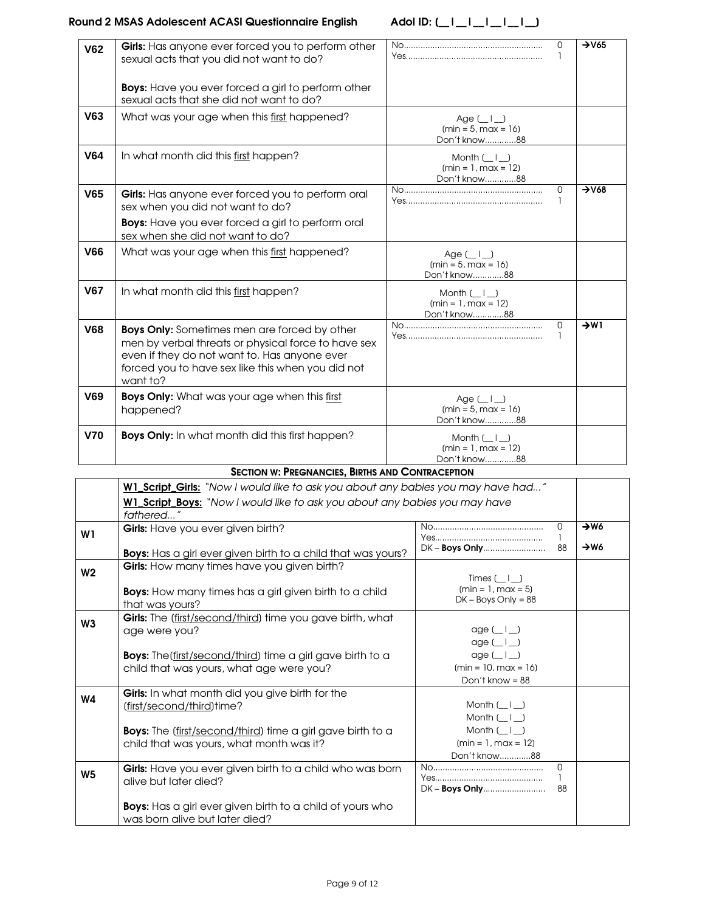| V62        | Girls: Has anyone ever forced you to perform other<br>sexual acts that you did not want to do?                                                                                                                              | $\rightarrow$ V65<br>0                                         |                   |
|------------|-----------------------------------------------------------------------------------------------------------------------------------------------------------------------------------------------------------------------------|----------------------------------------------------------------|-------------------|
|            | <b>Boys:</b> Have you ever forced a girl to perform other<br>sexual acts that she did not want to do?                                                                                                                       |                                                                |                   |
| <b>V63</b> | What was your age when this first happened?                                                                                                                                                                                 | Age $(\_   \_ )$<br>$(min = 5, max = 16)$<br>Don't know88      |                   |
| <b>V64</b> | In what month did this first happen?                                                                                                                                                                                        | Month $($ $ $ $)$<br>$(min = 1, max = 12)$<br>Don't know88     |                   |
| <b>V65</b> | <b>Girls:</b> Has anyone ever forced you to perform oral<br>sex when you did not want to do?                                                                                                                                | 0<br>1                                                         | $\rightarrow$ V68 |
|            | <b>Boys:</b> Have you ever forced a girl to perform oral<br>sex when she did not want to do?                                                                                                                                |                                                                |                   |
| <b>V66</b> | What was your age when this first happened?                                                                                                                                                                                 | Age $($ $ $ $)$<br>$(min = 5, max = 16)$<br>Don't know88       |                   |
| <b>V67</b> | In what month did this first happen?                                                                                                                                                                                        | Month $($ $\vert$ $)$<br>$(min = 1, max = 12)$<br>Don't know88 |                   |
| <b>V68</b> | <b>Boys Only:</b> Sometimes men are forced by other<br>men by verbal threats or physical force to have sex<br>even if they do not want to. Has anyone ever<br>forced you to have sex like this when you did not<br>want to? | $\Omega$<br>1                                                  | $\rightarrow$ W1  |
| <b>V69</b> | <b>Boys Only:</b> What was your age when this first<br>happened?                                                                                                                                                            | Age $(\_   \_ )$<br>$(min = 5, max = 16)$<br>Don't know88      |                   |
| <b>V70</b> | <b>Boys Only:</b> In what month did this first happen?                                                                                                                                                                      | Month $(   )$<br>$(min = 1, max = 12)$<br>Don't know88         |                   |

## SECTION W: PREGNANCIES, BIRTHS AND CONTRACEPTION

|                | W1 Script Girls: "Now I would like to ask you about any babies you may have had"                       |                                                                                                       |         |                  |
|----------------|--------------------------------------------------------------------------------------------------------|-------------------------------------------------------------------------------------------------------|---------|------------------|
|                | W1_Script_Boys: "Now I would like to ask you about any babies you may have<br>fathered"                |                                                                                                       |         |                  |
| W1             | Girls: Have you ever given birth?                                                                      |                                                                                                       | 0       | $\rightarrow$ W6 |
|                | Boys: Has a girl ever given birth to a child that was yours?                                           | DK - <b>Boys Only</b>                                                                                 | 88      | $\rightarrow$ W6 |
| W <sub>2</sub> | Girls: How many times have you given birth?                                                            | Times (   )                                                                                           |         |                  |
|                | <b>Boys:</b> How many times has a girl given birth to a child<br>that was yours?                       | $(min = 1, max = 5)$<br>$DK - Boys Only = 88$                                                         |         |                  |
| W3             | Girls: The (first/second/third) time you gave birth, what<br>age were you?                             | $age(\_   \_)$<br>$age ($   $)$                                                                       |         |                  |
|                | Boys: The(first/second/third) time a girl gave birth to a<br>child that was yours, what age were you?  | $age \left[\begin{array}{c}   \\   \end{array}\right]$<br>$(min = 10, max = 16)$<br>Don't know = $88$ |         |                  |
| W4             | <b>Girls:</b> In what month did you give birth for the<br>(first/second/third)time?                    | Month $($ $ $ $)$<br>Month $($ $ $ $)$                                                                |         |                  |
|                | Boys: The (first/second/third) time a girl gave birth to a<br>child that was yours, what month was it? | Month $(   )$<br>$(min = 1, max = 12)$<br>Don't know88                                                |         |                  |
| W <sub>5</sub> | Girls: Have you ever given birth to a child who was born<br>alive but later died?                      |                                                                                                       | 0<br>88 |                  |
|                | <b>Boys:</b> Has a girl ever given birth to a child of yours who<br>was born alive but later died?     |                                                                                                       |         |                  |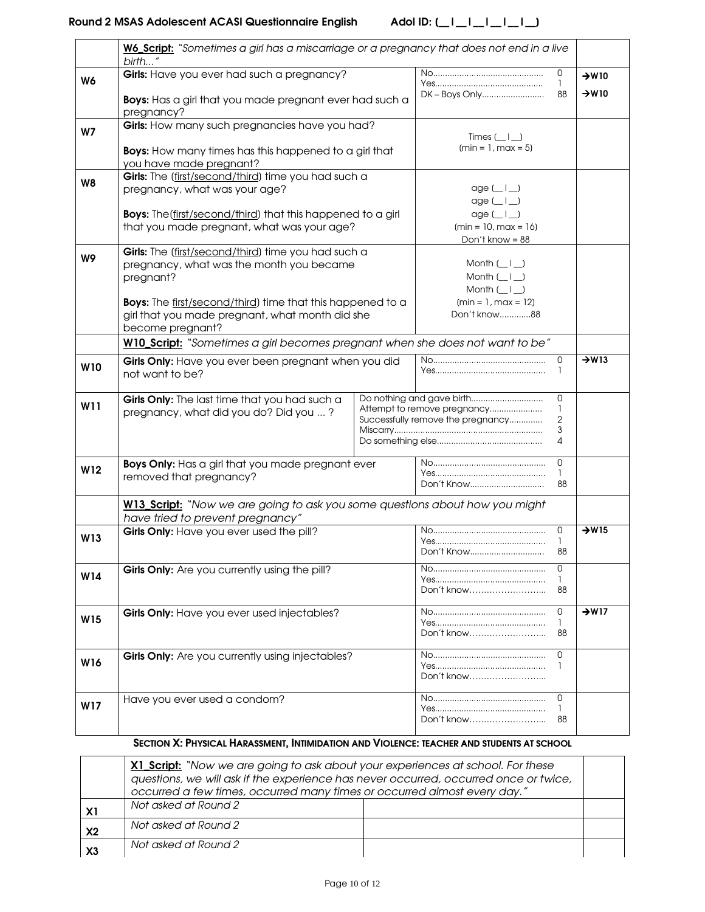|     | W6 Script: "Sometimes a girl has a miscarriage or a pregnancy that does not end in a live<br>birth"                               |                      |                                                                                                  |                |                                        |
|-----|-----------------------------------------------------------------------------------------------------------------------------------|----------------------|--------------------------------------------------------------------------------------------------|----------------|----------------------------------------|
| W6  | Girls: Have you ever had such a pregnancy?                                                                                        |                      | DK - Boys Only                                                                                   | 0<br>1         | $\rightarrow$ W10<br>$\rightarrow$ W10 |
|     | Boys: Has a girl that you made pregnant ever had such a<br>pregnancy?                                                             |                      |                                                                                                  | 88             |                                        |
| W7  | Girls: How many such pregnancies have you had?                                                                                    |                      | Times (                                                                                          |                |                                        |
|     | Boys: How many times has this happened to a girl that<br>you have made pregnant?                                                  | $(min = 1, max = 5)$ |                                                                                                  |                |                                        |
| W8  | Girls: The (first/second/third) time you had such a<br>pregnancy, what was your age?                                              | $age$ ( $\Box$ )     |                                                                                                  |                |                                        |
|     |                                                                                                                                   |                      | $age \left(\_\right)$                                                                            |                |                                        |
|     | <b>Boys:</b> The(first/second/third) that this happened to a girl<br>that you made pregnant, what was your age?                   |                      | $age \left[\begin{array}{c} 1 \end{array}\right]$<br>$(min = 10, max = 16)$<br>Don't know = $88$ |                |                                        |
| W9  | Girls: The (first/second/third) time you had such a                                                                               |                      |                                                                                                  |                |                                        |
|     | pregnancy, what was the month you became<br>pregnant?                                                                             |                      | Month $(\_   \_ )$<br>Month $(   )$                                                              |                |                                        |
|     |                                                                                                                                   |                      | Month $(\_   \_ )$<br>$(min = 1, max = 12)$                                                      |                |                                        |
|     | Boys: The first/second/third) time that this happened to a<br>girl that you made pregnant, what month did she<br>become pregnant? |                      | Don't know88                                                                                     |                |                                        |
|     | W10_Script: "Sometimes a girl becomes pregnant when she does not want to be"                                                      |                      |                                                                                                  |                |                                        |
| W10 | Girls Only: Have you ever been pregnant when you did<br>not want to be?                                                           |                      |                                                                                                  | 0<br>1         | $\rightarrow$ W13                      |
| W11 | Girls Only: The last time that you had such a<br>pregnancy, what did you do? Did you ?                                            |                      | Attempt to remove pregnancy<br>Successfully remove the pregnancy                                 |                |                                        |
| W12 | Boys Only: Has a girl that you made pregnant ever<br>removed that pregnancy?                                                      |                      | Don't Know                                                                                       | 0<br>1<br>88   |                                        |
|     | W13_Script: "Now we are going to ask you some questions about how you might<br>have tried to prevent pregnancy"                   |                      |                                                                                                  |                |                                        |
| W13 | Girls Only: Have you ever used the pill?                                                                                          |                      |                                                                                                  | 0              | $\rightarrow$ W15                      |
|     |                                                                                                                                   |                      | Don't Know                                                                                       | 1<br>88        |                                        |
| W14 | Girls Only: Are you currently using the pill?                                                                                     |                      |                                                                                                  | 0              |                                        |
|     |                                                                                                                                   |                      | Don't know                                                                                       | 88             |                                        |
| W15 | Girls Only: Have you ever used injectables?                                                                                       |                      |                                                                                                  | 0<br>1         | $\rightarrow$ W17                      |
|     |                                                                                                                                   |                      | Don't know                                                                                       | 88             |                                        |
| W16 | Girls Only: Are you currently using injectables?                                                                                  |                      | Don't know                                                                                       | $\Omega$<br>-1 |                                        |
| W17 | Have you ever used a condom?                                                                                                      |                      | Don't know                                                                                       | 0<br>ı.<br>88  |                                        |
|     |                                                                                                                                   |                      |                                                                                                  |                |                                        |

## SECTION X: PHYSICAL HARASSMENT, INTIMIDATION AND VIOLENCE: TEACHER AND STUDENTS AT SCHOOL

|                | X1_Script: "Now we are going to ask about your experiences at school. For these<br>questions, we will ask if the experience has never occurred, occurred once or twice,<br>occurred a few times, occurred many times or occurred almost every day." |  |  |  |
|----------------|-----------------------------------------------------------------------------------------------------------------------------------------------------------------------------------------------------------------------------------------------------|--|--|--|
| X <sub>1</sub> | Not asked at Round 2                                                                                                                                                                                                                                |  |  |  |
| X <sub>2</sub> | Not asked at Round 2                                                                                                                                                                                                                                |  |  |  |
| X3             | Not asked at Round 2                                                                                                                                                                                                                                |  |  |  |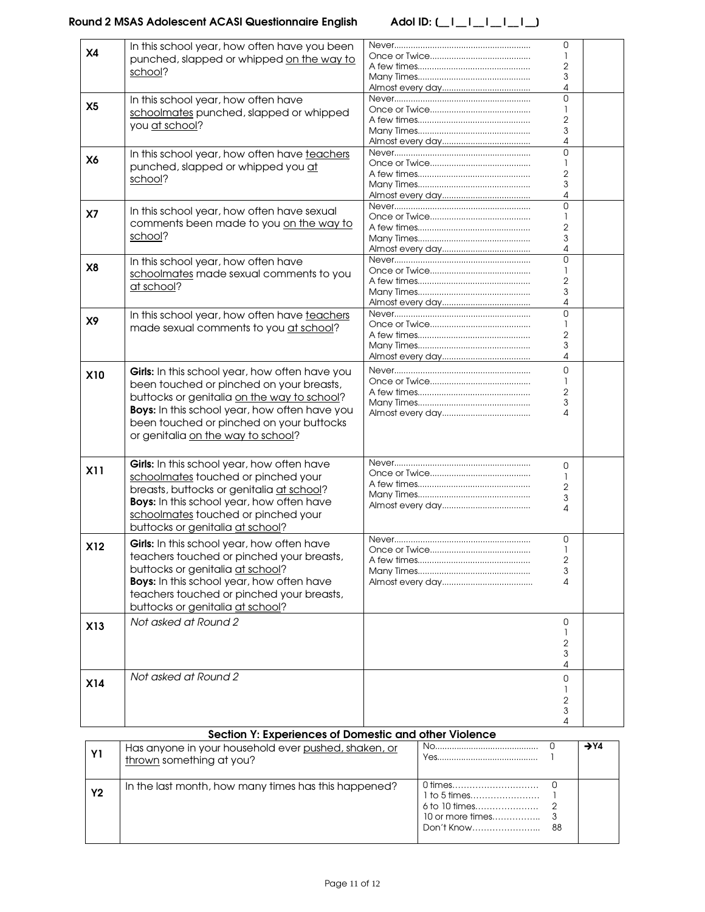| <b>X4</b>      | In this school year, how often have you been<br>punched, slapped or whipped on the way to<br>school?                                                                                                                                                                                |               |  | 0<br>1<br>$\overline{2}$<br>3<br>4        |                  |
|----------------|-------------------------------------------------------------------------------------------------------------------------------------------------------------------------------------------------------------------------------------------------------------------------------------|---------------|--|-------------------------------------------|------------------|
| X <sub>5</sub> | In this school year, how often have<br>schoolmates punched, slapped or whipped<br>you at school?                                                                                                                                                                                    |               |  | 0<br>1<br>$\overline{2}$<br>3<br>4        |                  |
| X6             | In this school year, how often have teachers<br>punched, slapped or whipped you at<br>school?                                                                                                                                                                                       |               |  | 0<br>$\mathbf{2}$<br>3<br>4               |                  |
| X7             | In this school year, how often have sexual<br>comments been made to you on the way to<br>school?                                                                                                                                                                                    |               |  | 0<br>2<br>3<br>4                          |                  |
| X8             | In this school year, how often have<br>schoolmates made sexual comments to you<br>at school?                                                                                                                                                                                        |               |  | $\Omega$<br>1<br>$\overline{2}$<br>3<br>4 |                  |
| X9             | In this school year, how often have teachers<br>made sexual comments to you at school?                                                                                                                                                                                              |               |  | $\Omega$<br>1<br>$\overline{2}$<br>3<br>4 |                  |
| <b>X10</b>     | Girls: In this school year, how often have you<br>been touched or pinched on your breasts,<br>buttocks or genitalia on the way to school?<br><b>Boys:</b> In this school year, how often have you<br>been touched or pinched on your buttocks<br>or genitalia on the way to school? |               |  | 0<br>1<br>2<br>3<br>4                     |                  |
| X11            | Girls: In this school year, how often have<br>schoolmates touched or pinched your<br>breasts, buttocks or genitalia at school?<br><b>Boys:</b> In this school year, how often have<br>schoolmates touched or pinched your<br>buttocks or genitalia at school?                       |               |  | 0<br>1<br>$\overline{2}$<br>3<br>4        |                  |
| <b>X12</b>     | Girls: In this school year, how often have<br>teachers touched or pinched your breasts,<br>buttocks or genitalia at school?<br><b>Boys:</b> In this school year, how often have<br>teachers touched or pinched your breasts,<br>buttocks or genitalia at school?                    | Once or Twice |  | 0<br>2<br>3<br>4                          |                  |
| X13            | Not asked at Round 2                                                                                                                                                                                                                                                                |               |  | 0<br>1<br>2<br>3<br>4                     |                  |
| <b>X14</b>     | Not asked at Round 2                                                                                                                                                                                                                                                                |               |  | 0<br>1<br>2<br>3<br>4                     |                  |
|                | Section Y: Experiences of Domestic and other Violence                                                                                                                                                                                                                               |               |  |                                           |                  |
| Y1             | Has anyone in your household ever pushed, shaken, or<br>thrown something at you?                                                                                                                                                                                                    |               |  | $\Omega$<br>1                             | $\rightarrow$ Y4 |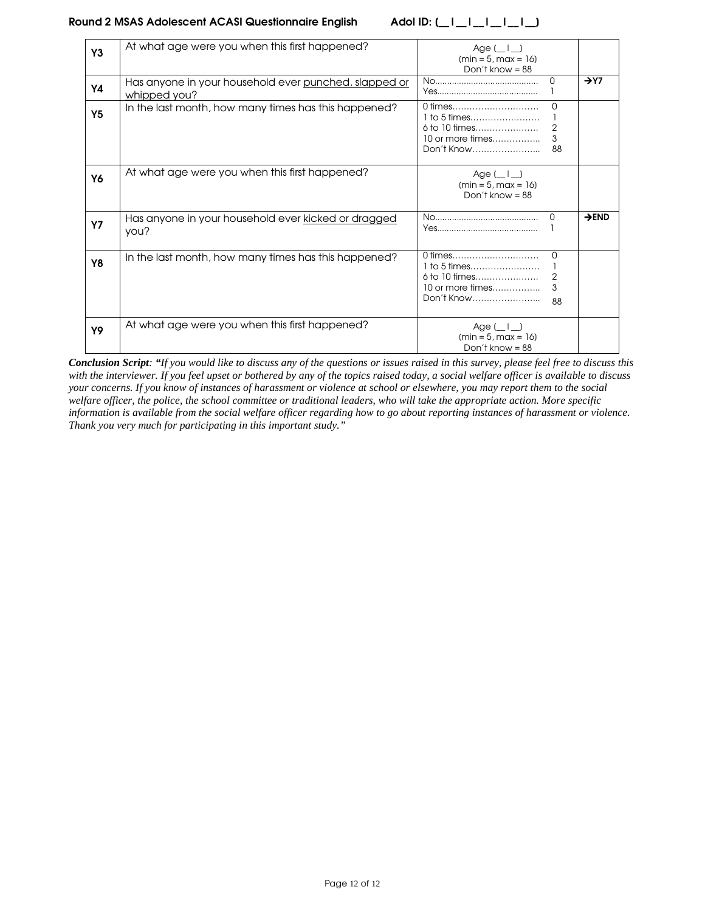| Y3             | At what age were you when this first happened?<br>Age $(\_   \_ )$<br>$(min = 5, max = 16)$<br>Don't know = $88$ |                                                                                                                       |                   |  |
|----------------|------------------------------------------------------------------------------------------------------------------|-----------------------------------------------------------------------------------------------------------------------|-------------------|--|
| Υ4             | Has anyone in your household ever punched, slapped or<br>whipped you?                                            | <sup>0</sup>                                                                                                          | $\rightarrow$ Y7  |  |
| Y <sub>5</sub> | In the last month, how many times has this happened?                                                             | $\Omega$<br>0 times<br>$1$ to 5 times<br>$\mathbf{2}$<br>6 to 10 times<br>$10$ or more times<br>3<br>88<br>Don't Know |                   |  |
| Y6             | At what age were you when this first happened?                                                                   | Age $(\_   \_ )$<br>$(min = 5, max = 16)$<br>Don't know = $88$                                                        |                   |  |
| Υ7             | Has anyone in your household ever kicked or dragged<br>you?                                                      | O.                                                                                                                    | $\rightarrow$ END |  |
| Y8             | In the last month, how many times has this happened?                                                             | 0<br>0 times<br>1 to 5 times<br>2<br>6 to 10 times<br>3<br>$10$ or more times<br>Don't Know<br>88                     |                   |  |
| Υ9             | At what age were you when this first happened?                                                                   | Age $(\_   \_ )$<br>$(min = 5, max = 16)$<br>Don't know = $88$                                                        |                   |  |

*Conclusion Script: "If you would like to discuss any of the questions or issues raised in this survey, please feel free to discuss this with the interviewer. If you feel upset or bothered by any of the topics raised today, a social welfare officer is available to discuss your concerns. If you know of instances of harassment or violence at school or elsewhere, you may report them to the social welfare officer, the police, the school committee or traditional leaders, who will take the appropriate action. More specific information is available from the social welfare officer regarding how to go about reporting instances of harassment or violence. Thank you very much for participating in this important study."*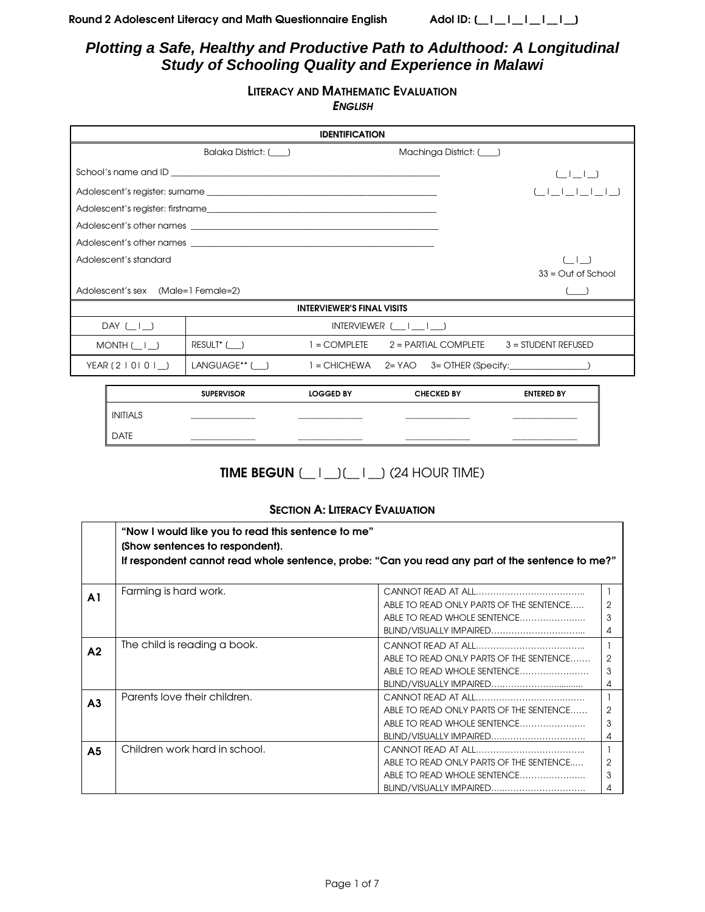# **Plotting a Safe, Healthy and Productive Path to Adulthood: A Longitudinal Study of Schooling Quality and Experience in Malawi**

LITERACY AND MATHEMATIC EVALUATION

ENGLISH

|                                    |                     | <b>IDENTIFICATION</b>             |                                                         |                                                       |
|------------------------------------|---------------------|-----------------------------------|---------------------------------------------------------|-------------------------------------------------------|
|                                    | Balaka District: () |                                   | Machinga District: (___)                                |                                                       |
|                                    |                     |                                   |                                                         | $\left(\begin{array}{c} \begin{array}{c} \end{array}$ |
|                                    |                     |                                   |                                                         |                                                       |
|                                    |                     |                                   |                                                         |                                                       |
|                                    |                     |                                   |                                                         |                                                       |
|                                    |                     |                                   |                                                         |                                                       |
| Adolescent's standard              |                     |                                   |                                                         | (   )                                                 |
|                                    |                     |                                   |                                                         | $33 = Out of School$                                  |
| Adolescent's sex (Male=1 Female=2) |                     |                                   |                                                         |                                                       |
|                                    |                     | <b>INTERVIEWER'S FINAL VISITS</b> |                                                         |                                                       |
| $DAY$ ( $\Box$ )                   |                     |                                   | INTERVIEWER (     )                                     |                                                       |
| $MONTH (\_   \_ )$                 | $RESULT^*$ (___)    |                                   | $1 =$ COMPLETE $2 =$ PARTIAL COMPLETE                   | $3 =$ STUDENT REFUSED                                 |
| YEAR (2   0   0   _ )              | LANGUAGE**()        |                                   | 1 = CHICHEWA 2= YAO 3= OTHER (Specify: _______________) |                                                       |
|                                    | <b>SUPERVISOR</b>   | <b>LOGGED BY</b>                  | <b>CHECKED BY</b>                                       | <b>ENTERED BY</b>                                     |

# **TIME BEGUN**  $(\_ | \_)(\_ | \_)$  (24 HOUR TIME)

INITIALS \_\_\_\_\_\_\_\_\_\_\_\_\_\_\_\_\_ \_\_\_\_\_\_\_\_\_\_\_\_\_\_\_\_\_ \_\_\_\_\_\_\_\_\_\_\_\_\_\_\_\_\_ \_\_\_\_\_\_\_\_\_\_\_\_\_\_\_\_\_ DATE \_\_\_\_\_\_\_\_\_\_\_\_\_\_\_\_\_ \_\_\_\_\_\_\_\_\_\_\_\_\_\_\_\_\_ \_\_\_\_\_\_\_\_\_\_\_\_\_\_\_\_\_ \_\_\_\_\_\_\_\_\_\_\_\_\_\_\_\_\_ I

### **SECTION A: LITERACY EVALUATION**

|                | "Now I would like you to read this sentence to me"<br>(Show sentences to respondent).<br>If respondent cannot read whole sentence, probe: "Can you read any part of the sentence to me?" |                                                                                                   |                          |
|----------------|------------------------------------------------------------------------------------------------------------------------------------------------------------------------------------------|---------------------------------------------------------------------------------------------------|--------------------------|
| A <sub>1</sub> | Farming is hard work.                                                                                                                                                                    | ABLE TO READ ONLY PARTS OF THE SENTENCE<br>ABLE TO READ WHOLE SENTENCE                            | $\overline{2}$<br>3<br>4 |
| A <sub>2</sub> | The child is reading a book.                                                                                                                                                             | ABLE TO READ ONLY PARTS OF THE SENTENCE<br>ABLE TO READ WHOLE SENTENCE                            | $\mathcal{P}$<br>3<br>4  |
| A <sub>3</sub> | Parents love their children.                                                                                                                                                             | ABLE TO READ ONLY PARTS OF THE SENTENCE<br>ABLE TO READ WHOLE SENTENCE                            | $\overline{2}$<br>3<br>4 |
| A <sub>5</sub> | Children work hard in school.                                                                                                                                                            | ABLE TO READ ONLY PARTS OF THE SENTENCE<br>ABLE TO READ WHOLE SENTENCE<br>BLIND/VISUALLY IMPAIRED | 2<br>3<br>4              |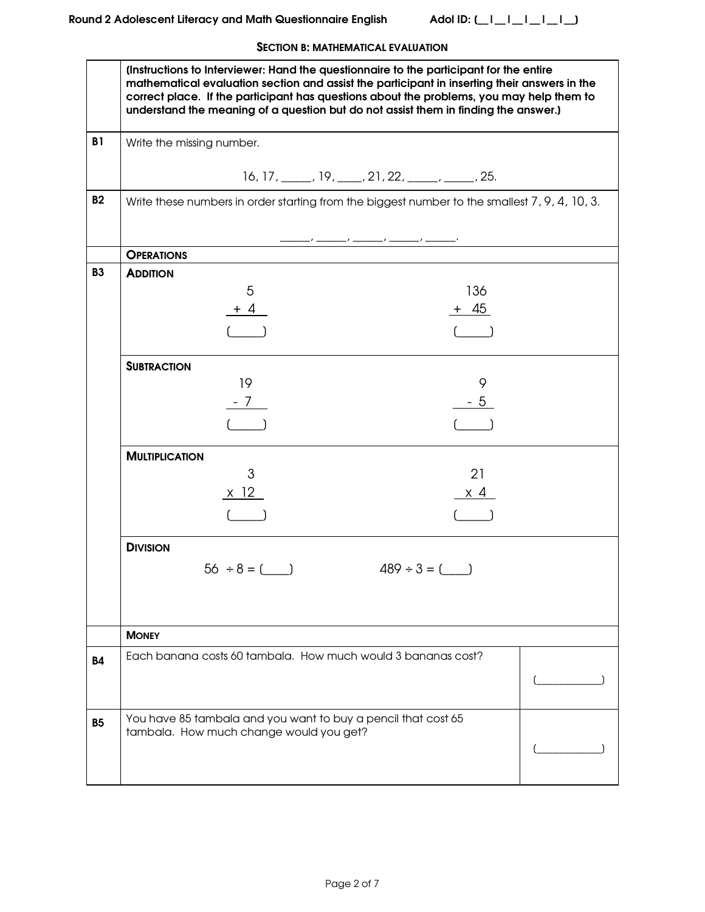## SECTION B: MATHEMATICAL EVALUATION

|                | (Instructions to Interviewer: Hand the questionnaire to the participant for the entire<br>mathematical evaluation section and assist the participant in inserting their answers in the<br>correct place. If the participant has questions about the problems, you may help them to<br>understand the meaning of a question but do not assist them in finding the answer.) |                  |  |  |  |  |  |
|----------------|---------------------------------------------------------------------------------------------------------------------------------------------------------------------------------------------------------------------------------------------------------------------------------------------------------------------------------------------------------------------------|------------------|--|--|--|--|--|
| B <sub>1</sub> | Write the missing number.                                                                                                                                                                                                                                                                                                                                                 |                  |  |  |  |  |  |
|                | $16, 17, \_\_\_\_\$ , $19, \_\_\_\_\$ , $21, 22, \_\_\_\_\_\_\$ , $\_\_\_\_\_\$ , 25.                                                                                                                                                                                                                                                                                     |                  |  |  |  |  |  |
| <b>B2</b>      | Write these numbers in order starting from the biggest number to the smallest 7, 9, 4, 10, 3.                                                                                                                                                                                                                                                                             |                  |  |  |  |  |  |
|                | <b>OPERATIONS</b>                                                                                                                                                                                                                                                                                                                                                         |                  |  |  |  |  |  |
| <b>B3</b>      | <b>ADDITION</b>                                                                                                                                                                                                                                                                                                                                                           |                  |  |  |  |  |  |
|                | $\overline{5}$                                                                                                                                                                                                                                                                                                                                                            | 136              |  |  |  |  |  |
|                | $+4$                                                                                                                                                                                                                                                                                                                                                                      | $+ 45$           |  |  |  |  |  |
|                | (                                                                                                                                                                                                                                                                                                                                                                         | (                |  |  |  |  |  |
|                | <b>SUBTRACTION</b>                                                                                                                                                                                                                                                                                                                                                        |                  |  |  |  |  |  |
|                | 19                                                                                                                                                                                                                                                                                                                                                                        | 9                |  |  |  |  |  |
|                | $-7$                                                                                                                                                                                                                                                                                                                                                                      | $-5$             |  |  |  |  |  |
|                | $($ )                                                                                                                                                                                                                                                                                                                                                                     |                  |  |  |  |  |  |
|                | <b>MULTIPLICATION</b>                                                                                                                                                                                                                                                                                                                                                     |                  |  |  |  |  |  |
|                | 3                                                                                                                                                                                                                                                                                                                                                                         | 21               |  |  |  |  |  |
|                | $x$ 12                                                                                                                                                                                                                                                                                                                                                                    | $\times$ 4       |  |  |  |  |  |
|                |                                                                                                                                                                                                                                                                                                                                                                           | (                |  |  |  |  |  |
|                | <b>DIVISION</b>                                                                                                                                                                                                                                                                                                                                                           |                  |  |  |  |  |  |
|                |                                                                                                                                                                                                                                                                                                                                                                           | $489 \div 3 = ($ |  |  |  |  |  |
|                |                                                                                                                                                                                                                                                                                                                                                                           |                  |  |  |  |  |  |
|                | <b>MONEY</b>                                                                                                                                                                                                                                                                                                                                                              |                  |  |  |  |  |  |
| <b>B4</b>      | Each banana costs 60 tambala. How much would 3 bananas cost?                                                                                                                                                                                                                                                                                                              |                  |  |  |  |  |  |
|                |                                                                                                                                                                                                                                                                                                                                                                           |                  |  |  |  |  |  |
| <b>B5</b>      | You have 85 tambala and you want to buy a pencil that cost 65                                                                                                                                                                                                                                                                                                             |                  |  |  |  |  |  |
|                | tambala. How much change would you get?                                                                                                                                                                                                                                                                                                                                   |                  |  |  |  |  |  |
|                |                                                                                                                                                                                                                                                                                                                                                                           |                  |  |  |  |  |  |
|                |                                                                                                                                                                                                                                                                                                                                                                           |                  |  |  |  |  |  |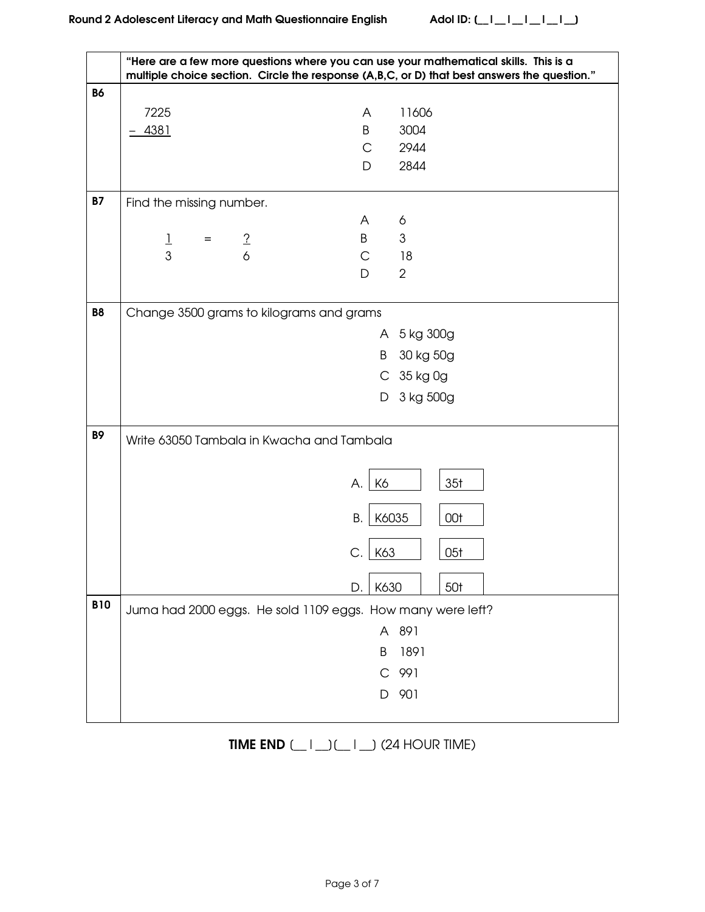|            | "Here are a few more questions where you can use your mathematical skills. This is a<br>multiple choice section. Circle the response (A,B,C, or D) that best answers the question." |
|------------|-------------------------------------------------------------------------------------------------------------------------------------------------------------------------------------|
| <b>B6</b>  |                                                                                                                                                                                     |
|            | 7225<br>11606<br>A                                                                                                                                                                  |
|            | B<br>4381<br>3004                                                                                                                                                                   |
|            | $\mathsf{C}$<br>2944                                                                                                                                                                |
|            | 2844<br>D                                                                                                                                                                           |
| <b>B7</b>  | Find the missing number.                                                                                                                                                            |
|            | 6<br>A                                                                                                                                                                              |
|            | B<br>$\ensuremath{\mathsf{3}}$<br>$=\frac{?}{6}$<br>$\frac{1}{3}$                                                                                                                   |
|            | $\mathsf{C}$<br>18                                                                                                                                                                  |
|            | $\overline{2}$<br>D                                                                                                                                                                 |
| <b>B8</b>  | Change 3500 grams to kilograms and grams                                                                                                                                            |
|            | A 5 kg 300g                                                                                                                                                                         |
|            | 30 kg 50g<br>B                                                                                                                                                                      |
|            | $C$ 35 kg Og                                                                                                                                                                        |
|            | 3 kg 500g<br>D                                                                                                                                                                      |
|            |                                                                                                                                                                                     |
| <b>B9</b>  | Write 63050 Tambala in Kwacha and Tambala                                                                                                                                           |
|            |                                                                                                                                                                                     |
|            | 35 <sub>t</sub><br>K6<br>А.                                                                                                                                                         |
|            | K6035<br>00t<br><b>B.</b>                                                                                                                                                           |
|            |                                                                                                                                                                                     |
|            | K63<br>05 <sub>t</sub><br>С.                                                                                                                                                        |
|            | K630<br>50t<br>D.                                                                                                                                                                   |
| <b>B10</b> | Juma had 2000 eggs. He sold 1109 eggs. How many were left?                                                                                                                          |
|            | A 891                                                                                                                                                                               |
|            | 1891<br>B                                                                                                                                                                           |
|            | 991<br>C                                                                                                                                                                            |
|            | 901<br>D                                                                                                                                                                            |
|            |                                                                                                                                                                                     |

# TIME END  $(\underline{\hspace{1cm}}|\underline{\hspace{1cm}})\underline{(\hspace{1cm}}|\underline{\hspace{1cm}})$  (24 HOUR TIME)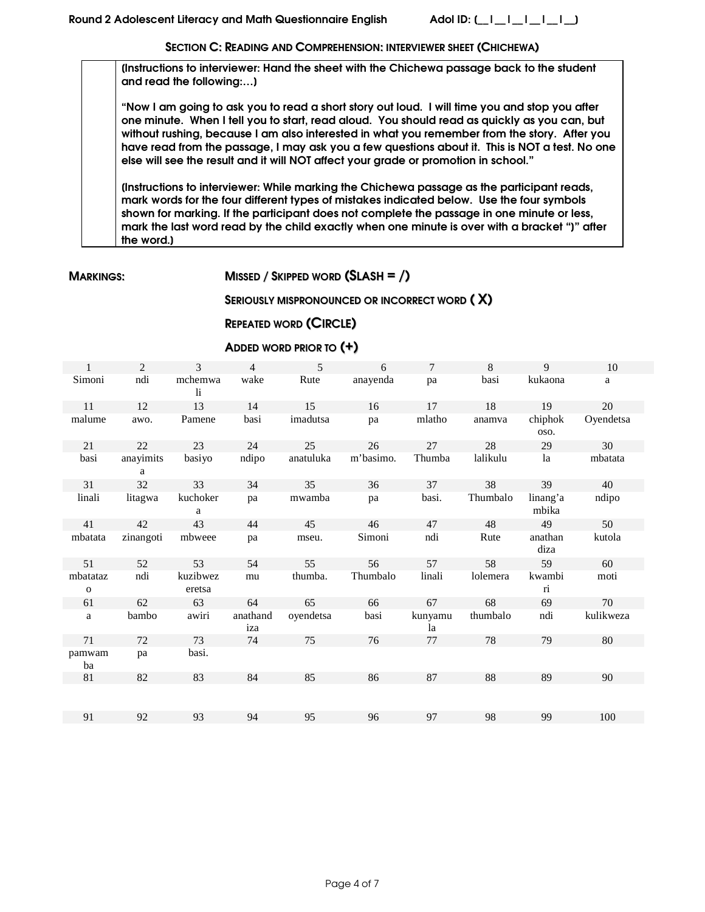#### SECTION C: READING AND COMPREHENSION: INTERVIEWER SHEET (CHICHEWA)

[Instructions to interviewer: Hand the sheet with the Chichewa passage back to the student and read the following:…]

"Now I am going to ask you to read a short story out loud. I will time you and stop you after one minute. When I tell you to start, read aloud. You should read as quickly as you can, but without rushing, because I am also interested in what you remember from the story. After you have read from the passage, I may ask you a few questions about it. This is NOT a test. No one else will see the result and it will NOT affect your grade or promotion in school."

[Instructions to interviewer: While marking the Chichewa passage as the participant reads, mark words for the four different types of mistakes indicated below. Use the four symbols shown for marking. If the participant does not complete the passage in one minute or less, mark the last word read by the child exactly when one minute is over with a bracket ")" after the word.]

## MARKINGS: MISSED / SKIPPED WORD (SLASH = /)

#### SERIOUSLY MISPRONOUNCED OR INCORRECT WORD (X)

## REPEATED WORD (CIRCLE)

## ADDED WORD PRIOR TO (+)

| $\mathbf{1}$            | $\overline{2}$ | 3                  | $\overline{4}$  | 5         | 6         | $\tau$        | 8        | 9                            | 10        |
|-------------------------|----------------|--------------------|-----------------|-----------|-----------|---------------|----------|------------------------------|-----------|
| Simoni                  | ndi            | mchemwa<br>1i      | wake            | Rute      | anayenda  | pa            | basi     | kukaona                      | a         |
| 11                      | 12             | 13                 | 14              | 15        | 16        | 17            | 18       | 19                           | 20        |
| malume                  | awo.           | Pamene             | basi            | imadutsa  | pa        | mlatho        | anamva   | chiphok<br>OSO.              | Oyendetsa |
| 21                      | 22             | 23                 | 24              | 25        | 26        | 27            | 28       | 29                           | 30        |
| basi                    | anayimits<br>a | basiyo             | ndipo           | anatuluka | m'basimo. | Thumba        | lalikulu | la                           | mbatata   |
| 31                      | 32             | 33                 | 34              | 35        | 36        | 37            | 38       | 39                           | 40        |
| linali                  | litagwa        | kuchoker<br>a      | pa              | mwamba    | pa        | basi.         | Thumbalo | linang'a<br>mbika            | ndipo     |
| 41                      | 42             | 43                 | 44              | 45        | 46        | 47            | 48       | 49                           | 50        |
| mbatata                 | zinangoti      | mbweee             | pa              | mseu.     | Simoni    | ndi           | Rute     | anathan<br>diza              | kutola    |
| 51                      | 52             | 53                 | 54              | 55        | 56        | 57            | 58       | 59                           | 60        |
| mbatataz<br>$\mathbf O$ | ndi            | kuzibwez<br>eretsa | mu              | thumba.   | Thumbalo  | linali        | lolemera | kwambi<br>$\dot{\mathbf{n}}$ | moti      |
| 61                      | 62             | 63                 | 64              | 65        | 66        | 67            | 68       | 69                           | 70        |
| a                       | bambo          | awiri              | anathand<br>iza | oyendetsa | basi      | kunyamu<br>la | thumbalo | ndi                          | kulikweza |
| 71                      | 72             | 73                 | 74              | 75        | 76        | 77            | 78       | 79                           | 80        |
| pamwam<br>ba            | pa             | basi.              |                 |           |           |               |          |                              |           |
| 81                      | 82             | 83                 | 84              | 85        | 86        | 87            | 88       | 89                           | 90        |
|                         |                |                    |                 |           |           |               |          |                              |           |
| 91                      | 92             | 93                 | 94              | 95        | 96        | 97            | 98       | 99                           | 100       |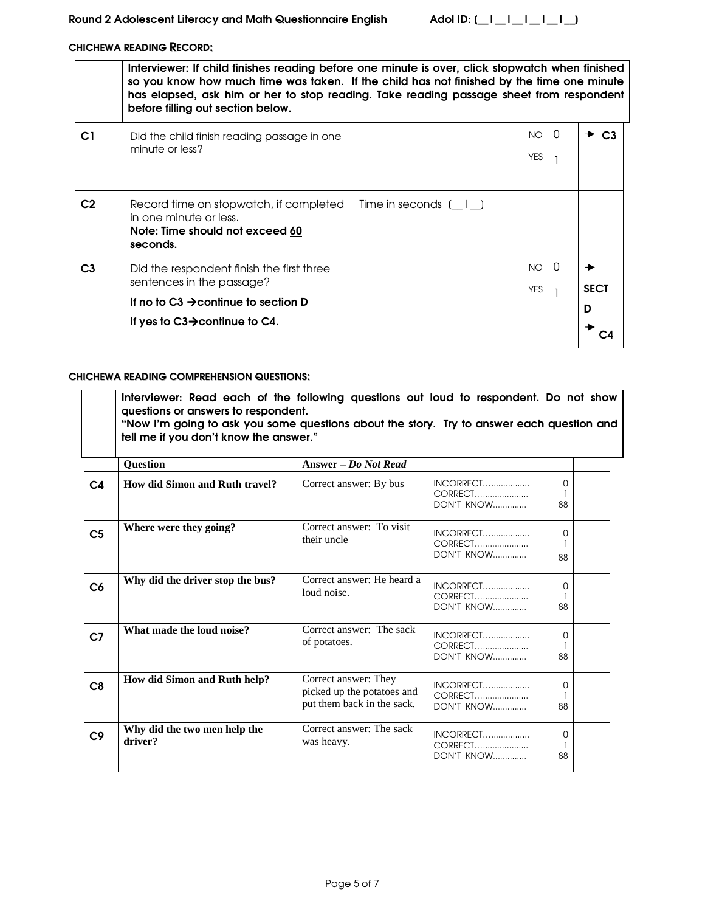### CHICHEWA READING RECORD:

|                | before filling out section below.                                                                               | Interviewer: If child finishes reading before one minute is over, click stopwatch when finished<br>so you know how much time was taken. If the child has not finished by the time one minute<br>has elapsed, ask him or her to stop reading. Take reading passage sheet from respondent |                |
|----------------|-----------------------------------------------------------------------------------------------------------------|-----------------------------------------------------------------------------------------------------------------------------------------------------------------------------------------------------------------------------------------------------------------------------------------|----------------|
| C <sub>1</sub> | Did the child finish reading passage in one                                                                     | 0<br>NO.                                                                                                                                                                                                                                                                                | C <sub>3</sub> |
|                | minute or less?                                                                                                 | <b>YES</b>                                                                                                                                                                                                                                                                              |                |
|                |                                                                                                                 |                                                                                                                                                                                                                                                                                         |                |
| C <sub>2</sub> | Record time on stopwatch, if completed<br>in one minute or less.<br>Note: Time should not exceed 60<br>seconds. | Time in seconds $( \quad   \quad)$                                                                                                                                                                                                                                                      |                |
| C <sub>3</sub> | Did the respondent finish the first three                                                                       | $NO$ $0$                                                                                                                                                                                                                                                                                |                |
|                | sentences in the passage?                                                                                       | <b>YES</b>                                                                                                                                                                                                                                                                              | <b>SECT</b>    |
|                | If no to C3 $\rightarrow$ continue to section D                                                                 |                                                                                                                                                                                                                                                                                         | D              |
|                | If yes to $C3\rightarrow$ continue to C4.                                                                       |                                                                                                                                                                                                                                                                                         |                |

#### CHICHEWA READING COMPREHENSION QUESTIONS:

Interviewer: Read each of the following questions out loud to respondent. Do not show questions or answers to respondent. "Now I'm going to ask you some questions about the story. Try to answer each question and tell me if you don't know the answer."

|                | <b>Question</b>                         | Answer – Do Not Read                                                             |                                           |         |  |
|----------------|-----------------------------------------|----------------------------------------------------------------------------------|-------------------------------------------|---------|--|
| C <sub>4</sub> | <b>How did Simon and Ruth travel?</b>   | Correct answer: By bus                                                           | CORRECT<br><b>DON'T KNOW</b>              | 0<br>88 |  |
| C <sub>5</sub> | Where were they going?                  | Correct answer: To visit<br>their uncle                                          | INCORRECT<br>CORRECT<br><b>DON'T KNOW</b> | U<br>88 |  |
| C <sub>6</sub> | Why did the driver stop the bus?        | Correct answer: He heard a<br>loud noise.                                        | INCORRECT<br>CORRECT<br><b>DON'T KNOW</b> | 0<br>88 |  |
| C <sub>7</sub> | What made the loud noise?               | Correct answer: The sack<br>of potatoes.                                         | CORRECT<br><b>DON'T KNOW</b>              | U<br>88 |  |
| C8             | How did Simon and Ruth help?            | Correct answer: They<br>picked up the potatoes and<br>put them back in the sack. | CORRECT<br><b>DON'T KNOW</b>              | U<br>88 |  |
| C <sub>9</sub> | Why did the two men help the<br>driver? | Correct answer: The sack<br>was heavy.                                           | INCORRECT<br>CORRECT<br><b>DON'T KNOW</b> | 0<br>88 |  |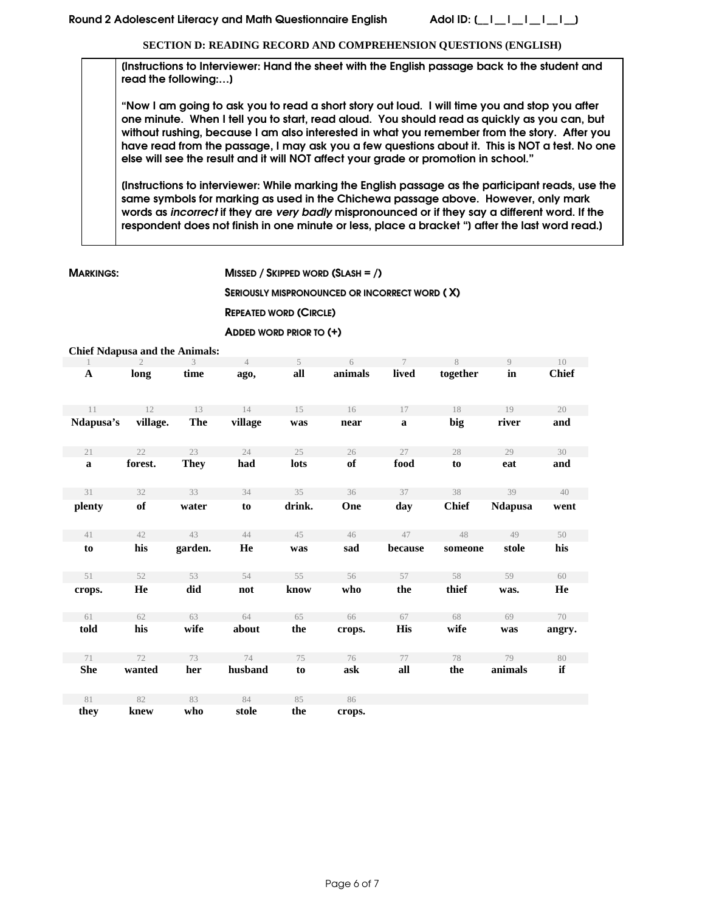**SECTION D: READING RECORD AND COMPREHENSION QUESTIONS (ENGLISH)** 

[Instructions to Interviewer: Hand the sheet with the English passage back to the student and read the following:…]

"Now I am going to ask you to read a short story out loud. I will time you and stop you after one minute. When I tell you to start, read aloud. You should read as quickly as you can, but without rushing, because I am also interested in what you remember from the story. After you have read from the passage, I may ask you a few questions about it. This is NOT a test. No one else will see the result and it will NOT affect your grade or promotion in school."

[Instructions to interviewer: While marking the English passage as the participant reads, use the same symbols for marking as used in the Chichewa passage above. However, only mark words as incorrect if they are very badly mispronounced or if they say a different word. If the respondent does not finish in one minute or less, place a bracket ") after the last word read.)

MARKINGS: MISSED / SKIPPED WORD (SLASH = /)

SERIOUSLY MISPRONOUNCED OR INCORRECT WORD ( X)

REPEATED WORD (CIRCLE)

#### ADDED WORD PRIOR TO (+)

**Chief Ndapusa and the Animals:** 

|              | $\mathfrak{2}$ | 3           | $\overline{4}$ | 5      | 6       | $\tau$      | 8            | $\circ$        | 10           |
|--------------|----------------|-------------|----------------|--------|---------|-------------|--------------|----------------|--------------|
| $\mathbf{A}$ | long           | time        | ago,           | all    | animals | lived       | together     | $\mathbf{in}$  | <b>Chief</b> |
| 11           | 12             | 13          | 14             | 15     | 16      | 17          | 18           | 19             | 20           |
| Ndapusa's    | village.       | <b>The</b>  | village        | was    | near    | $\mathbf a$ | big          | river          | and          |
| 21           | 22             | 23          | 24             | 25     | 26      | 27          | 28           | 29             | 30           |
| $\mathbf a$  | forest.        | <b>They</b> | had            | lots   | of      | food        | to           | eat            | and          |
| 31           | 32             | 33          | 34             | 35     | 36      | 37          | 38           | 39             | 40           |
| plenty       | of             | water       | to             | drink. | One     | day         | <b>Chief</b> | <b>Ndapusa</b> | went         |
| 41           | 42             | 43          | 44             | 45     | 46      | 47          | 48           | 49             | 50           |
| to           | his            | garden.     | He             | was    | sad     | because     | someone      | stole          | his          |
| 51           | 52             | 53          | 54             | 55     | 56      | 57          | 58           | 59             | 60           |
| crops.       | He             | did         | not            | know   | who     | the         | thief        | was.           | He           |
| 61           | 62             | 63          | 64             | 65     | 66      | 67          | 68           | 69             | 70           |
| told         | his            | wife        | about          | the    | crops.  | His         | wife         | was            | angry.       |
| 71           | 72             | 73          | 74             | 75     | 76      | 77          | 78           | 79             | 80           |
| <b>She</b>   | wanted         | her         | husband        | to     | ask     | all         | the          | animals        | if           |
| 81           | 82             | 83          | 84             | 85     | 86      |             |              |                |              |
| they         | knew           | who         | stole          | the    | crops.  |             |              |                |              |